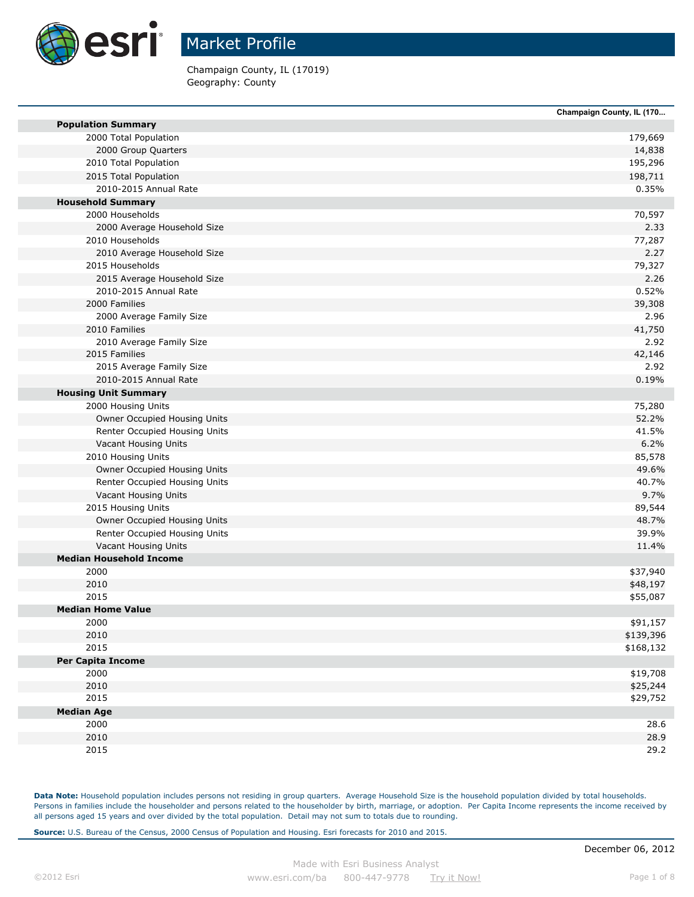

Champaign County, IL (17019) Geography: County

|                                | Champaign County, IL (170 |
|--------------------------------|---------------------------|
| <b>Population Summary</b>      |                           |
| 2000 Total Population          | 179,669                   |
| 2000 Group Quarters            | 14,838                    |
| 2010 Total Population          | 195,296                   |
| 2015 Total Population          | 198,711                   |
| 2010-2015 Annual Rate          | 0.35%                     |
| <b>Household Summary</b>       |                           |
| 2000 Households                | 70,597                    |
| 2000 Average Household Size    | 2.33                      |
| 2010 Households                | 77,287                    |
| 2010 Average Household Size    | 2.27                      |
| 2015 Households                | 79,327                    |
| 2015 Average Household Size    | 2.26                      |
| 2010-2015 Annual Rate          | 0.52%                     |
| 2000 Families                  | 39,308                    |
| 2000 Average Family Size       | 2.96                      |
| 2010 Families                  | 41,750                    |
| 2010 Average Family Size       | 2.92                      |
| 2015 Families                  | 42,146                    |
| 2015 Average Family Size       | 2.92                      |
| 2010-2015 Annual Rate          | 0.19%                     |
| <b>Housing Unit Summary</b>    |                           |
| 2000 Housing Units             | 75,280                    |
| Owner Occupied Housing Units   | 52.2%                     |
| Renter Occupied Housing Units  | 41.5%                     |
| Vacant Housing Units           | 6.2%                      |
| 2010 Housing Units             | 85,578                    |
| Owner Occupied Housing Units   | 49.6%                     |
| Renter Occupied Housing Units  | 40.7%                     |
| Vacant Housing Units           | 9.7%                      |
| 2015 Housing Units             | 89,544                    |
| Owner Occupied Housing Units   | 48.7%                     |
| Renter Occupied Housing Units  | 39.9%                     |
| Vacant Housing Units           | 11.4%                     |
| <b>Median Household Income</b> |                           |
| 2000                           | \$37,940                  |
| 2010                           | \$48,197                  |
| 2015                           | \$55,087                  |
| <b>Median Home Value</b>       |                           |
| 2000                           | \$91,157                  |
| 2010                           | \$139,396                 |
| 2015                           | \$168,132                 |
| <b>Per Capita Income</b>       |                           |
| 2000                           | \$19,708                  |
| 2010                           | \$25,244                  |
| 2015                           |                           |
|                                | \$29,752                  |
| <b>Median Age</b>              |                           |
| 2000                           | 28.6                      |
| 2010<br>2015                   | 28.9<br>29.2              |

Data Note: Household population includes persons not residing in group quarters. Average Household Size is the household population divided by total households. Persons in families include the householder and persons related to the householder by birth, marriage, or adoption. Per Capita Income represents the income received by all persons aged 15 years and over divided by the total population. Detail may not sum to totals due to rounding.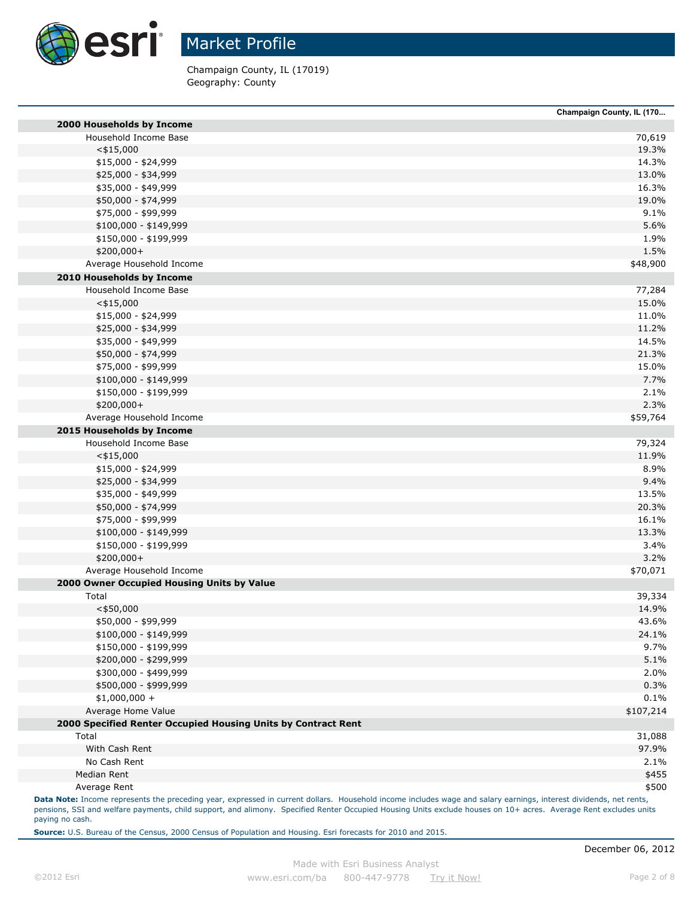

Champaign County, IL (17019) Geography: County

|                                                               | Champaign County, IL (170 |
|---------------------------------------------------------------|---------------------------|
| 2000 Households by Income                                     |                           |
| Household Income Base                                         | 70,619                    |
| $<$ \$15,000                                                  | 19.3%                     |
| \$15,000 - \$24,999                                           | 14.3%                     |
| \$25,000 - \$34,999                                           | 13.0%                     |
| \$35,000 - \$49,999                                           | 16.3%                     |
| \$50,000 - \$74,999                                           | 19.0%                     |
| \$75,000 - \$99,999                                           |                           |
| $$100,000 - $149,999$                                         |                           |
| \$150,000 - \$199,999                                         |                           |
| \$200,000+                                                    |                           |
| Average Household Income                                      | \$48,900                  |
| 2010 Households by Income                                     |                           |
| Household Income Base                                         | 77,284                    |
| $<$ \$15,000                                                  | 15.0%                     |
| \$15,000 - \$24,999                                           | 11.0%                     |
| \$25,000 - \$34,999                                           | 11.2%                     |
| \$35,000 - \$49,999                                           | 14.5%                     |
| \$50,000 - \$74,999                                           | 21.3%                     |
| \$75,000 - \$99,999                                           | 15.0%                     |
| $$100,000 - $149,999$                                         |                           |
| \$150,000 - \$199,999                                         |                           |
| \$200,000+                                                    |                           |
| Average Household Income                                      | \$59,764                  |
| 2015 Households by Income                                     |                           |
| Household Income Base                                         | 79,324                    |
| $<$ \$15,000                                                  | 11.9%                     |
| \$15,000 - \$24,999                                           |                           |
| \$25,000 - \$34,999                                           |                           |
| \$35,000 - \$49,999                                           | 13.5%                     |
| \$50,000 - \$74,999                                           | 20.3%                     |
| \$75,000 - \$99,999                                           | 16.1%                     |
| $$100,000 - $149,999$                                         | 13.3%                     |
| \$150,000 - \$199,999                                         |                           |
| \$200,000+                                                    |                           |
| Average Household Income                                      | \$70,071                  |
| 2000 Owner Occupied Housing Units by Value                    |                           |
| Total                                                         | 39,334                    |
| $<$ \$50,000                                                  | 14.9%                     |
| \$50,000 - \$99,999                                           | 43.6%                     |
| \$100,000 - \$149,999                                         | 24.1%                     |
| \$150,000 - \$199,999                                         |                           |
| \$200,000 - \$299,999                                         |                           |
| \$300,000 - \$499,999                                         |                           |
| \$500,000 - \$999,999                                         |                           |
| $$1,000,000 +$                                                |                           |
| Average Home Value                                            | \$107,214                 |
| 2000 Specified Renter Occupied Housing Units by Contract Rent |                           |
| Total                                                         | 31,088                    |
| With Cash Rent                                                | 97.9%                     |
| No Cash Rent                                                  |                           |
|                                                               |                           |
| Median Rent                                                   |                           |

pensions, SSI and welfare payments, child support, and alimony. Specified Renter Occupied Housing Units exclude houses on 10+ acres. Average Rent excludes units paying no cash.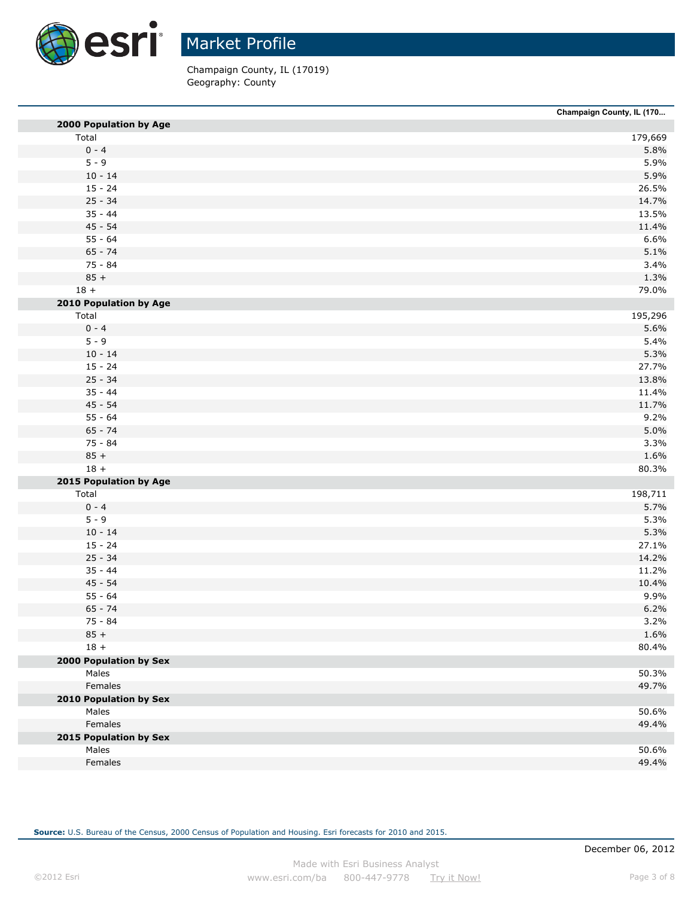

Champaign County, IL (17019) Geography: County

| Champaign County, IL (170 |                |
|---------------------------|----------------|
| 2000 Population by Age    |                |
|                           | 179,669        |
|                           | 5.8%           |
|                           | 5.9%           |
|                           | 5.9%           |
|                           | 26.5%          |
|                           | 14.7%          |
|                           | 13.5%          |
|                           | 11.4%          |
|                           | 6.6%           |
|                           | 5.1%           |
|                           | 3.4%           |
|                           | 1.3%           |
|                           | 79.0%          |
| 2010 Population by Age    |                |
|                           | 195,296        |
|                           | 5.6%           |
|                           | 5.4%           |
|                           | 5.3%           |
|                           | 27.7%          |
|                           | 13.8%          |
|                           | 11.4%          |
|                           | 11.7%          |
|                           | 9.2%           |
|                           | 5.0%           |
|                           | 3.3%           |
|                           | 1.6%           |
|                           | 80.3%          |
| 2015 Population by Age    |                |
|                           | 198,711        |
|                           | 5.7%           |
|                           | 5.3%           |
|                           | 5.3%           |
|                           | 27.1%          |
|                           | 14.2%          |
|                           | 11.2%          |
|                           | 10.4%          |
|                           | 9.9%           |
|                           | 6.2%           |
|                           | 3.2%           |
|                           | 1.6%           |
|                           | 80.4%          |
| 2000 Population by Sex    |                |
|                           | 50.3%          |
|                           | 49.7%          |
|                           |                |
| 2010 Population by Sex    | 50.6%          |
|                           | 49.4%          |
|                           |                |
| 2015 Population by Sex    |                |
|                           | 50.6%<br>49.4% |
|                           |                |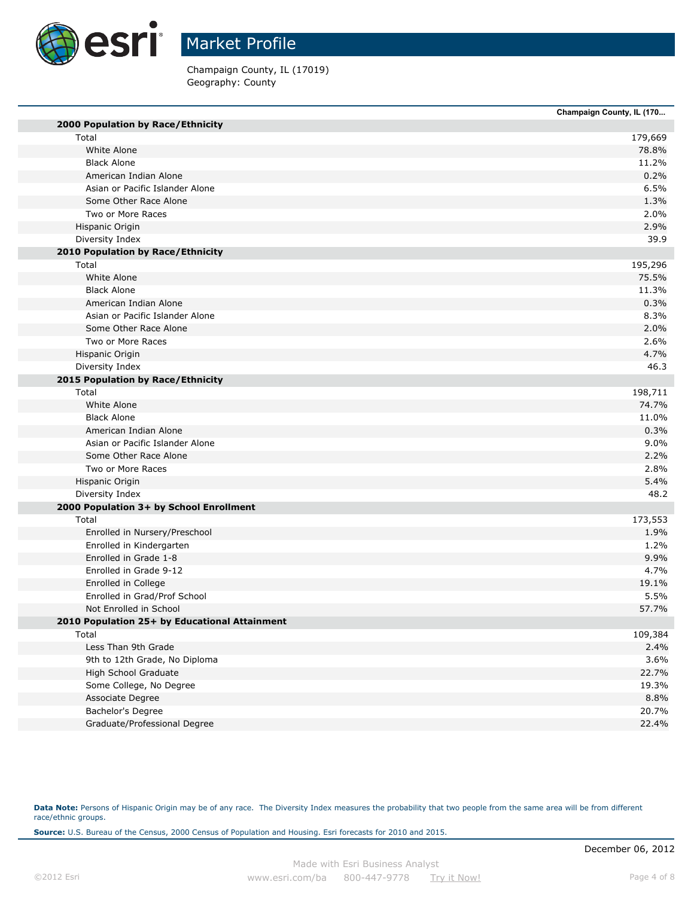

Champaign County, IL (17019) Geography: County

|                                               | Champaign County, IL (170 |
|-----------------------------------------------|---------------------------|
| 2000 Population by Race/Ethnicity             |                           |
| Total                                         | 179,669                   |
| White Alone                                   | 78.8%                     |
| <b>Black Alone</b>                            | 11.2%                     |
| American Indian Alone                         | 0.2%                      |
| Asian or Pacific Islander Alone               | 6.5%                      |
| Some Other Race Alone                         | 1.3%                      |
| Two or More Races                             | 2.0%                      |
| Hispanic Origin                               | 2.9%                      |
| Diversity Index                               | 39.9                      |
| 2010 Population by Race/Ethnicity             |                           |
| Total                                         | 195,296                   |
| White Alone                                   | 75.5%                     |
| <b>Black Alone</b>                            | 11.3%                     |
| American Indian Alone                         | 0.3%                      |
| Asian or Pacific Islander Alone               | 8.3%                      |
| Some Other Race Alone                         | 2.0%                      |
| Two or More Races                             | 2.6%                      |
| Hispanic Origin                               | 4.7%                      |
| Diversity Index                               | 46.3                      |
| 2015 Population by Race/Ethnicity             |                           |
| Total                                         | 198,711                   |
| White Alone                                   | 74.7%                     |
| <b>Black Alone</b>                            | 11.0%                     |
| American Indian Alone                         | 0.3%                      |
| Asian or Pacific Islander Alone               | 9.0%                      |
| Some Other Race Alone                         | 2.2%                      |
| Two or More Races                             | 2.8%                      |
| Hispanic Origin                               | 5.4%                      |
| Diversity Index                               | 48.2                      |
| 2000 Population 3+ by School Enrollment       |                           |
| Total                                         | 173,553                   |
| Enrolled in Nursery/Preschool                 | 1.9%                      |
| Enrolled in Kindergarten                      | 1.2%                      |
| Enrolled in Grade 1-8                         | 9.9%                      |
| Enrolled in Grade 9-12                        | 4.7%                      |
| Enrolled in College                           | 19.1%                     |
| Enrolled in Grad/Prof School                  | 5.5%                      |
| Not Enrolled in School                        | 57.7%                     |
| 2010 Population 25+ by Educational Attainment |                           |
| Total                                         | 109,384                   |
| Less Than 9th Grade                           | 2.4%                      |
| 9th to 12th Grade, No Diploma                 | 3.6%                      |
| High School Graduate                          | 22.7%                     |
| Some College, No Degree                       | 19.3%                     |
| Associate Degree                              | 8.8%                      |
| Bachelor's Degree                             | 20.7%                     |
| Graduate/Professional Degree                  | 22.4%                     |

Data Note: Persons of Hispanic Origin may be of any race. The Diversity Index measures the probability that two people from the same area will be from different race/ethnic groups.

**Source:** U.S. Bureau of the Census, 2000 Census of Population and Housing. Esri forecasts for 2010 and 2015.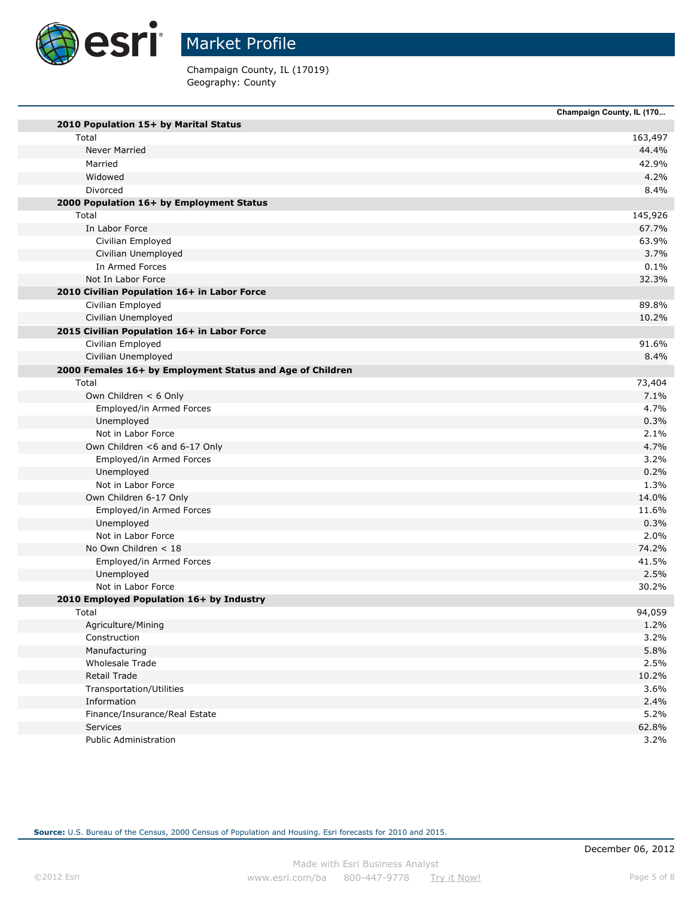

Champaign County, IL (17019) Geography: County

|                                                           | Champaign County, IL (170 |
|-----------------------------------------------------------|---------------------------|
| 2010 Population 15+ by Marital Status                     |                           |
| Total                                                     | 163,497                   |
| <b>Never Married</b>                                      | 44.4%                     |
| Married                                                   | 42.9%                     |
| Widowed                                                   |                           |
| Divorced                                                  |                           |
| 2000 Population 16+ by Employment Status                  |                           |
| Total                                                     | 145,926                   |
| In Labor Force                                            | 67.7%                     |
| Civilian Employed                                         | 63.9%                     |
| Civilian Unemployed                                       |                           |
| In Armed Forces                                           |                           |
| Not In Labor Force                                        | 32.3%                     |
| 2010 Civilian Population 16+ in Labor Force               |                           |
| Civilian Employed                                         | 89.8%                     |
| Civilian Unemployed                                       | 10.2%                     |
| 2015 Civilian Population 16+ in Labor Force               |                           |
| Civilian Employed                                         | 91.6%                     |
| Civilian Unemployed                                       |                           |
| 2000 Females 16+ by Employment Status and Age of Children |                           |
| Total                                                     | 73,404                    |
| Own Children < 6 Only                                     |                           |
| Employed/in Armed Forces                                  |                           |
| Unemployed                                                |                           |
| Not in Labor Force                                        |                           |
| Own Children <6 and 6-17 Only                             |                           |
| Employed/in Armed Forces                                  |                           |
| Unemployed                                                |                           |
| Not in Labor Force                                        |                           |
| Own Children 6-17 Only                                    | 14.0%                     |
| Employed/in Armed Forces                                  | 11.6%                     |
| Unemployed                                                |                           |
| Not in Labor Force                                        |                           |
| No Own Children < 18                                      | 74.2%                     |
| Employed/in Armed Forces                                  | 41.5%                     |
| Unemployed                                                |                           |
| Not in Labor Force                                        | 30.2%                     |
| 2010 Employed Population 16+ by Industry                  |                           |
| Total                                                     | 94,059                    |
| Agriculture/Mining                                        |                           |
| Construction                                              |                           |
| Manufacturing                                             |                           |
| Wholesale Trade                                           |                           |
| <b>Retail Trade</b>                                       | 10.2%                     |
| Transportation/Utilities                                  |                           |
| Information                                               |                           |
| Finance/Insurance/Real Estate                             |                           |
| Services                                                  | 62.8%                     |
| <b>Public Administration</b>                              |                           |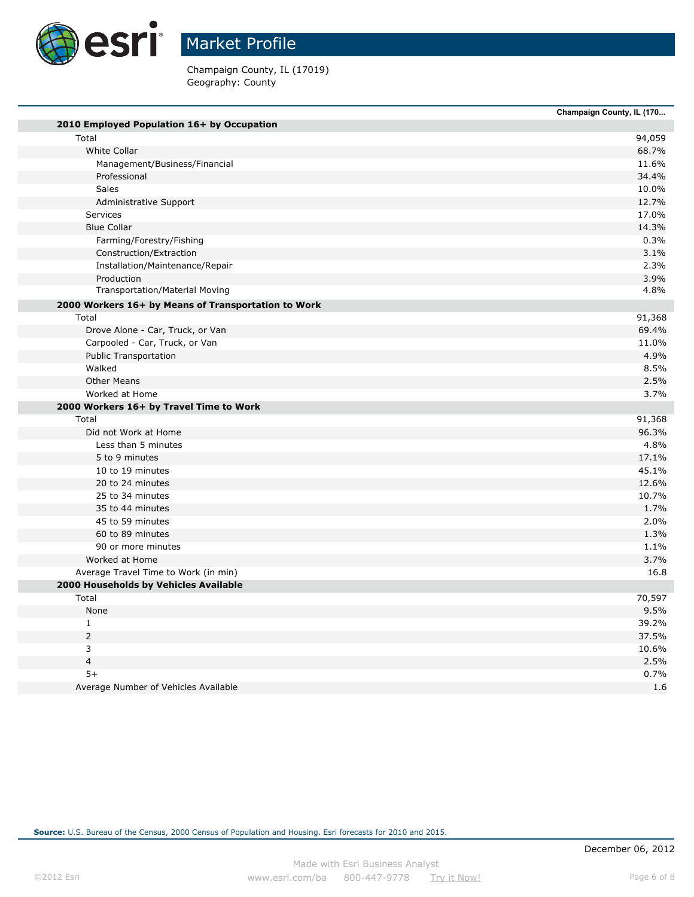

Champaign County, IL (17019) Geography: County

|                                                     | Champaign County, IL (170 |
|-----------------------------------------------------|---------------------------|
| 2010 Employed Population 16+ by Occupation          |                           |
| Total                                               | 94,059                    |
| White Collar                                        | 68.7%                     |
| Management/Business/Financial                       | 11.6%                     |
| Professional                                        | 34.4%                     |
| Sales                                               | 10.0%                     |
| Administrative Support                              | 12.7%                     |
| <b>Services</b>                                     | 17.0%                     |
| <b>Blue Collar</b>                                  | 14.3%                     |
| Farming/Forestry/Fishing                            | 0.3%                      |
| Construction/Extraction                             | 3.1%                      |
| Installation/Maintenance/Repair                     | 2.3%                      |
| Production                                          | 3.9%                      |
| <b>Transportation/Material Moving</b>               | 4.8%                      |
| 2000 Workers 16+ by Means of Transportation to Work |                           |
| Total                                               | 91,368                    |
| Drove Alone - Car, Truck, or Van                    | 69.4%                     |
| Carpooled - Car, Truck, or Van                      | 11.0%                     |
| <b>Public Transportation</b>                        | 4.9%                      |
| Walked                                              | 8.5%                      |
| <b>Other Means</b>                                  | 2.5%                      |
| Worked at Home                                      | 3.7%                      |
| 2000 Workers 16+ by Travel Time to Work             |                           |
| Total                                               | 91,368                    |
| Did not Work at Home                                | 96.3%                     |
| Less than 5 minutes                                 | 4.8%                      |
| 5 to 9 minutes                                      | 17.1%                     |
| 10 to 19 minutes                                    | 45.1%                     |
| 20 to 24 minutes                                    | 12.6%                     |
| 25 to 34 minutes                                    | 10.7%                     |
| 35 to 44 minutes                                    | 1.7%                      |
| 45 to 59 minutes                                    | 2.0%                      |
| 60 to 89 minutes                                    | 1.3%                      |
| 90 or more minutes                                  | 1.1%                      |
| Worked at Home                                      | 3.7%                      |
| Average Travel Time to Work (in min)                |                           |
| 2000 Households by Vehicles Available               |                           |
| Total                                               | 70,597                    |
| None                                                | 9.5%                      |
| $\mathbf{1}$                                        | 39.2%                     |
| $\overline{2}$                                      | 37.5%                     |
| 3                                                   | 10.6%                     |
| $\overline{\mathbf{4}}$                             | 2.5%                      |
|                                                     |                           |
| $5+$                                                | 0.7%                      |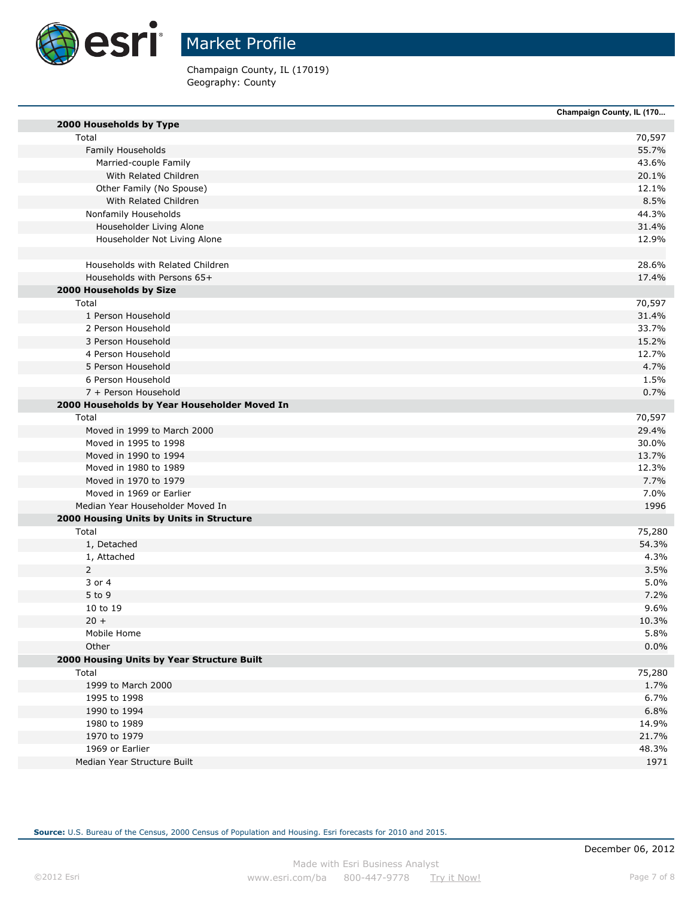

Champaign County, IL (17019) Geography: County

|                                              | Champaign County, IL (170 |
|----------------------------------------------|---------------------------|
| 2000 Households by Type                      |                           |
| Total                                        | 70,597                    |
| Family Households                            | 55.7%                     |
| Married-couple Family                        | 43.6%                     |
| With Related Children                        | 20.1%                     |
| Other Family (No Spouse)                     | 12.1%                     |
| With Related Children                        | 8.5%                      |
| Nonfamily Households                         | 44.3%                     |
| Householder Living Alone                     | 31.4%                     |
| Householder Not Living Alone                 | 12.9%                     |
| Households with Related Children             | 28.6%                     |
| Households with Persons 65+                  | 17.4%                     |
| 2000 Households by Size                      |                           |
| Total                                        | 70,597                    |
| 1 Person Household                           | 31.4%                     |
| 2 Person Household                           | 33.7%                     |
| 3 Person Household                           | 15.2%                     |
| 4 Person Household                           | 12.7%                     |
| 5 Person Household                           | 4.7%                      |
| 6 Person Household                           | 1.5%                      |
| 7 + Person Household                         | 0.7%                      |
| 2000 Households by Year Householder Moved In |                           |
| Total                                        | 70,597                    |
| Moved in 1999 to March 2000                  | 29.4%                     |
| Moved in 1995 to 1998                        | 30.0%                     |
| Moved in 1990 to 1994                        | 13.7%                     |
| Moved in 1980 to 1989                        | 12.3%                     |
| Moved in 1970 to 1979                        | 7.7%                      |
| Moved in 1969 or Earlier                     | 7.0%                      |
| Median Year Householder Moved In             | 1996                      |
| 2000 Housing Units by Units in Structure     |                           |
| Total                                        | 75,280                    |
| 1, Detached                                  | 54.3%                     |
| 1, Attached                                  | 4.3%                      |
| $\overline{2}$                               | 3.5%                      |
| 3 or 4                                       | 5.0%                      |
| 5 to 9                                       | 7.2%                      |
| 10 to 19                                     | 9.6%                      |
| $20 +$                                       | 10.3%                     |
| Mobile Home                                  | 5.8%                      |
| Other                                        | 0.0%                      |
| 2000 Housing Units by Year Structure Built   |                           |
| Total                                        | 75,280                    |
| 1999 to March 2000                           | 1.7%                      |
| 1995 to 1998                                 | 6.7%                      |
| 1990 to 1994                                 | 6.8%                      |
| 1980 to 1989                                 | 14.9%                     |
| 1970 to 1979                                 | 21.7%                     |
| 1969 or Earlier                              | 48.3%                     |
| Median Year Structure Built                  | 1971                      |
|                                              |                           |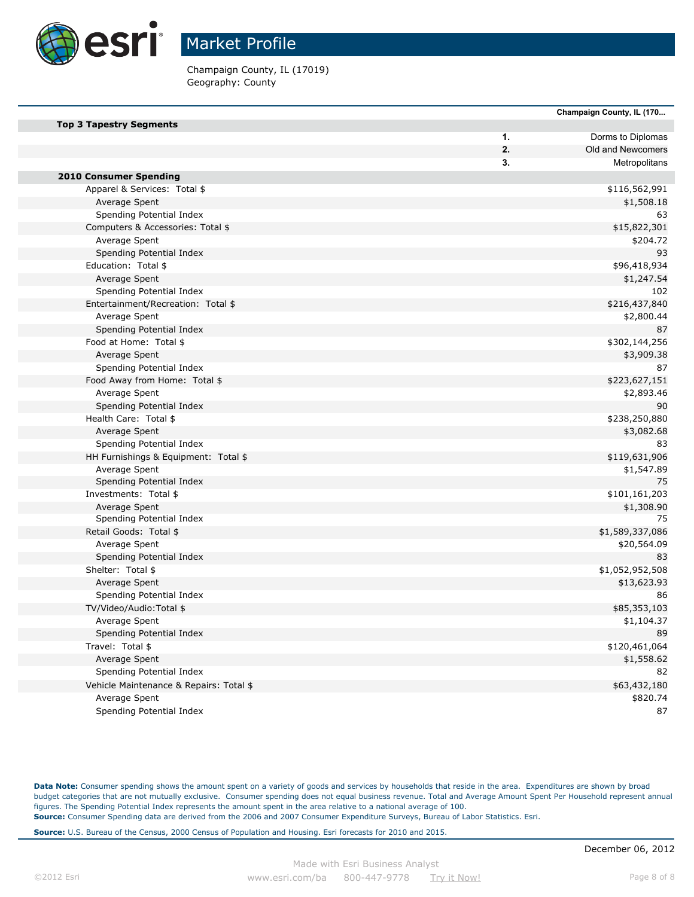

Champaign County, IL (17019) Geography: County

|                                         |    | Champaign County, IL (170 |
|-----------------------------------------|----|---------------------------|
| <b>Top 3 Tapestry Segments</b>          |    |                           |
|                                         | 1. | Dorms to Diplomas         |
|                                         | 2. | Old and Newcomers         |
|                                         | 3. | Metropolitans             |
| <b>2010 Consumer Spending</b>           |    |                           |
| Apparel & Services: Total \$            |    | \$116,562,991             |
| Average Spent                           |    | \$1,508.18                |
| Spending Potential Index                |    | 63                        |
| Computers & Accessories: Total \$       |    | \$15,822,301              |
| Average Spent                           |    | \$204.72                  |
| Spending Potential Index                |    | 93                        |
| Education: Total \$                     |    | \$96,418,934              |
| Average Spent                           |    | \$1,247.54                |
| Spending Potential Index                |    | 102                       |
| Entertainment/Recreation: Total \$      |    | \$216,437,840             |
| Average Spent                           |    | \$2,800.44                |
| Spending Potential Index                |    | 87                        |
| Food at Home: Total \$                  |    | \$302,144,256             |
| Average Spent                           |    | \$3,909.38                |
| Spending Potential Index                |    | 87                        |
| Food Away from Home: Total \$           |    | \$223,627,151             |
| Average Spent                           |    | \$2,893.46                |
| Spending Potential Index                |    | 90                        |
| Health Care: Total \$                   |    | \$238,250,880             |
| Average Spent                           |    | \$3,082.68                |
| Spending Potential Index                |    | 83                        |
| HH Furnishings & Equipment: Total \$    |    | \$119,631,906             |
| Average Spent                           |    | \$1,547.89                |
| Spending Potential Index                |    | 75                        |
| Investments: Total \$                   |    | \$101,161,203             |
| Average Spent                           |    | \$1,308.90                |
| Spending Potential Index                |    | 75                        |
| Retail Goods: Total \$                  |    | \$1,589,337,086           |
| Average Spent                           |    | \$20,564.09               |
| Spending Potential Index                |    | 83                        |
| Shelter: Total \$                       |    | \$1,052,952,508           |
| Average Spent                           |    | \$13,623.93               |
| Spending Potential Index                |    | 86                        |
| TV/Video/Audio:Total \$                 |    | \$85,353,103              |
| Average Spent                           |    | \$1,104.37                |
| Spending Potential Index                |    | 89                        |
| Travel: Total \$                        |    | \$120,461,064             |
| Average Spent                           |    | \$1,558.62                |
| Spending Potential Index                |    | 82                        |
| Vehicle Maintenance & Repairs: Total \$ |    | \$63,432,180              |
| Average Spent                           |    | \$820.74                  |
| Spending Potential Index                |    | 87                        |
|                                         |    |                           |

**Data Note:** Consumer spending shows the amount spent on a variety of goods and services by households that reside in the area. Expenditures are shown by broad budget categories that are not mutually exclusive. Consumer spending does not equal business revenue. Total and Average Amount Spent Per Household represent annual figures. The Spending Potential Index represents the amount spent in the area relative to a national average of 100. **Source:** Consumer Spending data are derived from the 2006 and 2007 Consumer Expenditure Surveys, Bureau of Labor Statistics. Esri.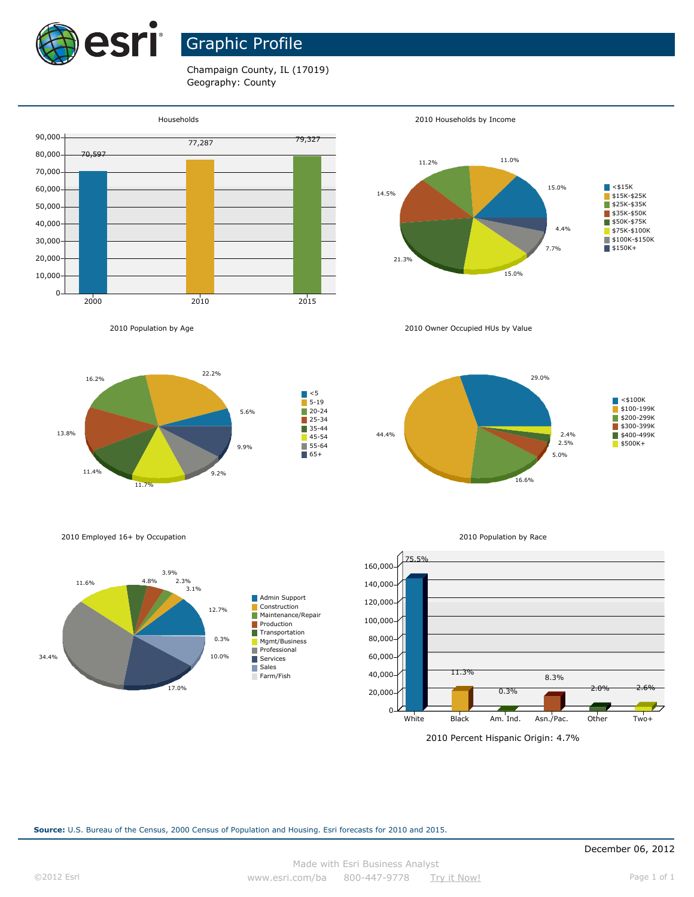

# Graphic Profile

Champaign County, IL (17019) Geography: County





2010 Owner Occupied HUs by Value









2010 Employed 16+ by Occupation

2010 Population by Age

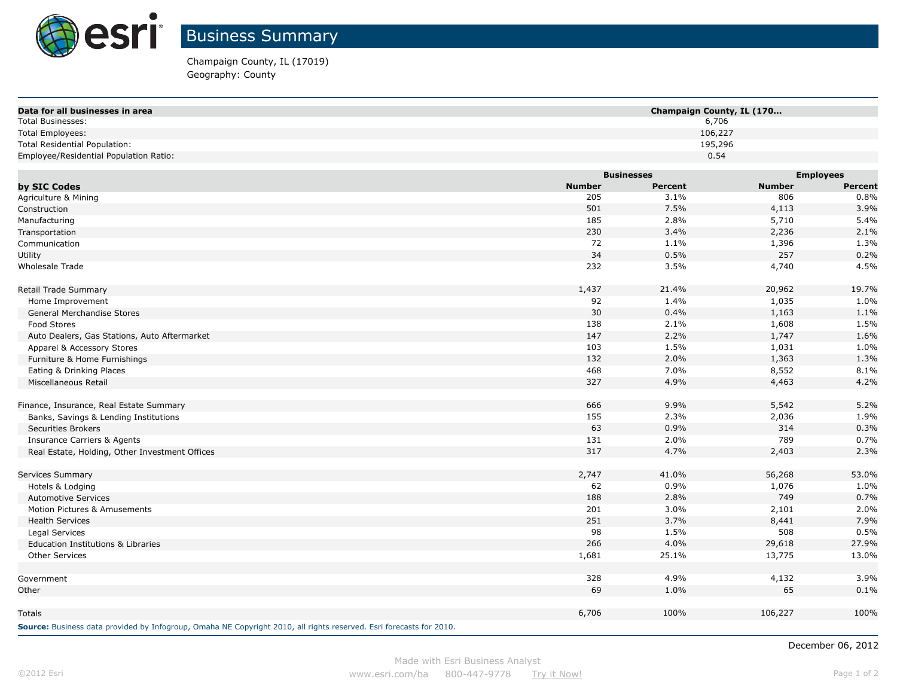

Champaign County, IL (17019) Geography: County

| Data for all businesses in area                | Champaign County, IL (170 |                |               |                  |
|------------------------------------------------|---------------------------|----------------|---------------|------------------|
| <b>Total Businesses:</b>                       |                           | 6,706          |               |                  |
| <b>Total Employees:</b>                        |                           | 106,227        |               |                  |
| <b>Total Residential Population:</b>           |                           | 195,296        |               |                  |
| Employee/Residential Population Ratio:         |                           | 0.54           |               |                  |
|                                                | <b>Businesses</b>         |                |               | <b>Employees</b> |
| by SIC Codes                                   | <b>Number</b>             | <b>Percent</b> | <b>Number</b> | <b>Percent</b>   |
| Agriculture & Mining                           | 205                       | 3.1%           | 806           | 0.8%             |
| Construction                                   | 501                       | 7.5%           | 4,113         | 3.9%             |
| Manufacturing                                  | 185                       | 2.8%           | 5,710         | 5.4%             |
| Transportation                                 | 230                       | 3.4%           | 2,236         | 2.1%             |
| Communication                                  | 72                        | 1.1%           | 1,396         | 1.3%             |
| Utility                                        | 34                        | 0.5%           | 257           | 0.2%             |
| <b>Wholesale Trade</b>                         | 232                       | 3.5%           | 4,740         | 4.5%             |
|                                                |                           |                |               |                  |
| Retail Trade Summary                           | 1,437                     | 21.4%          | 20,962        | 19.7%            |
| Home Improvement                               | 92                        | 1.4%           | 1,035         | 1.0%             |
| General Merchandise Stores                     | 30                        | 0.4%           | 1,163         | 1.1%             |
| Food Stores                                    | 138                       | 2.1%           | 1,608         | 1.5%             |
| Auto Dealers, Gas Stations, Auto Aftermarket   | 147                       | 2.2%           | 1,747         | 1.6%             |
| Apparel & Accessory Stores                     | 103                       | 1.5%           | 1,031         | 1.0%             |
| Furniture & Home Furnishings                   | 132                       | 2.0%           | 1,363         | 1.3%             |
| Eating & Drinking Places                       | 468                       | 7.0%           | 8,552         | 8.1%             |
| Miscellaneous Retail                           | 327                       | 4.9%           | 4,463         | 4.2%             |
|                                                |                           |                |               |                  |
| Finance, Insurance, Real Estate Summary        | 666                       | 9.9%           | 5,542         | 5.2%             |
| Banks, Savings & Lending Institutions          | 155                       | 2.3%           | 2,036         | 1.9%             |
| <b>Securities Brokers</b>                      | 63                        | 0.9%           | 314           | 0.3%             |
| <b>Insurance Carriers &amp; Agents</b>         | 131                       | 2.0%           | 789           | 0.7%             |
| Real Estate, Holding, Other Investment Offices | 317                       | 4.7%           | 2,403         | 2.3%             |
|                                                |                           |                |               |                  |
| Services Summary                               | 2,747                     | 41.0%          | 56,268        | 53.0%            |
| Hotels & Lodging                               | 62                        | 0.9%           | 1,076         | 1.0%             |
| <b>Automotive Services</b>                     | 188                       | 2.8%           | 749           | 0.7%             |
| Motion Pictures & Amusements                   | 201                       | 3.0%           | 2,101         | 2.0%             |
| <b>Health Services</b>                         | 251                       | 3.7%           | 8,441         | 7.9%             |
| Legal Services                                 | 98                        | 1.5%           | 508           | 0.5%             |
| <b>Education Institutions &amp; Libraries</b>  | 266                       | 4.0%           | 29,618        | 27.9%            |
| <b>Other Services</b>                          | 1,681                     | 25.1%          | 13,775        | 13.0%            |
|                                                |                           |                |               |                  |
| Government                                     | 328                       | 4.9%           | 4,132         | 3.9%             |
| Other                                          | 69                        | 1.0%           | 65            | 0.1%             |
|                                                |                           |                |               |                  |
| Totals                                         | 6,706                     | 100%           | 106,227       | 100%             |
|                                                |                           |                |               |                  |

**Source:** Business data provided by Infogroup, Omaha NE Copyright 2010, all rights reserved. Esri forecasts for 2010.

December 06, 2012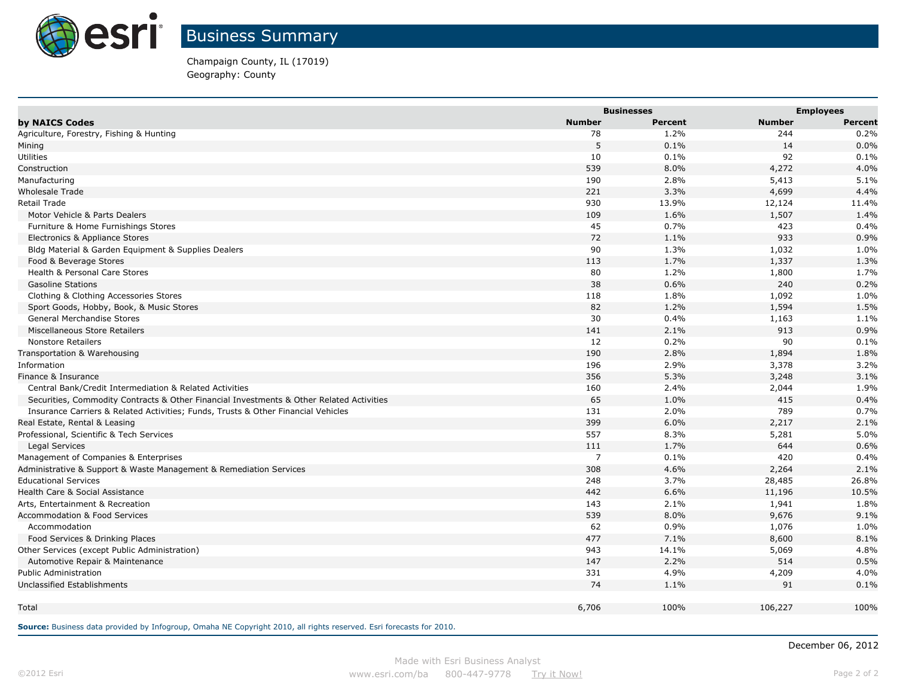

Champaign County, IL (17019) Geography: County

|                                                                                          | <b>Businesses</b> |                |               | <b>Employees</b> |  |
|------------------------------------------------------------------------------------------|-------------------|----------------|---------------|------------------|--|
| by NAICS Codes                                                                           | <b>Number</b>     | <b>Percent</b> | <b>Number</b> | <b>Percent</b>   |  |
| Agriculture, Forestry, Fishing & Hunting                                                 | 78                | 1.2%           | 244           | 0.2%             |  |
| Mining                                                                                   | 5                 | 0.1%           | 14            | 0.0%             |  |
| Utilities                                                                                | 10                | 0.1%           | 92            | 0.1%             |  |
| Construction                                                                             | 539               | 8.0%           | 4,272         | 4.0%             |  |
| Manufacturing                                                                            | 190               | 2.8%           | 5,413         | 5.1%             |  |
| <b>Wholesale Trade</b>                                                                   | 221               | 3.3%           | 4,699         | 4.4%             |  |
| <b>Retail Trade</b>                                                                      | 930               | 13.9%          | 12,124        | 11.4%            |  |
| Motor Vehicle & Parts Dealers                                                            | 109               | 1.6%           | 1,507         | 1.4%             |  |
| Furniture & Home Furnishings Stores                                                      | 45                | 0.7%           | 423           | 0.4%             |  |
| Electronics & Appliance Stores                                                           | 72                | 1.1%           | 933           | 0.9%             |  |
| Bldg Material & Garden Equipment & Supplies Dealers                                      | 90                | 1.3%           | 1,032         | 1.0%             |  |
| Food & Beverage Stores                                                                   | 113               | 1.7%           | 1,337         | 1.3%             |  |
| Health & Personal Care Stores                                                            | 80                | 1.2%           | 1,800         | 1.7%             |  |
| <b>Gasoline Stations</b>                                                                 | 38                | 0.6%           | 240           | 0.2%             |  |
| Clothing & Clothing Accessories Stores                                                   | 118               | 1.8%           | 1,092         | 1.0%             |  |
| Sport Goods, Hobby, Book, & Music Stores                                                 | 82                | 1.2%           | 1,594         | 1.5%             |  |
| General Merchandise Stores                                                               | 30                | 0.4%           | 1,163         | 1.1%             |  |
| Miscellaneous Store Retailers                                                            | 141               | 2.1%           | 913           | 0.9%             |  |
| <b>Nonstore Retailers</b>                                                                | 12                | 0.2%           | 90            | 0.1%             |  |
| Transportation & Warehousing                                                             | 190               | 2.8%           | 1,894         | 1.8%             |  |
| Information                                                                              | 196               | 2.9%           | 3,378         | 3.2%             |  |
| Finance & Insurance                                                                      | 356               | 5.3%           | 3,248         | 3.1%             |  |
| Central Bank/Credit Intermediation & Related Activities                                  | 160               | 2.4%           | 2,044         | 1.9%             |  |
| Securities, Commodity Contracts & Other Financial Investments & Other Related Activities | 65                | 1.0%           | 415           | 0.4%             |  |
| Insurance Carriers & Related Activities; Funds, Trusts & Other Financial Vehicles        | 131               | 2.0%           | 789           | 0.7%             |  |
| Real Estate, Rental & Leasing                                                            | 399               | 6.0%           | 2,217         | 2.1%             |  |
| Professional, Scientific & Tech Services                                                 | 557               | 8.3%           | 5,281         | 5.0%             |  |
| <b>Legal Services</b>                                                                    | 111               | 1.7%           | 644           | 0.6%             |  |
| Management of Companies & Enterprises                                                    | $\overline{7}$    | 0.1%           | 420           | 0.4%             |  |
| Administrative & Support & Waste Management & Remediation Services                       | 308               | 4.6%           | 2,264         | 2.1%             |  |
| <b>Educational Services</b>                                                              | 248               | 3.7%           | 28,485        | 26.8%            |  |
| Health Care & Social Assistance                                                          | 442               | 6.6%           | 11,196        | 10.5%            |  |
| Arts, Entertainment & Recreation                                                         | 143               | 2.1%           | 1,941         | 1.8%             |  |
| <b>Accommodation &amp; Food Services</b>                                                 | 539               | 8.0%           | 9,676         | 9.1%             |  |
| Accommodation                                                                            | 62                | 0.9%           | 1,076         | 1.0%             |  |
| Food Services & Drinking Places                                                          | 477               | 7.1%           | 8,600         | 8.1%             |  |
| Other Services (except Public Administration)                                            | 943               | 14.1%          | 5,069         | 4.8%             |  |
| Automotive Repair & Maintenance                                                          | 147               | 2.2%           | 514           | 0.5%             |  |
| <b>Public Administration</b>                                                             | 331               | 4.9%           | 4,209         | 4.0%             |  |
| Unclassified Establishments                                                              | 74                | 1.1%           | 91            | 0.1%             |  |
| Total                                                                                    | 6,706             | 100%           | 106,227       | 100%             |  |
|                                                                                          |                   |                |               |                  |  |

**Source:** Business data provided by Infogroup, Omaha NE Copyright 2010, all rights reserved. Esri forecasts for 2010.

December 06, 2012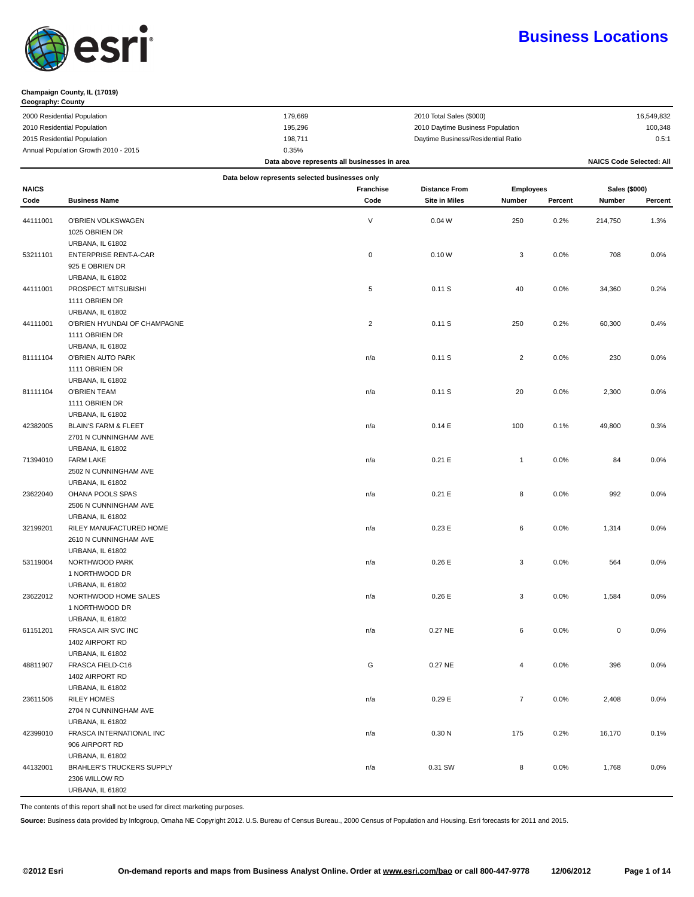

#### **Champaign County, IL (17019)**

| Geography: County                    |         |                                    |            |
|--------------------------------------|---------|------------------------------------|------------|
| 2000 Residential Population          | 179.669 | 2010 Total Sales (\$000)           | 16,549,832 |
| 2010 Residential Population          | 195,296 | 2010 Daytime Business Population   | 100,348    |
| 2015 Residential Population          | 198.711 | Daytime Business/Residential Ratio | 0.5:1      |
| Annual Population Growth 2010 - 2015 | 0.35%   |                                    |            |

|                                                |                                             | Data above represents all businesses in area |                  |                      |                  |         | <b>NAICS Code Selected: All</b> |         |
|------------------------------------------------|---------------------------------------------|----------------------------------------------|------------------|----------------------|------------------|---------|---------------------------------|---------|
| Data below represents selected businesses only |                                             |                                              |                  |                      |                  |         |                                 |         |
| <b>NAICS</b>                                   |                                             |                                              | <b>Franchise</b> | <b>Distance From</b> | <b>Employees</b> |         | Sales (\$000)                   |         |
| Code                                           | <b>Business Name</b>                        |                                              | Code             | <b>Site in Miles</b> | Number           | Percent | Number                          | Percent |
|                                                |                                             |                                              |                  |                      |                  |         |                                 |         |
| 44111001                                       | O'BRIEN VOLKSWAGEN                          |                                              | V                | 0.04W                | 250              | 0.2%    | 214,750                         | 1.3%    |
|                                                | 1025 OBRIEN DR                              |                                              |                  |                      |                  |         |                                 |         |
|                                                | URBANA, IL 61802                            |                                              |                  |                      |                  |         |                                 |         |
| 53211101                                       | ENTERPRISE RENT-A-CAR                       |                                              | 0                | 0.10W                | 3                | 0.0%    | 708                             | 0.0%    |
|                                                | 925 E OBRIEN DR                             |                                              |                  |                      |                  |         |                                 |         |
|                                                | URBANA, IL 61802                            |                                              |                  |                      |                  |         |                                 |         |
| 44111001                                       | PROSPECT MITSUBISHI                         |                                              | 5                | 0.11S                | 40               | 0.0%    | 34,360                          | 0.2%    |
|                                                | 1111 OBRIEN DR                              |                                              |                  |                      |                  |         |                                 |         |
|                                                | URBANA, IL 61802                            |                                              |                  |                      |                  |         |                                 |         |
| 44111001                                       | O'BRIEN HYUNDAI OF CHAMPAGNE                |                                              | $\overline{c}$   | 0.11S                | 250              | 0.2%    | 60,300                          | 0.4%    |
|                                                | 1111 OBRIEN DR                              |                                              |                  |                      |                  |         |                                 |         |
|                                                | URBANA, IL 61802                            |                                              |                  |                      |                  |         |                                 |         |
| 81111104                                       | O'BRIEN AUTO PARK                           |                                              | n/a              | 0.11S                | $\overline{2}$   | 0.0%    | 230                             | 0.0%    |
|                                                | 1111 OBRIEN DR                              |                                              |                  |                      |                  |         |                                 |         |
|                                                | URBANA, IL 61802                            |                                              |                  |                      |                  |         |                                 |         |
| 81111104                                       | <b>O'BRIEN TEAM</b>                         |                                              | n/a              | 0.11S                | 20               | 0.0%    | 2,300                           | 0.0%    |
|                                                | 1111 OBRIEN DR                              |                                              |                  |                      |                  |         |                                 |         |
|                                                | URBANA, IL 61802                            |                                              |                  |                      |                  |         |                                 |         |
| 42382005                                       | <b>BLAIN'S FARM &amp; FLEET</b>             |                                              | n/a              | 0.14E                | 100              | 0.1%    | 49,800                          | 0.3%    |
|                                                | 2701 N CUNNINGHAM AVE                       |                                              |                  |                      |                  |         |                                 |         |
|                                                | <b>URBANA, IL 61802</b>                     |                                              |                  |                      |                  |         |                                 |         |
| 71394010                                       | <b>FARM LAKE</b><br>2502 N CUNNINGHAM AVE   |                                              | n/a              | 0.21 E               | $\mathbf{1}$     | 0.0%    | 84                              | 0.0%    |
|                                                |                                             |                                              |                  |                      |                  |         |                                 |         |
| 23622040                                       | <b>URBANA, IL 61802</b><br>OHANA POOLS SPAS |                                              | n/a              | 0.21 E               | 8                | 0.0%    | 992                             | 0.0%    |
|                                                | 2506 N CUNNINGHAM AVE                       |                                              |                  |                      |                  |         |                                 |         |
|                                                | <b>URBANA, IL 61802</b>                     |                                              |                  |                      |                  |         |                                 |         |
| 32199201                                       | RILEY MANUFACTURED HOME                     |                                              | n/a              | 0.23E                | 6                | 0.0%    | 1,314                           | 0.0%    |
|                                                | 2610 N CUNNINGHAM AVE                       |                                              |                  |                      |                  |         |                                 |         |
|                                                | URBANA, IL 61802                            |                                              |                  |                      |                  |         |                                 |         |
| 53119004                                       | NORTHWOOD PARK                              |                                              | n/a              | 0.26E                | 3                | 0.0%    | 564                             | 0.0%    |
|                                                | 1 NORTHWOOD DR                              |                                              |                  |                      |                  |         |                                 |         |
|                                                | <b>URBANA, IL 61802</b>                     |                                              |                  |                      |                  |         |                                 |         |
| 23622012                                       | NORTHWOOD HOME SALES                        |                                              | n/a              | 0.26E                | 3                | 0.0%    | 1,584                           | 0.0%    |
|                                                | 1 NORTHWOOD DR                              |                                              |                  |                      |                  |         |                                 |         |
|                                                | URBANA, IL 61802                            |                                              |                  |                      |                  |         |                                 |         |
| 61151201                                       | FRASCA AIR SVC INC                          |                                              | n/a              | 0.27 NE              | 6                | 0.0%    | $\mathsf 0$                     | 0.0%    |
|                                                | 1402 AIRPORT RD                             |                                              |                  |                      |                  |         |                                 |         |
|                                                | <b>URBANA, IL 61802</b>                     |                                              |                  |                      |                  |         |                                 |         |
| 48811907                                       | FRASCA FIELD-C16                            |                                              | G                | 0.27 NE              |                  | 0.0%    | 396                             | 0.0%    |
|                                                | 1402 AIRPORT RD                             |                                              |                  |                      |                  |         |                                 |         |
|                                                | URBANA, IL 61802                            |                                              |                  |                      |                  |         |                                 |         |
| 23611506                                       | <b>RILEY HOMES</b>                          |                                              | n/a              | 0.29E                | $\overline{7}$   | 0.0%    | 2,408                           | $0.0\%$ |
|                                                | 2704 N CUNNINGHAM AVE                       |                                              |                  |                      |                  |         |                                 |         |
|                                                | URBANA, IL 61802                            |                                              |                  |                      |                  |         |                                 |         |
| 42399010                                       | FRASCA INTERNATIONAL INC                    |                                              | n/a              | 0.30 <sub>N</sub>    | 175              | 0.2%    | 16,170                          | 0.1%    |
|                                                | 906 AIRPORT RD                              |                                              |                  |                      |                  |         |                                 |         |
|                                                | <b>URBANA, IL 61802</b>                     |                                              |                  |                      |                  |         |                                 |         |
| 44132001                                       | <b>BRAHLER'S TRUCKERS SUPPLY</b>            |                                              | n/a              | 0.31 SW              | 8                | 0.0%    | 1,768                           | 0.0%    |
|                                                | 2306 WILLOW RD                              |                                              |                  |                      |                  |         |                                 |         |
|                                                | URBANA, IL 61802                            |                                              |                  |                      |                  |         |                                 |         |

The contents of this report shall not be used for direct marketing purposes.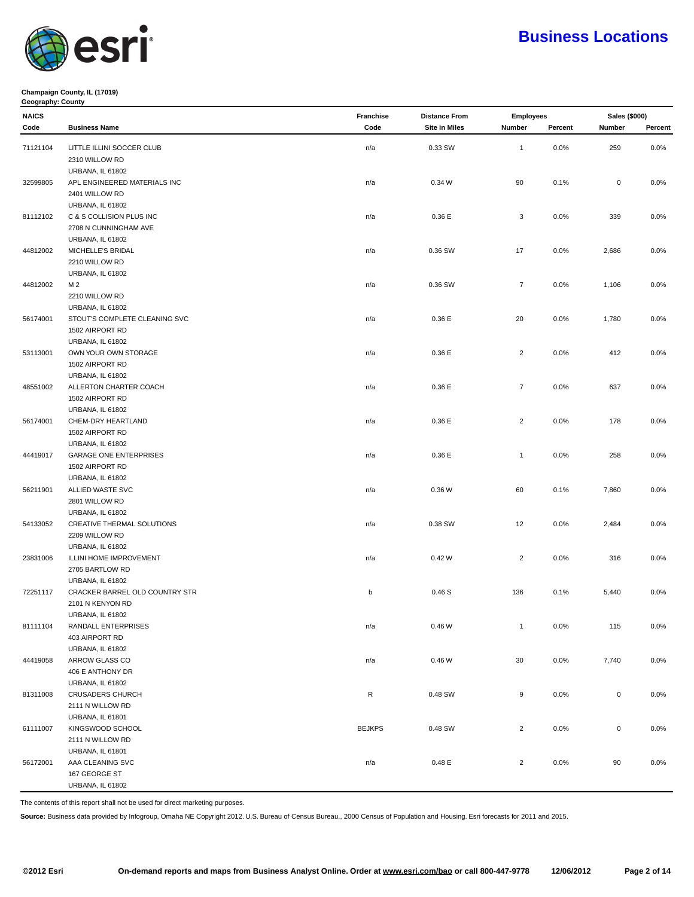

#### **Champaign County, IL (17019) Geography: County**

| <b>NAICS</b> |                                | Franchise     | <b>Distance From</b> |                | <b>Employees</b> |                  | Sales (\$000) |
|--------------|--------------------------------|---------------|----------------------|----------------|------------------|------------------|---------------|
| Code         | <b>Business Name</b>           | Code          | <b>Site in Miles</b> | Number         | Percent          | Number           | Percent       |
| 71121104     | LITTLE ILLINI SOCCER CLUB      | n/a           | 0.33 SW              | $\mathbf{1}$   | 0.0%             | 259              | $0.0\%$       |
|              | 2310 WILLOW RD                 |               |                      |                |                  |                  |               |
|              | <b>URBANA, IL 61802</b>        |               |                      |                |                  |                  |               |
| 32599805     | APL ENGINEERED MATERIALS INC   | n/a           | 0.34 W               | 90             | 0.1%             | $\boldsymbol{0}$ | 0.0%          |
|              | 2401 WILLOW RD                 |               |                      |                |                  |                  |               |
|              |                                |               |                      |                |                  |                  |               |
|              | URBANA, IL 61802               |               |                      |                |                  |                  |               |
| 81112102     | C & S COLLISION PLUS INC       | n/a           | 0.36 E               | 3              | 0.0%             | 339              | 0.0%          |
|              | 2708 N CUNNINGHAM AVE          |               |                      |                |                  |                  |               |
|              | <b>URBANA, IL 61802</b>        |               |                      |                |                  |                  |               |
| 44812002     | MICHELLE'S BRIDAL              | n/a           | 0.36 SW              | 17             | 0.0%             | 2,686            | 0.0%          |
|              | 2210 WILLOW RD                 |               |                      |                |                  |                  |               |
|              | URBANA, IL 61802               |               |                      |                |                  |                  |               |
| 44812002     | M 2                            | n/a           | 0.36 SW              | $\overline{7}$ | 0.0%             | 1,106            | 0.0%          |
|              | 2210 WILLOW RD                 |               |                      |                |                  |                  |               |
|              | URBANA, IL 61802               |               |                      |                |                  |                  |               |
| 56174001     | STOUT'S COMPLETE CLEANING SVC  | n/a           | 0.36 E               | 20             | 0.0%             | 1,780            | $0.0\%$       |
|              | 1502 AIRPORT RD                |               |                      |                |                  |                  |               |
|              | URBANA, IL 61802               |               |                      |                |                  |                  |               |
| 53113001     | OWN YOUR OWN STORAGE           | n/a           | 0.36 E               | $\overline{2}$ | 0.0%             | 412              | 0.0%          |
|              | 1502 AIRPORT RD                |               |                      |                |                  |                  |               |
|              | URBANA, IL 61802               |               |                      |                |                  |                  |               |
| 48551002     | ALLERTON CHARTER COACH         | n/a           | 0.36 E               | $\overline{7}$ | 0.0%             | 637              | 0.0%          |
|              | 1502 AIRPORT RD                |               |                      |                |                  |                  |               |
|              | <b>URBANA, IL 61802</b>        |               |                      |                |                  |                  |               |
| 56174001     | CHEM-DRY HEARTLAND             | n/a           | 0.36 E               | $\overline{2}$ | 0.0%             | 178              | 0.0%          |
|              | 1502 AIRPORT RD                |               |                      |                |                  |                  |               |
|              | <b>URBANA, IL 61802</b>        |               |                      |                |                  |                  |               |
| 44419017     | <b>GARAGE ONE ENTERPRISES</b>  | n/a           | 0.36 E               | $\mathbf{1}$   | 0.0%             | 258              | 0.0%          |
|              | 1502 AIRPORT RD                |               |                      |                |                  |                  |               |
|              | <b>URBANA, IL 61802</b>        |               |                      |                |                  |                  |               |
| 56211901     | ALLIED WASTE SVC               | n/a           | 0.36 W               | 60             | 0.1%             | 7,860            | 0.0%          |
|              | 2801 WILLOW RD                 |               |                      |                |                  |                  |               |
|              | <b>URBANA, IL 61802</b>        |               |                      |                |                  |                  |               |
| 54133052     | CREATIVE THERMAL SOLUTIONS     | n/a           | 0.38 SW              | 12             | 0.0%             | 2,484            | 0.0%          |
|              | 2209 WILLOW RD                 |               |                      |                |                  |                  |               |
|              | <b>URBANA, IL 61802</b>        |               |                      |                |                  |                  |               |
| 23831006     | ILLINI HOME IMPROVEMENT        | n/a           | 0.42W                | $\overline{2}$ | 0.0%             | 316              | 0.0%          |
|              | 2705 BARTLOW RD                |               |                      |                |                  |                  |               |
|              | <b>URBANA, IL 61802</b>        |               |                      |                |                  |                  |               |
| 72251117     | CRACKER BARREL OLD COUNTRY STR | b             | 0.46S                | 136            | 0.1%             | 5,440            | 0.0%          |
|              | 2101 N KENYON RD               |               |                      |                |                  |                  |               |
|              | URBANA, IL 61802               |               |                      |                |                  |                  |               |
| 81111104     | RANDALL ENTERPRISES            | n/a           | 0.46W                | $\mathbf{1}$   | 0.0%             | 115              | 0.0%          |
|              | 403 AIRPORT RD                 |               |                      |                |                  |                  |               |
|              | URBANA, IL 61802               |               |                      |                |                  |                  |               |
| 44419058     | ARROW GLASS CO                 | n/a           | 0.46W                | 30             | 0.0%             | 7,740            | 0.0%          |
|              | 406 E ANTHONY DR               |               |                      |                |                  |                  |               |
|              | URBANA, IL 61802               |               |                      |                |                  |                  |               |
| 81311008     | <b>CRUSADERS CHURCH</b>        | R             | 0.48 SW              | 9              | 0.0%             | $\pmb{0}$        | 0.0%          |
|              | 2111 N WILLOW RD               |               |                      |                |                  |                  |               |
|              | URBANA, IL 61801               |               |                      |                |                  |                  |               |
| 61111007     | KINGSWOOD SCHOOL               | <b>BEJKPS</b> | 0.48 SW              | $\overline{2}$ | 0.0%             | 0                | 0.0%          |
|              | 2111 N WILLOW RD               |               |                      |                |                  |                  |               |
|              | URBANA, IL 61801               |               |                      |                |                  |                  |               |
| 56172001     | AAA CLEANING SVC               | n/a           | 0.48 E               | $\overline{2}$ | 0.0%             | 90               | 0.0%          |
|              | 167 GEORGE ST                  |               |                      |                |                  |                  |               |
|              | URBANA, IL 61802               |               |                      |                |                  |                  |               |

The contents of this report shall not be used for direct marketing purposes.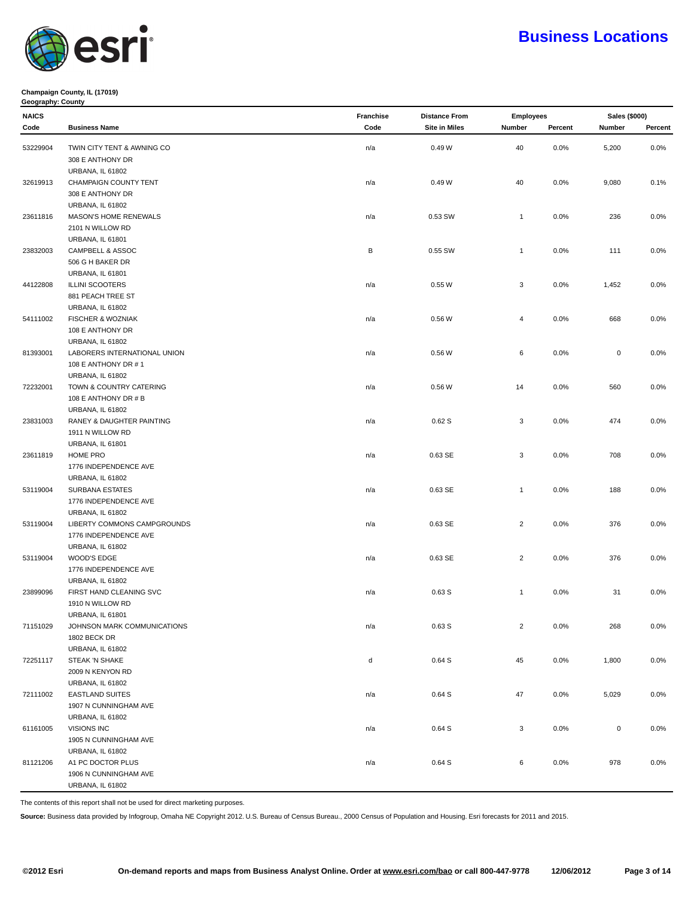

### **Champaign County, IL (17019) Geography: County**

| <b>NAICS</b> |                                                 | Franchise | <b>Distance From</b> |                | <b>Employees</b> |             | Sales (\$000) |
|--------------|-------------------------------------------------|-----------|----------------------|----------------|------------------|-------------|---------------|
| Code         | <b>Business Name</b>                            | Code      | <b>Site in Miles</b> | Number         | Percent          | Number      | Percent       |
| 53229904     | TWIN CITY TENT & AWNING CO                      | n/a       | 0.49 W               | 40             | 0.0%             | 5,200       | 0.0%          |
|              | 308 E ANTHONY DR                                |           |                      |                |                  |             |               |
|              | <b>URBANA, IL 61802</b>                         |           |                      |                |                  |             |               |
|              | CHAMPAIGN COUNTY TENT                           |           |                      |                |                  |             |               |
| 32619913     |                                                 | n/a       | 0.49W                | 40             | 0.0%             | 9,080       | 0.1%          |
|              | 308 E ANTHONY DR                                |           |                      |                |                  |             |               |
|              | URBANA, IL 61802                                |           |                      |                |                  |             |               |
| 23611816     | MASON'S HOME RENEWALS<br>2101 N WILLOW RD       | n/a       | 0.53 SW              | $\mathbf{1}$   | 0.0%             | 236         | 0.0%          |
|              |                                                 |           |                      |                |                  |             |               |
|              | URBANA, IL 61801<br>CAMPBELL & ASSOC            |           |                      |                |                  |             |               |
| 23832003     | 506 G H BAKER DR                                | В         | 0.55 SW              | $\mathbf{1}$   | 0.0%             | 111         | 0.0%          |
|              | URBANA, IL 61801                                |           |                      |                |                  |             |               |
|              | <b>ILLINI SCOOTERS</b>                          |           | 0.55W                | 3              | 0.0%             |             |               |
| 44122808     |                                                 | n/a       |                      |                |                  | 1,452       | 0.0%          |
|              | 881 PEACH TREE ST                               |           |                      |                |                  |             |               |
|              | URBANA, IL 61802<br>FISCHER & WOZNIAK           |           | 0.56W                | 4              | 0.0%             | 668         | 0.0%          |
| 54111002     | 108 E ANTHONY DR                                | n/a       |                      |                |                  |             |               |
|              | URBANA, IL 61802                                |           |                      |                |                  |             |               |
| 81393001     | LABORERS INTERNATIONAL UNION                    | n/a       | 0.56W                | 6              | 0.0%             | $\mathsf 0$ | 0.0%          |
|              | 108 E ANTHONY DR #1                             |           |                      |                |                  |             |               |
|              |                                                 |           |                      |                |                  |             |               |
| 72232001     | <b>URBANA, IL 61802</b>                         |           |                      |                |                  |             |               |
|              | TOWN & COUNTRY CATERING                         | n/a       | 0.56W                | 14             | 0.0%             | 560         | 0.0%          |
|              | 108 E ANTHONY DR # B<br><b>URBANA, IL 61802</b> |           |                      |                |                  |             |               |
| 23831003     | RANEY & DAUGHTER PAINTING                       | n/a       | 0.62S                | 3              | 0.0%             | 474         | 0.0%          |
|              | 1911 N WILLOW RD                                |           |                      |                |                  |             |               |
|              |                                                 |           |                      |                |                  |             |               |
| 23611819     | URBANA, IL 61801<br>HOME PRO                    |           | 0.63 SE              | 3              | 0.0%             | 708         | 0.0%          |
|              |                                                 | n/a       |                      |                |                  |             |               |
|              | 1776 INDEPENDENCE AVE                           |           |                      |                |                  |             |               |
|              | <b>URBANA, IL 61802</b>                         |           |                      |                |                  |             |               |
| 53119004     | SURBANA ESTATES                                 | n/a       | 0.63 SE              | $\mathbf{1}$   | 0.0%             | 188         | 0.0%          |
|              | 1776 INDEPENDENCE AVE                           |           |                      |                |                  |             |               |
| 53119004     | URBANA, IL 61802<br>LIBERTY COMMONS CAMPGROUNDS |           | 0.63 SE              | $\overline{2}$ | 0.0%             | 376         | 0.0%          |
|              | 1776 INDEPENDENCE AVE                           | n/a       |                      |                |                  |             |               |
|              | URBANA, IL 61802                                |           |                      |                |                  |             |               |
|              | WOOD'S EDGE                                     |           | 0.63 SE              | $\overline{c}$ | 0.0%             | 376         | 0.0%          |
| 53119004     | 1776 INDEPENDENCE AVE                           | n/a       |                      |                |                  |             |               |
|              | <b>URBANA, IL 61802</b>                         |           |                      |                |                  |             |               |
| 23899096     | FIRST HAND CLEANING SVC                         | n/a       | 0.63S                | $\mathbf{1}$   | $0.0\%$          | 31          | $0.0\%$       |
|              | 1910 N WILLOW RD                                |           |                      |                |                  |             |               |
|              | URBANA, IL 61801                                |           |                      |                |                  |             |               |
| 71151029     | JOHNSON MARK COMMUNICATIONS                     | n/a       | 0.63S                | $\sqrt{2}$     | 0.0%             | 268         | 0.0%          |
|              | <b>1802 BECK DR</b>                             |           |                      |                |                  |             |               |
|              | URBANA, IL 61802                                |           |                      |                |                  |             |               |
| 72251117     | STEAK 'N SHAKE                                  | d         | 0.64S                | 45             | 0.0%             | 1,800       | 0.0%          |
|              | 2009 N KENYON RD                                |           |                      |                |                  |             |               |
|              | URBANA, IL 61802                                |           |                      |                |                  |             |               |
| 72111002     | <b>EASTLAND SUITES</b>                          |           |                      |                |                  |             |               |
|              |                                                 | n/a       | 0.64S                | 47             | 0.0%             | 5,029       | 0.0%          |
|              | 1907 N CUNNINGHAM AVE                           |           |                      |                |                  |             |               |
|              | <b>URBANA, IL 61802</b>                         |           |                      |                |                  |             |               |
| 61161005     | VISIONS INC                                     | n/a       | 0.64S                | 3              | 0.0%             | $\mathsf 0$ | 0.0%          |
|              | 1905 N CUNNINGHAM AVE                           |           |                      |                |                  |             |               |
|              | URBANA, IL 61802                                |           |                      |                |                  | 978         |               |
| 81121206     | A1 PC DOCTOR PLUS<br>1906 N CUNNINGHAM AVE      | n/a       | 0.64S                | 6              | 0.0%             |             | 0.0%          |
|              |                                                 |           |                      |                |                  |             |               |
|              | URBANA, IL 61802                                |           |                      |                |                  |             |               |

The contents of this report shall not be used for direct marketing purposes.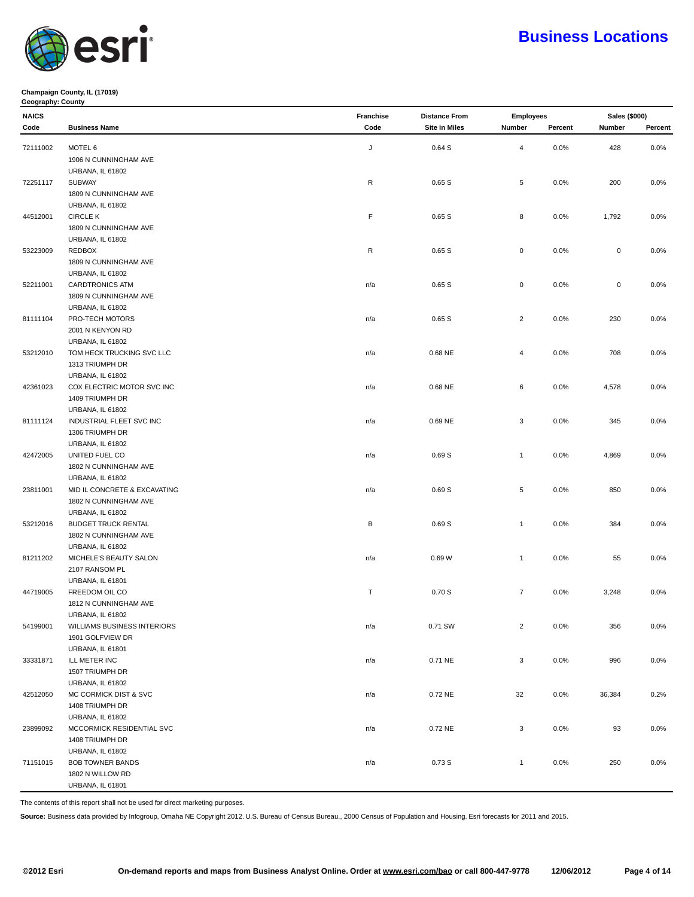

#### **Champaign County, IL (17019) Geography: County**

| <b>NAICS</b> |                              | Franchise | <b>Distance From</b> | <b>Employees</b> |         | Sales (\$000) |         |
|--------------|------------------------------|-----------|----------------------|------------------|---------|---------------|---------|
| Code         | <b>Business Name</b>         | Code      | <b>Site in Miles</b> | Number           | Percent | Number        | Percent |
|              |                              |           |                      |                  |         |               |         |
| 72111002     | MOTEL 6                      | J         | 0.64S                | 4                | 0.0%    | 428           | 0.0%    |
|              | 1906 N CUNNINGHAM AVE        |           |                      |                  |         |               |         |
|              | URBANA, IL 61802             |           |                      |                  |         |               |         |
| 72251117     | <b>SUBWAY</b>                | R         | 0.65S                | 5                | 0.0%    | 200           | 0.0%    |
|              | 1809 N CUNNINGHAM AVE        |           |                      |                  |         |               |         |
|              | URBANA, IL 61802             |           |                      |                  |         |               |         |
| 44512001     | <b>CIRCLE K</b>              | F.        | 0.65S                | 8                | 0.0%    | 1,792         | 0.0%    |
|              | 1809 N CUNNINGHAM AVE        |           |                      |                  |         |               |         |
|              | URBANA, IL 61802             |           |                      |                  |         |               |         |
| 53223009     | REDBOX                       | R         | 0.65S                | $\mathsf 0$      | 0.0%    | $\mathsf 0$   | 0.0%    |
|              | 1809 N CUNNINGHAM AVE        |           |                      |                  |         |               |         |
|              | <b>URBANA, IL 61802</b>      |           |                      |                  |         |               |         |
| 52211001     | <b>CARDTRONICS ATM</b>       | n/a       | 0.65S                | 0                | 0.0%    | $\mathsf 0$   | 0.0%    |
|              | 1809 N CUNNINGHAM AVE        |           |                      |                  |         |               |         |
|              | URBANA, IL 61802             |           |                      |                  |         |               |         |
| 81111104     | PRO-TECH MOTORS              | n/a       | 0.65S                | $\overline{2}$   | 0.0%    | 230           | 0.0%    |
|              | 2001 N KENYON RD             |           |                      |                  |         |               |         |
|              | URBANA, IL 61802             |           |                      |                  |         |               |         |
| 53212010     | TOM HECK TRUCKING SVC LLC    | n/a       | 0.68 NE              | 4                | 0.0%    | 708           | 0.0%    |
|              | 1313 TRIUMPH DR              |           |                      |                  |         |               |         |
|              | <b>URBANA, IL 61802</b>      |           |                      |                  |         |               |         |
| 42361023     | COX ELECTRIC MOTOR SVC INC   | n/a       | 0.68 NE              | 6                | 0.0%    | 4,578         | 0.0%    |
|              | 1409 TRIUMPH DR              |           |                      |                  |         |               |         |
|              | <b>URBANA, IL 61802</b>      |           |                      |                  |         |               |         |
| 81111124     | INDUSTRIAL FLEET SVC INC     | n/a       | 0.69 NE              | 3                | 0.0%    | 345           | 0.0%    |
|              | 1306 TRIUMPH DR              |           |                      |                  |         |               |         |
|              | URBANA, IL 61802             |           |                      |                  |         |               |         |
| 42472005     | UNITED FUEL CO               | n/a       | 0.69S                | $\mathbf{1}$     | 0.0%    | 4,869         | 0.0%    |
|              | 1802 N CUNNINGHAM AVE        |           |                      |                  |         |               |         |
|              | URBANA, IL 61802             |           |                      |                  |         |               |         |
| 23811001     | MID IL CONCRETE & EXCAVATING | n/a       | 0.69S                | 5                | 0.0%    | 850           | 0.0%    |
|              | 1802 N CUNNINGHAM AVE        |           |                      |                  |         |               |         |
|              | URBANA, IL 61802             |           |                      |                  |         |               |         |
| 53212016     | <b>BUDGET TRUCK RENTAL</b>   | В         | 0.69S                | $\mathbf{1}$     | 0.0%    | 384           | 0.0%    |
|              | 1802 N CUNNINGHAM AVE        |           |                      |                  |         |               |         |
|              | URBANA, IL 61802             |           |                      |                  |         |               |         |
| 81211202     | MICHELE'S BEAUTY SALON       | n/a       | 0.69W                | $\mathbf{1}$     | 0.0%    | 55            | 0.0%    |
|              | 2107 RANSOM PL               |           |                      |                  |         |               |         |
|              | URBANA, IL 61801             |           |                      |                  |         |               |         |
| 44719005     | FREEDOM OIL CO               | T         | 0.70S                | $\overline{7}$   | 0.0%    | 3,248         | 0.0%    |
|              | 1812 N CUNNINGHAM AVE        |           |                      |                  |         |               |         |
|              | URBANA, IL 61802             |           |                      |                  |         |               |         |
| 54199001     | WILLIAMS BUSINESS INTERIORS  | n/a       | 0.71 SW              | $\overline{2}$   | 0.0%    | 356           | 0.0%    |
|              | 1901 GOLFVIEW DR             |           |                      |                  |         |               |         |
|              | URBANA, IL 61801             |           |                      |                  |         |               |         |
| 33331871     | ILL METER INC                | n/a       | 0.71 NE              | 3                | 0.0%    | 996           | 0.0%    |
|              | 1507 TRIUMPH DR              |           |                      |                  |         |               |         |
|              | <b>URBANA, IL 61802</b>      |           |                      |                  |         |               |         |
| 42512050     | MC CORMICK DIST & SVC        | n/a       | 0.72 NE              | 32               | 0.0%    | 36,384        | 0.2%    |
|              | 1408 TRIUMPH DR              |           |                      |                  |         |               |         |
|              | URBANA, IL 61802             |           |                      |                  |         |               |         |
| 23899092     | MCCORMICK RESIDENTIAL SVC    | n/a       | 0.72 NE              | 3                | 0.0%    | 93            | 0.0%    |
|              | 1408 TRIUMPH DR              |           |                      |                  |         |               |         |
|              | URBANA, IL 61802             |           |                      |                  |         |               |         |
| 71151015     | <b>BOB TOWNER BANDS</b>      | n/a       | 0.73S                | $\mathbf{1}$     | 0.0%    | 250           | 0.0%    |
|              | 1802 N WILLOW RD             |           |                      |                  |         |               |         |
|              | URBANA, IL 61801             |           |                      |                  |         |               |         |
|              |                              |           |                      |                  |         |               |         |

The contents of this report shall not be used for direct marketing purposes.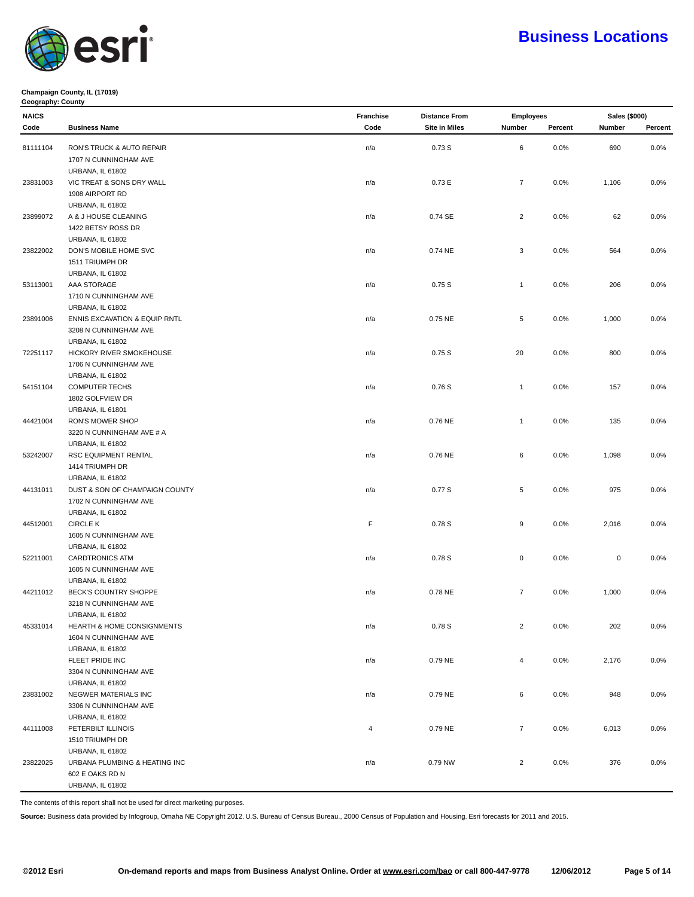

#### **Champaign County, IL (17019) Geography: County**

| <b>NAICS</b> |                                          | <b>Franchise</b> | <b>Distance From</b> | <b>Employees</b> |         | <b>Sales (\$000)</b> |         |
|--------------|------------------------------------------|------------------|----------------------|------------------|---------|----------------------|---------|
| Code         | <b>Business Name</b>                     | Code             | <b>Site in Miles</b> | Number           | Percent | Number               | Percent |
| 81111104     | RON'S TRUCK & AUTO REPAIR                | n/a              | 0.73 S               | 6                | 0.0%    | 690                  | 0.0%    |
|              | 1707 N CUNNINGHAM AVE                    |                  |                      |                  |         |                      |         |
|              | <b>URBANA, IL 61802</b>                  |                  |                      |                  |         |                      |         |
| 23831003     | VIC TREAT & SONS DRY WALL                | n/a              | 0.73 E               | $\overline{7}$   | 0.0%    | 1,106                | 0.0%    |
|              | 1908 AIRPORT RD                          |                  |                      |                  |         |                      |         |
|              | URBANA, IL 61802                         |                  |                      |                  |         |                      |         |
| 23899072     | A & J HOUSE CLEANING                     | n/a              | 0.74 SE              | $\overline{2}$   | 0.0%    | 62                   | 0.0%    |
|              | 1422 BETSY ROSS DR                       |                  |                      |                  |         |                      |         |
|              | URBANA, IL 61802                         |                  |                      |                  |         |                      |         |
| 23822002     | DON'S MOBILE HOME SVC                    | n/a              | 0.74 NE              | 3                | 0.0%    | 564                  | 0.0%    |
|              | 1511 TRIUMPH DR                          |                  |                      |                  |         |                      |         |
|              | URBANA, IL 61802                         |                  |                      |                  |         |                      |         |
| 53113001     | AAA STORAGE                              | n/a              | 0.75S                | $\mathbf{1}$     | 0.0%    | 206                  | 0.0%    |
|              | 1710 N CUNNINGHAM AVE                    |                  |                      |                  |         |                      |         |
|              |                                          |                  |                      |                  |         |                      |         |
|              | <b>URBANA, IL 61802</b>                  |                  | 0.75 NE              | 5                | 0.0%    | 1,000                | 0.0%    |
| 23891006     | <b>ENNIS EXCAVATION &amp; EQUIP RNTL</b> | n/a              |                      |                  |         |                      |         |
|              | 3208 N CUNNINGHAM AVE                    |                  |                      |                  |         |                      |         |
|              | URBANA, IL 61802                         |                  |                      |                  |         |                      |         |
| 72251117     | HICKORY RIVER SMOKEHOUSE                 | n/a              | 0.75S                | 20               | 0.0%    | 800                  | 0.0%    |
|              | 1706 N CUNNINGHAM AVE                    |                  |                      |                  |         |                      |         |
|              | URBANA, IL 61802                         |                  |                      |                  |         |                      |         |
| 54151104     | <b>COMPUTER TECHS</b>                    | n/a              | 0.76S                | $\mathbf{1}$     | 0.0%    | 157                  | 0.0%    |
|              | 1802 GOLFVIEW DR                         |                  |                      |                  |         |                      |         |
|              | <b>URBANA, IL 61801</b>                  |                  |                      |                  |         |                      |         |
| 44421004     | RON'S MOWER SHOP                         | n/a              | 0.76 NE              | $\mathbf{1}$     | 0.0%    | 135                  | 0.0%    |
|              | 3220 N CUNNINGHAM AVE # A                |                  |                      |                  |         |                      |         |
|              | <b>URBANA, IL 61802</b>                  |                  |                      |                  |         |                      |         |
| 53242007     | RSC EQUIPMENT RENTAL                     | n/a              | 0.76 NE              | 6                | 0.0%    | 1,098                | 0.0%    |
|              | 1414 TRIUMPH DR                          |                  |                      |                  |         |                      |         |
|              | <b>URBANA, IL 61802</b>                  |                  |                      |                  |         |                      |         |
| 44131011     | DUST & SON OF CHAMPAIGN COUNTY           | n/a              | 0.77 S               | 5                | 0.0%    | 975                  | 0.0%    |
|              | 1702 N CUNNINGHAM AVE                    |                  |                      |                  |         |                      |         |
|              | <b>URBANA, IL 61802</b>                  |                  |                      |                  |         |                      |         |
| 44512001     | <b>CIRCLE K</b>                          | F                | 0.78 S               | 9                | 0.0%    | 2,016                | 0.0%    |
|              | 1605 N CUNNINGHAM AVE                    |                  |                      |                  |         |                      |         |
|              | <b>URBANA, IL 61802</b>                  |                  |                      |                  |         |                      |         |
| 52211001     | <b>CARDTRONICS ATM</b>                   | n/a              | 0.78 S               | $\mathsf 0$      | 0.0%    | $\pmb{0}$            | 0.0%    |
|              | 1605 N CUNNINGHAM AVE                    |                  |                      |                  |         |                      |         |
|              | <b>URBANA, IL 61802</b>                  |                  |                      |                  |         |                      |         |
| 44211012     | BECK'S COUNTRY SHOPPE                    | n/a              | 0.78 NE              | $\overline{7}$   | 0.0%    | 1,000                | 0.0%    |
|              | 3218 N CUNNINGHAM AVE                    |                  |                      |                  |         |                      |         |
|              | URBANA, IL 61802                         |                  |                      |                  |         |                      |         |
| 45331014     | HEARTH & HOME CONSIGNMENTS               | n/a              | 0.78S                | $\overline{c}$   | 0.0%    | $202\,$              | 0.0%    |
|              | 1604 N CUNNINGHAM AVE                    |                  |                      |                  |         |                      |         |
|              | URBANA, IL 61802                         |                  |                      |                  |         |                      |         |
|              | FLEET PRIDE INC                          | n/a              | 0.79 NE              | $\overline{4}$   | 0.0%    | 2,176                | $0.0\%$ |
|              | 3304 N CUNNINGHAM AVE                    |                  |                      |                  |         |                      |         |
|              | URBANA, IL 61802                         |                  |                      |                  |         |                      |         |
| 23831002     | NEGWER MATERIALS INC                     | n/a              | 0.79 NE              | 6                | 0.0%    | 948                  | $0.0\%$ |
|              | 3306 N CUNNINGHAM AVE                    |                  |                      |                  |         |                      |         |
|              | <b>URBANA, IL 61802</b>                  |                  |                      |                  |         |                      |         |
| 44111008     | PETERBILT ILLINOIS                       | 4                | 0.79 NE              | $\overline{7}$   | 0.0%    | 6,013                | 0.0%    |
|              | 1510 TRIUMPH DR                          |                  |                      |                  |         |                      |         |
|              | <b>URBANA, IL 61802</b>                  |                  |                      |                  |         |                      |         |
| 23822025     | URBANA PLUMBING & HEATING INC            | n/a              | 0.79 NW              | $\overline{2}$   | 0.0%    | 376                  | $0.0\%$ |
|              | 602 E OAKS RD N                          |                  |                      |                  |         |                      |         |
|              | <b>URBANA, IL 61802</b>                  |                  |                      |                  |         |                      |         |

The contents of this report shall not be used for direct marketing purposes.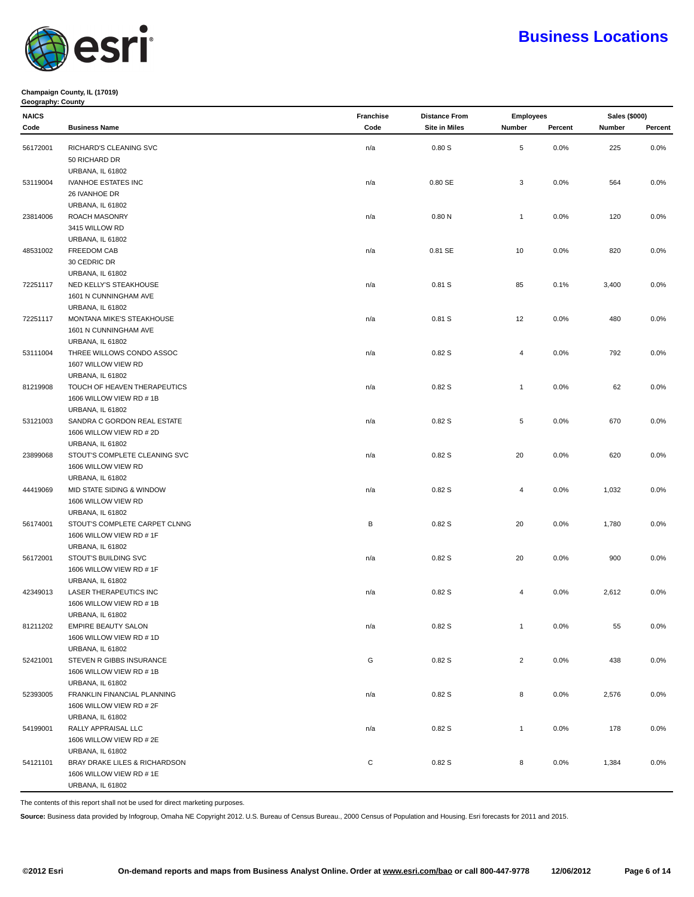

### **Champaign County, IL (17019) Geography: County**

| <b>NAICS</b> |                               | Franchise | <b>Distance From</b> | <b>Employees</b> |         | Sales (\$000) |         |
|--------------|-------------------------------|-----------|----------------------|------------------|---------|---------------|---------|
| Code         | <b>Business Name</b>          | Code      | <b>Site in Miles</b> | Number           | Percent | Number        | Percent |
|              |                               |           |                      |                  |         |               |         |
| 56172001     | RICHARD'S CLEANING SVC        | n/a       | 0.80S                | 5                | 0.0%    | 225           | 0.0%    |
|              | 50 RICHARD DR                 |           |                      |                  |         |               |         |
|              | URBANA, IL 61802              |           |                      |                  |         |               |         |
| 53119004     | <b>IVANHOE ESTATES INC</b>    | n/a       | 0.80 SE              | 3                | 0.0%    | 564           | 0.0%    |
|              | 26 IVANHOE DR                 |           |                      |                  |         |               |         |
|              | URBANA, IL 61802              |           |                      |                  |         |               |         |
| 23814006     | ROACH MASONRY                 | n/a       | 0.80 <sub>N</sub>    | $\mathbf{1}$     | 0.0%    | 120           | 0.0%    |
|              | 3415 WILLOW RD                |           |                      |                  |         |               |         |
|              | URBANA, IL 61802              |           |                      |                  |         |               |         |
| 48531002     | FREEDOM CAB                   | n/a       | 0.81 SE              | 10               | 0.0%    | 820           | 0.0%    |
|              | 30 CEDRIC DR                  |           |                      |                  |         |               |         |
|              | <b>URBANA, IL 61802</b>       |           |                      |                  |         |               |         |
| 72251117     | NED KELLY'S STEAKHOUSE        | n/a       | 0.81S                | 85               | 0.1%    | 3,400         | 0.0%    |
|              | 1601 N CUNNINGHAM AVE         |           |                      |                  |         |               |         |
|              | <b>URBANA, IL 61802</b>       |           |                      |                  |         |               |         |
| 72251117     | MONTANA MIKE'S STEAKHOUSE     | n/a       | 0.81S                | 12               | 0.0%    | 480           | 0.0%    |
|              | 1601 N CUNNINGHAM AVE         |           |                      |                  |         |               |         |
|              | URBANA, IL 61802              |           |                      |                  |         |               |         |
| 53111004     | THREE WILLOWS CONDO ASSOC     | n/a       | 0.82S                | 4                | 0.0%    | 792           | 0.0%    |
|              | 1607 WILLOW VIEW RD           |           |                      |                  |         |               |         |
|              | <b>URBANA, IL 61802</b>       |           |                      |                  |         |               |         |
| 81219908     | TOUCH OF HEAVEN THERAPEUTICS  | n/a       | 0.82S                | $\mathbf{1}$     | 0.0%    | 62            | 0.0%    |
|              | 1606 WILLOW VIEW RD # 1B      |           |                      |                  |         |               |         |
|              | <b>URBANA, IL 61802</b>       |           |                      |                  |         |               |         |
| 53121003     | SANDRA C GORDON REAL ESTATE   | n/a       | 0.82S                | 5                | 0.0%    | 670           | 0.0%    |
|              | 1606 WILLOW VIEW RD # 2D      |           |                      |                  |         |               |         |
|              | URBANA, IL 61802              |           |                      |                  |         |               |         |
| 23899068     | STOUT'S COMPLETE CLEANING SVC | n/a       | 0.82S                | 20               | $0.0\%$ | 620           | 0.0%    |
|              | 1606 WILLOW VIEW RD           |           |                      |                  |         |               |         |
|              | URBANA, IL 61802              |           |                      |                  |         |               |         |
| 44419069     | MID STATE SIDING & WINDOW     | n/a       | 0.82S                | $\overline{4}$   | 0.0%    | 1,032         | 0.0%    |
|              | 1606 WILLOW VIEW RD           |           |                      |                  |         |               |         |
|              | <b>URBANA, IL 61802</b>       |           |                      |                  |         |               |         |
| 56174001     | STOUT'S COMPLETE CARPET CLNNG | В         | 0.82S                | 20               | $0.0\%$ | 1,780         | 0.0%    |
|              | 1606 WILLOW VIEW RD # 1F      |           |                      |                  |         |               |         |
|              | URBANA, IL 61802              |           |                      |                  |         |               |         |
| 56172001     | STOUT'S BUILDING SVC          | n/a       | 0.82S                | 20               | 0.0%    | 900           | 0.0%    |
|              | 1606 WILLOW VIEW RD # 1F      |           |                      |                  |         |               |         |
|              | <b>URBANA, IL 61802</b>       |           |                      |                  |         |               |         |
| 42349013     | LASER THERAPEUTICS INC        | n/a       | 0.82S                | 4                | 0.0%    | 2,612         | 0.0%    |
|              | 1606 WILLOW VIEW RD # 1B      |           |                      |                  |         |               |         |
|              | <b>URBANA, IL 61802</b>       |           |                      |                  |         |               |         |
| 81211202     | EMPIRE BEAUTY SALON           | n/a       | 0.82S                | $\mathbf{1}$     | 0.0%    | 55            | $0.0\%$ |
|              | 1606 WILLOW VIEW RD # 1D      |           |                      |                  |         |               |         |
|              | URBANA, IL 61802              |           |                      |                  |         |               |         |
| 52421001     | STEVEN R GIBBS INSURANCE      | G         | 0.82S                | $\overline{2}$   | 0.0%    | 438           | 0.0%    |
|              | 1606 WILLOW VIEW RD # 1B      |           |                      |                  |         |               |         |
|              | <b>URBANA, IL 61802</b>       |           |                      |                  |         |               |         |
| 52393005     | FRANKLIN FINANCIAL PLANNING   | n/a       | 0.82S                | 8                | 0.0%    | 2,576         | 0.0%    |
|              | 1606 WILLOW VIEW RD # 2F      |           |                      |                  |         |               |         |
|              | URBANA, IL 61802              |           |                      |                  |         |               |         |
| 54199001     | RALLY APPRAISAL LLC           | n/a       | 0.82S                | $\mathbf{1}$     | 0.0%    | 178           | 0.0%    |
|              | 1606 WILLOW VIEW RD # 2E      |           |                      |                  |         |               |         |
|              | <b>URBANA, IL 61802</b>       |           |                      |                  |         |               |         |
| 54121101     | BRAY DRAKE LILES & RICHARDSON | С         | 0.82S                | 8                | 0.0%    | 1,384         | 0.0%    |
|              | 1606 WILLOW VIEW RD # 1E      |           |                      |                  |         |               |         |
|              | URBANA, IL 61802              |           |                      |                  |         |               |         |

The contents of this report shall not be used for direct marketing purposes.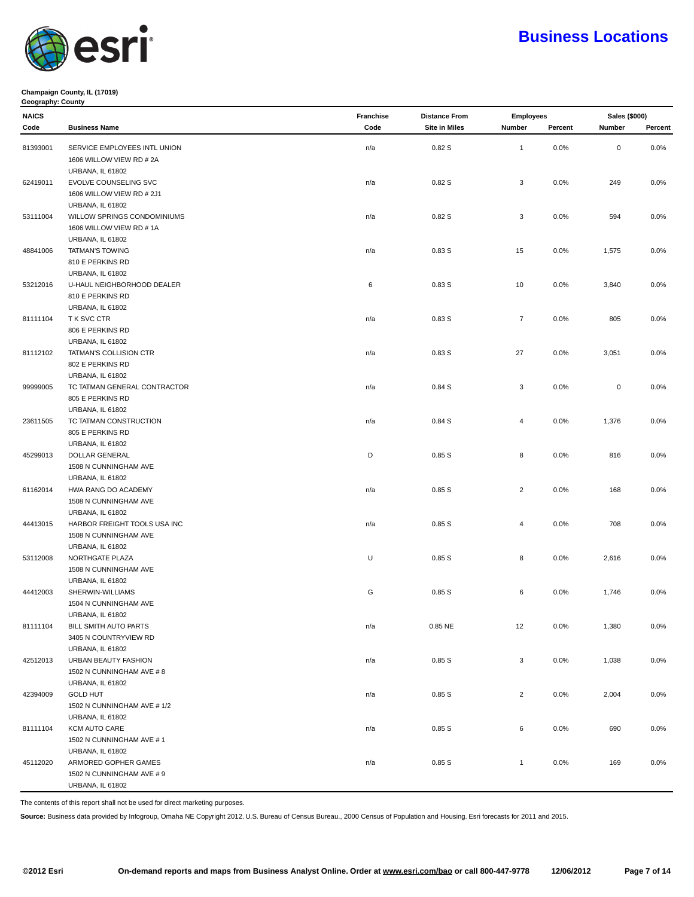

### **Champaign County, IL (17019) Geography: County**

| <b>NAICS</b> |                              | <b>Franchise</b> | <b>Distance From</b> | <b>Employees</b> |         | <b>Sales (\$000)</b> |         |
|--------------|------------------------------|------------------|----------------------|------------------|---------|----------------------|---------|
| Code         | <b>Business Name</b>         | Code             | <b>Site in Miles</b> | Number           | Percent | Number               | Percent |
| 81393001     | SERVICE EMPLOYEES INTL UNION | n/a              | 0.82S                | $\mathbf{1}$     | 0.0%    | $\pmb{0}$            | 0.0%    |
|              | 1606 WILLOW VIEW RD # 2A     |                  |                      |                  |         |                      |         |
|              | <b>URBANA, IL 61802</b>      |                  |                      |                  |         |                      |         |
| 62419011     | EVOLVE COUNSELING SVC        | n/a              | 0.82S                | 3                | 0.0%    | 249                  | 0.0%    |
|              | 1606 WILLOW VIEW RD # 2J1    |                  |                      |                  |         |                      |         |
|              | <b>URBANA, IL 61802</b>      |                  |                      |                  |         |                      |         |
| 53111004     | WILLOW SPRINGS CONDOMINIUMS  | n/a              | 0.82S                | 3                | 0.0%    | 594                  | 0.0%    |
|              | 1606 WILLOW VIEW RD # 1A     |                  |                      |                  |         |                      |         |
|              | URBANA, IL 61802             |                  |                      |                  |         |                      |         |
| 48841006     | <b>TATMAN'S TOWING</b>       | n/a              | 0.83S                | 15               | 0.0%    | 1,575                | 0.0%    |
|              | 810 E PERKINS RD             |                  |                      |                  |         |                      |         |
|              | <b>URBANA, IL 61802</b>      |                  |                      |                  |         |                      |         |
|              |                              | 6                | 0.83S                | 10               | 0.0%    |                      | 0.0%    |
| 53212016     | U-HAUL NEIGHBORHOOD DEALER   |                  |                      |                  |         | 3,840                |         |
|              | 810 E PERKINS RD             |                  |                      |                  |         |                      |         |
|              | URBANA, IL 61802             |                  |                      |                  |         |                      |         |
| 81111104     | T K SVC CTR                  | n/a              | 0.83S                | $\overline{7}$   | 0.0%    | 805                  | 0.0%    |
|              | 806 E PERKINS RD             |                  |                      |                  |         |                      |         |
|              | URBANA, IL 61802             |                  |                      |                  |         |                      |         |
| 81112102     | TATMAN'S COLLISION CTR       | n/a              | 0.83S                | 27               | 0.0%    | 3,051                | 0.0%    |
|              | 802 E PERKINS RD             |                  |                      |                  |         |                      |         |
|              | URBANA, IL 61802             |                  |                      |                  |         |                      |         |
| 99999005     | TC TATMAN GENERAL CONTRACTOR | n/a              | 0.84S                | 3                | 0.0%    | $\mathsf 0$          | 0.0%    |
|              | 805 E PERKINS RD             |                  |                      |                  |         |                      |         |
|              | <b>URBANA, IL 61802</b>      |                  |                      |                  |         |                      |         |
| 23611505     | TC TATMAN CONSTRUCTION       | n/a              | 0.84S                | $\overline{4}$   | 0.0%    | 1,376                | 0.0%    |
|              | 805 E PERKINS RD             |                  |                      |                  |         |                      |         |
|              | <b>URBANA, IL 61802</b>      |                  |                      |                  |         |                      |         |
| 45299013     | DOLLAR GENERAL               | D                | 0.85S                | 8                | 0.0%    | 816                  | 0.0%    |
|              | 1508 N CUNNINGHAM AVE        |                  |                      |                  |         |                      |         |
|              | <b>URBANA, IL 61802</b>      |                  |                      |                  |         |                      |         |
| 61162014     | HWA RANG DO ACADEMY          | n/a              | 0.85S                | $\overline{2}$   | 0.0%    | 168                  | 0.0%    |
|              | 1508 N CUNNINGHAM AVE        |                  |                      |                  |         |                      |         |
|              | <b>URBANA, IL 61802</b>      |                  |                      |                  |         |                      |         |
| 44413015     | HARBOR FREIGHT TOOLS USA INC | n/a              | 0.85S                | $\overline{4}$   | 0.0%    | 708                  | 0.0%    |
|              | 1508 N CUNNINGHAM AVE        |                  |                      |                  |         |                      |         |
|              | URBANA, IL 61802             |                  |                      |                  |         |                      |         |
| 53112008     | NORTHGATE PLAZA              | U                | 0.85S                | 8                | 0.0%    | 2,616                | 0.0%    |
|              | 1508 N CUNNINGHAM AVE        |                  |                      |                  |         |                      |         |
|              | URBANA, IL 61802             |                  |                      |                  |         |                      |         |
| 44412003     | SHERWIN-WILLIAMS             | G                | 0.85S                | 6                | 0.0%    | 1,746                | 0.0%    |
|              | 1504 N CUNNINGHAM AVE        |                  |                      |                  |         |                      |         |
|              | URBANA, IL 61802             |                  |                      |                  |         |                      |         |
| 81111104     | BILL SMITH AUTO PARTS        | n/a              | 0.85 NE              | 12               | 0.0%    | 1,380                | 0.0%    |
|              | 3405 N COUNTRYVIEW RD        |                  |                      |                  |         |                      |         |
|              | <b>URBANA, IL 61802</b>      |                  |                      |                  |         |                      |         |
| 42512013     | URBAN BEAUTY FASHION         | n/a              | 0.85S                | 3                | 0.0%    | 1,038                | $0.0\%$ |
|              | 1502 N CUNNINGHAM AVE #8     |                  |                      |                  |         |                      |         |
|              | URBANA, IL 61802             |                  |                      |                  |         |                      |         |
| 42394009     | <b>GOLD HUT</b>              | n/a              | 0.85S                | $\overline{2}$   | 0.0%    | 2,004                | $0.0\%$ |
|              | 1502 N CUNNINGHAM AVE # 1/2  |                  |                      |                  |         |                      |         |
|              | URBANA, IL 61802             |                  |                      |                  |         |                      |         |
| 81111104     | <b>KCM AUTO CARE</b>         | n/a              | 0.85S                | 6                | 0.0%    | 690                  | 0.0%    |
|              | 1502 N CUNNINGHAM AVE #1     |                  |                      |                  |         |                      |         |
|              | URBANA, IL 61802             |                  |                      |                  |         |                      |         |
| 45112020     | ARMORED GOPHER GAMES         | n/a              | 0.85S                | $\mathbf{1}$     | 0.0%    | 169                  | $0.0\%$ |
|              | 1502 N CUNNINGHAM AVE # 9    |                  |                      |                  |         |                      |         |
|              | URBANA, IL 61802             |                  |                      |                  |         |                      |         |

The contents of this report shall not be used for direct marketing purposes.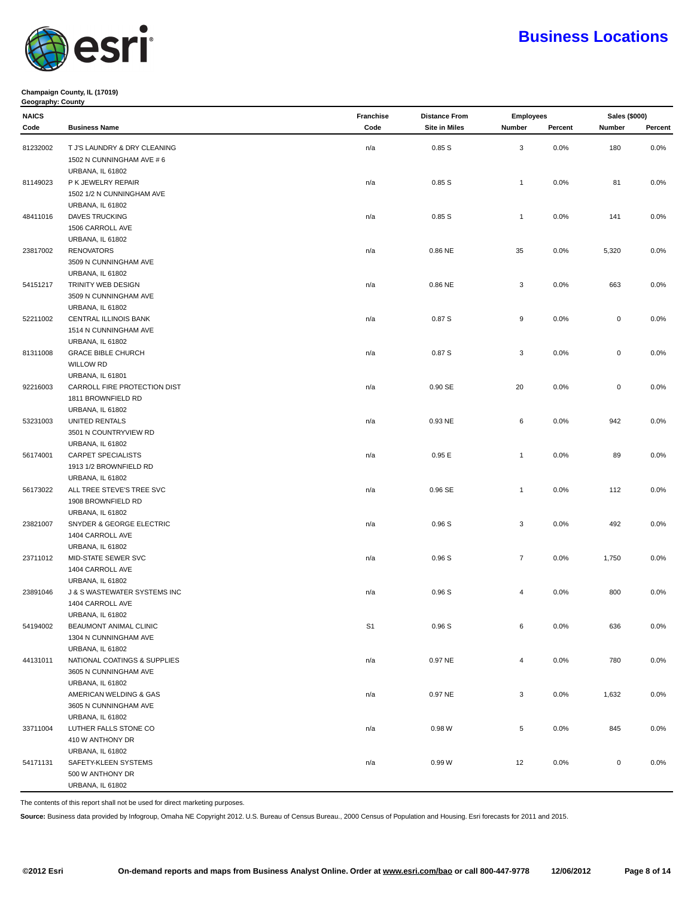

### **Champaign County, IL (17019) Geography: County**

| <b>NAICS</b> |                              |                | <b>Distance From</b> | <b>Employees</b> |         | Sales (\$000) |         |
|--------------|------------------------------|----------------|----------------------|------------------|---------|---------------|---------|
| Code         | <b>Business Name</b>         | Code           | <b>Site in Miles</b> | Number           | Percent | Number        | Percent |
| 81232002     | T J'S LAUNDRY & DRY CLEANING | n/a            | 0.85S                | 3                | 0.0%    | 180           | 0.0%    |
|              | 1502 N CUNNINGHAM AVE # 6    |                |                      |                  |         |               |         |
|              | <b>URBANA, IL 61802</b>      |                |                      |                  |         |               |         |
| 81149023     | P K JEWELRY REPAIR           | n/a            | 0.85S                | $\mathbf{1}$     | 0.0%    | 81            | 0.0%    |
|              | 1502 1/2 N CUNNINGHAM AVE    |                |                      |                  |         |               |         |
|              | URBANA, IL 61802             |                |                      |                  |         |               |         |
| 48411016     | <b>DAVES TRUCKING</b>        | n/a            | 0.85S                | $\mathbf{1}$     | 0.0%    | 141           | 0.0%    |
|              | 1506 CARROLL AVE             |                |                      |                  |         |               |         |
|              | URBANA, IL 61802             |                |                      |                  |         |               |         |
| 23817002     | <b>RENOVATORS</b>            | n/a            | 0.86 NE              | 35               | 0.0%    | 5,320         | 0.0%    |
|              | 3509 N CUNNINGHAM AVE        |                |                      |                  |         |               |         |
|              | <b>URBANA, IL 61802</b>      |                |                      |                  |         |               |         |
| 54151217     | TRINITY WEB DESIGN           |                | 0.86 NE              | 3                | 0.0%    | 663           | 0.0%    |
|              | 3509 N CUNNINGHAM AVE        | n/a            |                      |                  |         |               |         |
|              | <b>URBANA, IL 61802</b>      |                |                      |                  |         |               |         |
| 52211002     |                              |                | 0.87S                | 9                | 0.0%    | $\mathsf 0$   | 0.0%    |
|              | CENTRAL ILLINOIS BANK        | n/a            |                      |                  |         |               |         |
|              | 1514 N CUNNINGHAM AVE        |                |                      |                  |         |               |         |
|              | URBANA, IL 61802             |                |                      | 3                |         |               |         |
| 81311008     | <b>GRACE BIBLE CHURCH</b>    | n/a            | 0.87S                |                  | 0.0%    | $\mathsf 0$   | 0.0%    |
|              | <b>WILLOW RD</b>             |                |                      |                  |         |               |         |
|              | <b>URBANA, IL 61801</b>      |                |                      |                  |         |               |         |
| 92216003     | CARROLL FIRE PROTECTION DIST | n/a            | 0.90 SE              | 20               | 0.0%    | $\mathbf 0$   | 0.0%    |
|              | 1811 BROWNFIELD RD           |                |                      |                  |         |               |         |
|              | URBANA, IL 61802             |                |                      |                  |         |               |         |
| 53231003     | UNITED RENTALS               | n/a            | 0.93 NE              | 6                | $0.0\%$ | 942           | 0.0%    |
|              | 3501 N COUNTRYVIEW RD        |                |                      |                  |         |               |         |
|              | URBANA, IL 61802             |                |                      |                  |         |               |         |
| 56174001     | <b>CARPET SPECIALISTS</b>    | n/a            | 0.95E                | $\mathbf{1}$     | 0.0%    | 89            | 0.0%    |
|              | 1913 1/2 BROWNFIELD RD       |                |                      |                  |         |               |         |
|              | URBANA, IL 61802             |                |                      |                  |         |               |         |
| 56173022     | ALL TREE STEVE'S TREE SVC    | n/a            | 0.96 SE              | $\mathbf{1}$     | 0.0%    | 112           | 0.0%    |
|              | 1908 BROWNFIELD RD           |                |                      |                  |         |               |         |
|              | URBANA, IL 61802             |                |                      |                  |         |               |         |
| 23821007     | SNYDER & GEORGE ELECTRIC     | n/a            | 0.96S                | 3                | 0.0%    | 492           | $0.0\%$ |
|              | 1404 CARROLL AVE             |                |                      |                  |         |               |         |
|              | URBANA, IL 61802             |                |                      |                  |         |               |         |
| 23711012     | MID-STATE SEWER SVC          | n/a            | 0.96S                | $\overline{7}$   | 0.0%    | 1,750         | 0.0%    |
|              | 1404 CARROLL AVE             |                |                      |                  |         |               |         |
|              | URBANA, IL 61802             |                |                      |                  |         |               |         |
| 23891046     | J & S WASTEWATER SYSTEMS INC | n/a            | 0.96S                | 4                | 0.0%    | 800           | 0.0%    |
|              | 1404 CARROLL AVE             |                |                      |                  |         |               |         |
|              | URBANA, IL 61802             |                |                      |                  |         |               |         |
| 54194002     | BEAUMONT ANIMAL CLINIC       | S <sub>1</sub> | 0.96S                | 6                | 0.0%    | 636           | 0.0%    |
|              | 1304 N CUNNINGHAM AVE        |                |                      |                  |         |               |         |
|              | <b>URBANA, IL 61802</b>      |                |                      |                  |         |               |         |
| 44131011     | NATIONAL COATINGS & SUPPLIES | n/a            | 0.97 NE              | 4                | 0.0%    | 780           | 0.0%    |
|              | 3605 N CUNNINGHAM AVE        |                |                      |                  |         |               |         |
|              | URBANA, IL 61802             |                |                      |                  |         |               |         |
|              | AMERICAN WELDING & GAS       | n/a            | 0.97 NE              | 3                | 0.0%    | 1,632         | 0.0%    |
|              | 3605 N CUNNINGHAM AVE        |                |                      |                  |         |               |         |
|              | <b>URBANA, IL 61802</b>      |                |                      |                  |         |               |         |
| 33711004     | LUTHER FALLS STONE CO        | n/a            | 0.98 W               | 5                | 0.0%    | 845           | 0.0%    |
|              | 410 W ANTHONY DR             |                |                      |                  |         |               |         |
|              | <b>URBANA, IL 61802</b>      |                |                      |                  |         |               |         |
| 54171131     | SAFETY-KLEEN SYSTEMS         | n/a            | 0.99W                | 12               | 0.0%    | $\mathsf 0$   | 0.0%    |
|              | 500 W ANTHONY DR             |                |                      |                  |         |               |         |
|              | URBANA, IL 61802             |                |                      |                  |         |               |         |

The contents of this report shall not be used for direct marketing purposes.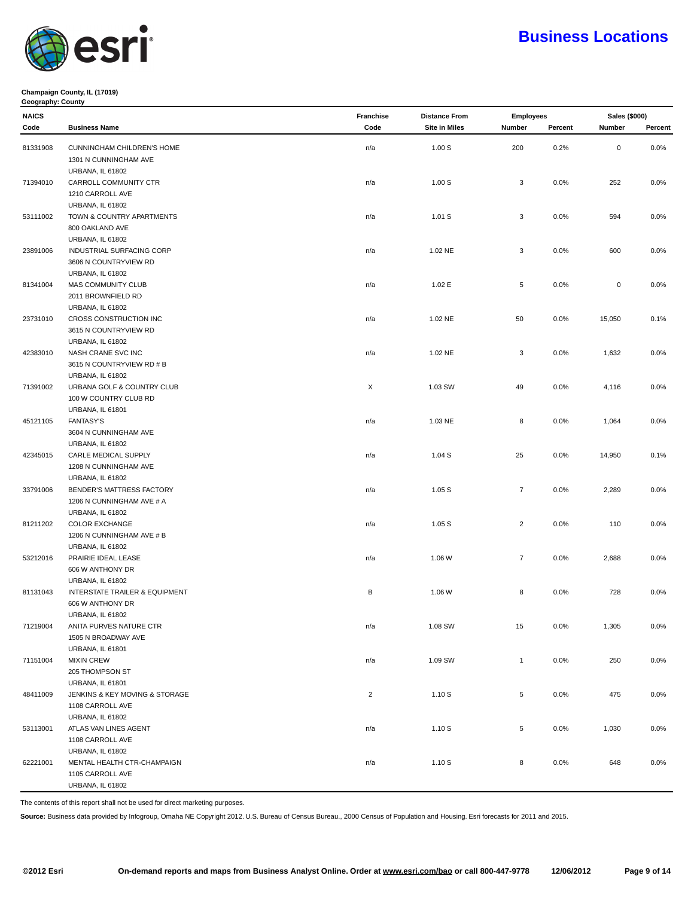

### **Champaign County, IL (17019) Geography: County**

| <b>NAICS</b> |                                | Franchise      | <b>Distance From</b> |                | <b>Employees</b> |             | Sales (\$000) |  |
|--------------|--------------------------------|----------------|----------------------|----------------|------------------|-------------|---------------|--|
| Code         | <b>Business Name</b>           | Code           | <b>Site in Miles</b> | Number         | Percent          | Number      | Percent       |  |
| 81331908     | CUNNINGHAM CHILDREN'S HOME     | n/a            | 1.00S                | 200            | 0.2%             | $\mathbf 0$ | 0.0%          |  |
|              | 1301 N CUNNINGHAM AVE          |                |                      |                |                  |             |               |  |
|              | <b>URBANA, IL 61802</b>        |                |                      |                |                  |             |               |  |
| 71394010     | CARROLL COMMUNITY CTR          | n/a            | 1.00S                | 3              | 0.0%             | 252         | 0.0%          |  |
|              |                                |                |                      |                |                  |             |               |  |
|              | 1210 CARROLL AVE               |                |                      |                |                  |             |               |  |
|              | <b>URBANA, IL 61802</b>        |                |                      |                |                  |             |               |  |
| 53111002     | TOWN & COUNTRY APARTMENTS      | n/a            | 1.01 S               | 3              | 0.0%             | 594         | 0.0%          |  |
|              | 800 OAKLAND AVE                |                |                      |                |                  |             |               |  |
|              | URBANA, IL 61802               |                |                      |                |                  |             |               |  |
| 23891006     | INDUSTRIAL SURFACING CORP      | n/a            | 1.02 NE              | 3              | 0.0%             | 600         | 0.0%          |  |
|              | 3606 N COUNTRYVIEW RD          |                |                      |                |                  |             |               |  |
|              | <b>URBANA, IL 61802</b>        |                |                      |                |                  |             |               |  |
| 81341004     | MAS COMMUNITY CLUB             | n/a            | 1.02 E               | 5              | 0.0%             | $\mathsf 0$ | 0.0%          |  |
|              | 2011 BROWNFIELD RD             |                |                      |                |                  |             |               |  |
|              | URBANA, IL 61802               |                |                      |                |                  |             |               |  |
| 23731010     | CROSS CONSTRUCTION INC         | n/a            | 1.02 NE              | 50             | $0.0\%$          | 15,050      | 0.1%          |  |
|              | 3615 N COUNTRYVIEW RD          |                |                      |                |                  |             |               |  |
|              | URBANA, IL 61802               |                |                      |                |                  |             |               |  |
| 42383010     | NASH CRANE SVC INC             | n/a            | 1.02 NE              | 3              | $0.0\%$          | 1,632       | 0.0%          |  |
|              | 3615 N COUNTRYVIEW RD # B      |                |                      |                |                  |             |               |  |
|              | URBANA, IL 61802               |                |                      |                |                  |             |               |  |
| 71391002     | URBANA GOLF & COUNTRY CLUB     | X              | 1.03 SW              | 49             | 0.0%             | 4,116       | 0.0%          |  |
|              | 100 W COUNTRY CLUB RD          |                |                      |                |                  |             |               |  |
|              | URBANA, IL 61801               |                |                      |                |                  |             |               |  |
| 45121105     | <b>FANTASY'S</b>               | n/a            | 1.03 NE              | 8              | 0.0%             | 1,064       | 0.0%          |  |
|              | 3604 N CUNNINGHAM AVE          |                |                      |                |                  |             |               |  |
|              | <b>URBANA, IL 61802</b>        |                |                      |                |                  |             |               |  |
| 42345015     | CARLE MEDICAL SUPPLY           | n/a            | 1.04S                | 25             | 0.0%             | 14,950      | 0.1%          |  |
|              | 1208 N CUNNINGHAM AVE          |                |                      |                |                  |             |               |  |
|              | <b>URBANA, IL 61802</b>        |                |                      |                |                  |             |               |  |
| 33791006     | BENDER'S MATTRESS FACTORY      | n/a            | 1.05S                | $\overline{7}$ | 0.0%             | 2,289       | 0.0%          |  |
|              | 1206 N CUNNINGHAM AVE # A      |                |                      |                |                  |             |               |  |
|              | URBANA, IL 61802               |                |                      |                |                  |             |               |  |
| 81211202     | <b>COLOR EXCHANGE</b>          | n/a            | 1.05S                | $\overline{2}$ | 0.0%             | 110         | 0.0%          |  |
|              | 1206 N CUNNINGHAM AVE # B      |                |                      |                |                  |             |               |  |
|              | <b>URBANA, IL 61802</b>        |                |                      |                |                  |             |               |  |
| 53212016     | PRAIRIE IDEAL LEASE            | n/a            | 1.06 W               | $\overline{7}$ | 0.0%             | 2,688       | 0.0%          |  |
|              | 606 W ANTHONY DR               |                |                      |                |                  |             |               |  |
|              | URBANA, IL 61802               |                |                      |                |                  |             |               |  |
| 81131043     | INTERSTATE TRAILER & EQUIPMENT | В              | 1.06 W               | 8              | 0.0%             | 728         | 0.0%          |  |
|              | 606 W ANTHONY DR               |                |                      |                |                  |             |               |  |
|              | URBANA, IL 61802               |                |                      |                |                  |             |               |  |
| 71219004     | ANITA PURVES NATURE CTR        | n/a            | 1.08 SW              | $15\,$         | 0.0%             | 1,305       | 0.0%          |  |
|              | 1505 N BROADWAY AVE            |                |                      |                |                  |             |               |  |
|              | URBANA, IL 61801               |                |                      |                |                  |             |               |  |
| 71151004     | <b>MIXIN CREW</b>              | n/a            | 1.09 SW              | $\mathbf{1}$   | 0.0%             | 250         | $0.0\%$       |  |
|              | 205 THOMPSON ST                |                |                      |                |                  |             |               |  |
|              | URBANA, IL 61801               |                |                      |                |                  |             |               |  |
| 48411009     | JENKINS & KEY MOVING & STORAGE | $\overline{2}$ | 1.10S                | 5              | 0.0%             | 475         | 0.0%          |  |
|              | 1108 CARROLL AVE               |                |                      |                |                  |             |               |  |
|              | URBANA, IL 61802               |                |                      |                |                  |             |               |  |
| 53113001     | ATLAS VAN LINES AGENT          | n/a            | 1.10 S               | 5              | 0.0%             | 1,030       | 0.0%          |  |
|              | 1108 CARROLL AVE               |                |                      |                |                  |             |               |  |
|              | URBANA, IL 61802               |                |                      |                |                  |             |               |  |
|              |                                |                |                      |                |                  |             |               |  |
| 62221001     | MENTAL HEALTH CTR-CHAMPAIGN    | n/a            | 1.10 S               | 8              | 0.0%             | 648         | 0.0%          |  |
|              | 1105 CARROLL AVE               |                |                      |                |                  |             |               |  |
|              | URBANA, IL 61802               |                |                      |                |                  |             |               |  |

The contents of this report shall not be used for direct marketing purposes.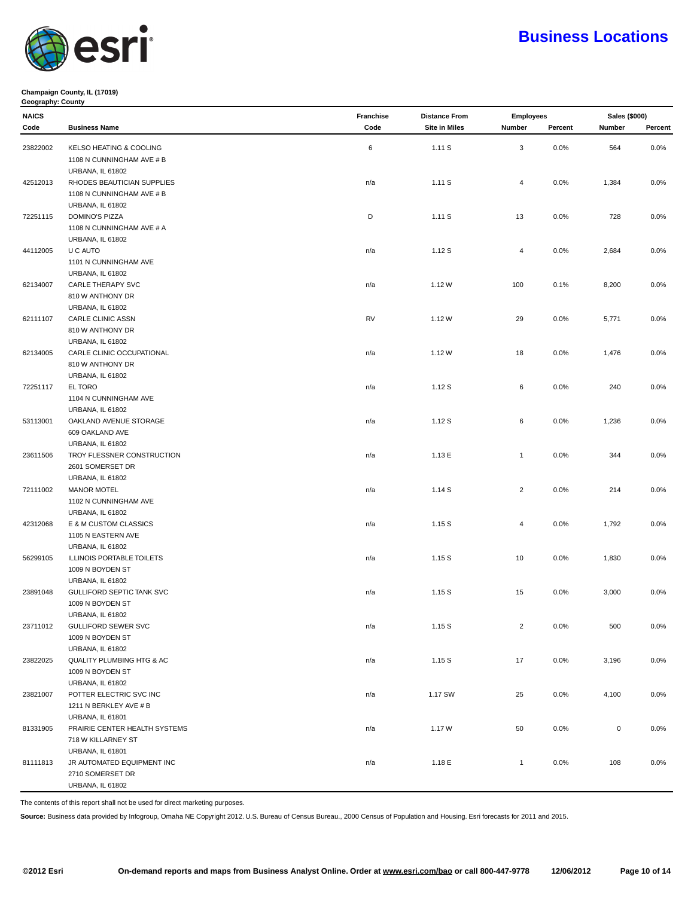

#### **Champaign County, IL (17019) Geography: County**

| <b>NAICS</b> |                                      | Franchise | <b>Distance From</b> | <b>Employees</b> |         | Sales (\$000) |         |
|--------------|--------------------------------------|-----------|----------------------|------------------|---------|---------------|---------|
| Code         | <b>Business Name</b>                 | Code      | <b>Site in Miles</b> | Number           | Percent | Number        | Percent |
|              | KELSO HEATING & COOLING              |           |                      |                  |         |               |         |
| 23822002     |                                      | $\,6\,$   | 1.11S                | 3                | 0.0%    | 564           | 0.0%    |
|              | 1108 N CUNNINGHAM AVE # B            |           |                      |                  |         |               |         |
|              | <b>URBANA, IL 61802</b>              |           |                      |                  |         |               |         |
| 42512013     | RHODES BEAUTICIAN SUPPLIES           | n/a       | 1.11S                | 4                | 0.0%    | 1,384         | 0.0%    |
|              | 1108 N CUNNINGHAM AVE # B            |           |                      |                  |         |               |         |
|              | URBANA, IL 61802<br>DOMINO'S PIZZA   | D         | 1.11S                | 13               |         | 728           | 0.0%    |
| 72251115     | 1108 N CUNNINGHAM AVE # A            |           |                      |                  | $0.0\%$ |               |         |
|              | URBANA, IL 61802                     |           |                      |                  |         |               |         |
| 44112005     | U C AUTO                             | n/a       | 1.12S                | $\overline{4}$   | 0.0%    | 2,684         | 0.0%    |
|              | 1101 N CUNNINGHAM AVE                |           |                      |                  |         |               |         |
|              | URBANA, IL 61802                     |           |                      |                  |         |               |         |
| 62134007     | CARLE THERAPY SVC                    | n/a       | 1.12W                | 100              | 0.1%    | 8,200         | 0.0%    |
|              | 810 W ANTHONY DR                     |           |                      |                  |         |               |         |
|              | URBANA, IL 61802                     |           |                      |                  |         |               |         |
| 62111107     | CARLE CLINIC ASSN                    | <b>RV</b> | 1.12W                | 29               | 0.0%    | 5,771         | 0.0%    |
|              | 810 W ANTHONY DR                     |           |                      |                  |         |               |         |
|              | URBANA, IL 61802                     |           |                      |                  |         |               |         |
| 62134005     | CARLE CLINIC OCCUPATIONAL            | n/a       | 1.12W                | 18               | 0.0%    | 1,476         | 0.0%    |
|              | 810 W ANTHONY DR                     |           |                      |                  |         |               |         |
|              | URBANA, IL 61802                     |           |                      |                  |         |               |         |
| 72251117     | EL TORO                              | n/a       | 1.12S                | 6                | 0.0%    | 240           | 0.0%    |
|              | 1104 N CUNNINGHAM AVE                |           |                      |                  |         |               |         |
|              | <b>URBANA, IL 61802</b>              |           |                      |                  |         |               |         |
| 53113001     | OAKLAND AVENUE STORAGE               | n/a       | 1.12S                | 6                | 0.0%    | 1,236         | 0.0%    |
|              | 609 OAKLAND AVE                      |           |                      |                  |         |               |         |
|              | URBANA, IL 61802                     |           |                      |                  |         |               |         |
| 23611506     | TROY FLESSNER CONSTRUCTION           | n/a       | 1.13E                | $\mathbf{1}$     | 0.0%    | 344           | 0.0%    |
|              | 2601 SOMERSET DR                     |           |                      |                  |         |               |         |
|              | URBANA, IL 61802                     |           |                      |                  |         |               |         |
| 72111002     | <b>MANOR MOTEL</b>                   | n/a       | 1.14S                | $\overline{c}$   | 0.0%    | 214           | 0.0%    |
|              | 1102 N CUNNINGHAM AVE                |           |                      |                  |         |               |         |
|              | URBANA, IL 61802                     |           |                      |                  |         |               |         |
| 42312068     | E & M CUSTOM CLASSICS                | n/a       | 1.15S                | 4                | 0.0%    | 1,792         | 0.0%    |
|              | 1105 N EASTERN AVE                   |           |                      |                  |         |               |         |
|              | URBANA, IL 61802                     |           |                      |                  |         |               |         |
| 56299105     | ILLINOIS PORTABLE TOILETS            | n/a       | 1.15S                | 10               | 0.0%    | 1,830         | 0.0%    |
|              | 1009 N BOYDEN ST                     |           |                      |                  |         |               |         |
|              | URBANA, IL 61802                     |           |                      |                  |         |               |         |
| 23891048     | GULLIFORD SEPTIC TANK SVC            | n/a       | 1.15S                | 15               | $0.0\%$ | 3,000         | $0.0\%$ |
|              | 1009 N BOYDEN ST                     |           |                      |                  |         |               |         |
|              | <b>URBANA, IL 61802</b>              |           |                      |                  |         |               |         |
| 23711012     | GULLIFORD SEWER SVC                  | n/a       | 1.15S                | $\mathbf 2$      | 0.0%    | 500           | 0.0%    |
|              | 1009 N BOYDEN ST                     |           |                      |                  |         |               |         |
|              | <b>URBANA, IL 61802</b>              |           |                      |                  |         |               |         |
| 23822025     | QUALITY PLUMBING HTG & AC            | n/a       | 1.15S                | 17               | 0.0%    | 3,196         | 0.0%    |
|              | 1009 N BOYDEN ST<br>URBANA, IL 61802 |           |                      |                  |         |               |         |
| 23821007     | POTTER ELECTRIC SVC INC              |           |                      |                  |         |               | 0.0%    |
|              | 1211 N BERKLEY AVE # B               | n/a       | 1.17 SW              | 25               | 0.0%    | 4,100         |         |
|              | <b>URBANA, IL 61801</b>              |           |                      |                  |         |               |         |
|              | PRAIRIE CENTER HEALTH SYSTEMS        |           |                      |                  |         |               |         |
| 81331905     | 718 W KILLARNEY ST                   | n/a       | 1.17W                | 50               | 0.0%    | $\mathsf 0$   | 0.0%    |
|              | <b>URBANA, IL 61801</b>              |           |                      |                  |         |               |         |
| 81111813     | JR AUTOMATED EQUIPMENT INC           | n/a       | 1.18 E               | $\mathbf{1}$     | 0.0%    | 108           | 0.0%    |
|              | 2710 SOMERSET DR                     |           |                      |                  |         |               |         |
|              | URBANA, IL 61802                     |           |                      |                  |         |               |         |
|              |                                      |           |                      |                  |         |               |         |

The contents of this report shall not be used for direct marketing purposes.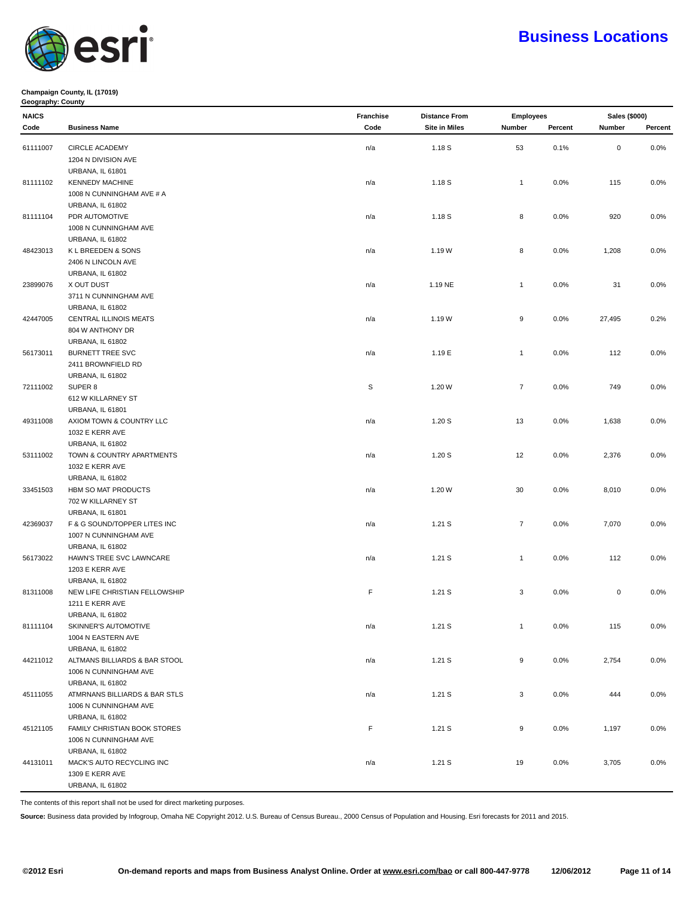

### **Champaign County, IL (17019) Geography: County**

| <b>NAICS</b> |                                                   | Franchise | <b>Distance From</b> | <b>Employees</b> |         | Sales (\$000) |         |
|--------------|---------------------------------------------------|-----------|----------------------|------------------|---------|---------------|---------|
| Code         | <b>Business Name</b>                              | Code      | <b>Site in Miles</b> | Number           | Percent | Number        | Percent |
|              |                                                   |           |                      |                  |         |               |         |
| 61111007     | <b>CIRCLE ACADEMY</b>                             | n/a       | 1.18 S               | 53               | 0.1%    | $\pmb{0}$     | 0.0%    |
|              | 1204 N DIVISION AVE                               |           |                      |                  |         |               |         |
|              | <b>URBANA, IL 61801</b>                           |           |                      |                  |         |               |         |
| 81111102     | <b>KENNEDY MACHINE</b>                            | n/a       | 1.18 S               | $\mathbf{1}$     | 0.0%    | 115           | 0.0%    |
|              | 1008 N CUNNINGHAM AVE # A                         |           |                      |                  |         |               |         |
|              | URBANA, IL 61802                                  |           |                      |                  |         |               |         |
| 81111104     | PDR AUTOMOTIVE                                    | n/a       | 1.18 S               | 8                | 0.0%    | 920           | 0.0%    |
|              | 1008 N CUNNINGHAM AVE                             |           |                      |                  |         |               |         |
|              | <b>URBANA, IL 61802</b>                           |           |                      |                  |         |               |         |
| 48423013     | K L BREEDEN & SONS                                | n/a       | 1.19W                | 8                | 0.0%    | 1,208         | 0.0%    |
|              | 2406 N LINCOLN AVE                                |           |                      |                  |         |               |         |
|              | URBANA, IL 61802                                  |           |                      |                  |         |               |         |
| 23899076     | X OUT DUST                                        | n/a       | 1.19 NE              | $\mathbf{1}$     | 0.0%    | 31            | 0.0%    |
|              | 3711 N CUNNINGHAM AVE                             |           |                      |                  |         |               |         |
|              | URBANA, IL 61802                                  |           |                      |                  |         |               |         |
| 42447005     | CENTRAL ILLINOIS MEATS                            | n/a       | 1.19W                | 9                | 0.0%    | 27,495        | 0.2%    |
|              | 804 W ANTHONY DR                                  |           |                      |                  |         |               |         |
|              | <b>URBANA, IL 61802</b>                           |           |                      |                  |         |               |         |
| 56173011     | <b>BURNETT TREE SVC</b>                           | n/a       | 1.19 E               | $\mathbf{1}$     | 0.0%    | 112           | 0.0%    |
|              | 2411 BROWNFIELD RD                                |           |                      |                  |         |               |         |
|              | URBANA, IL 61802                                  |           |                      |                  |         |               |         |
| 72111002     | SUPER 8                                           | S         | 1.20 W               | $\overline{7}$   | 0.0%    | 749           | 0.0%    |
|              | 612 W KILLARNEY ST                                |           |                      |                  |         |               |         |
|              | URBANA, IL 61801                                  |           |                      |                  |         |               |         |
| 49311008     | AXIOM TOWN & COUNTRY LLC                          | n/a       | 1.20S                | 13               | 0.0%    | 1,638         | 0.0%    |
|              | 1032 E KERR AVE                                   |           |                      |                  |         |               |         |
|              | URBANA, IL 61802                                  |           |                      |                  |         |               |         |
| 53111002     | TOWN & COUNTRY APARTMENTS                         | n/a       | 1.20S                | 12               | 0.0%    | 2,376         | 0.0%    |
|              | 1032 E KERR AVE                                   |           |                      |                  |         |               |         |
|              | <b>URBANA, IL 61802</b>                           |           |                      |                  |         |               |         |
| 33451503     | HBM SO MAT PRODUCTS                               | n/a       | 1.20 W               | 30               | 0.0%    | 8,010         | 0.0%    |
|              | 702 W KILLARNEY ST                                |           |                      |                  |         |               |         |
|              | URBANA, IL 61801                                  |           |                      |                  |         |               |         |
| 42369037     | F & G SOUND/TOPPER LITES INC                      | n/a       | 1.21 S               | $\overline{7}$   | 0.0%    | 7,070         | 0.0%    |
|              | 1007 N CUNNINGHAM AVE                             |           |                      |                  |         |               |         |
|              | <b>URBANA, IL 61802</b>                           |           |                      |                  |         |               |         |
| 56173022     | HAWN'S TREE SVC LAWNCARE<br>1203 E KERR AVE       | n/a       | 1.21S                | $\mathbf{1}$     | 0.0%    | 112           | 0.0%    |
|              |                                                   |           |                      |                  |         |               |         |
|              | URBANA, IL 61802                                  | F         |                      | 3                |         | $\mathbf 0$   |         |
| 81311008     | NEW LIFE CHRISTIAN FELLOWSHIP<br>1211 E KERR AVE  |           | 1.21S                |                  | 0.0%    |               | 0.0%    |
|              |                                                   |           |                      |                  |         |               |         |
|              | URBANA, IL 61802                                  |           |                      | $\mathbf{1}$     |         | 115           | 0.0%    |
| 81111104     | SKINNER'S AUTOMOTIVE<br>1004 N EASTERN AVE        | n/a       | 1.21 S               |                  | 0.0%    |               |         |
|              |                                                   |           |                      |                  |         |               |         |
|              | <b>URBANA, IL 61802</b>                           |           |                      |                  |         |               |         |
| 44211012     | ALTMANS BILLIARDS & BAR STOOL                     | n/a       | 1.21 S               | 9                | 0.0%    | 2,754         | 0.0%    |
|              | 1006 N CUNNINGHAM AVE                             |           |                      |                  |         |               |         |
|              | URBANA, IL 61802<br>ATMRNANS BILLIARDS & BAR STLS |           |                      | $\mathbf{3}$     |         | 444           |         |
| 45111055     | 1006 N CUNNINGHAM AVE                             | n/a       | 1.21 S               |                  | 0.0%    |               | $0.0\%$ |
|              |                                                   |           |                      |                  |         |               |         |
|              | <b>URBANA, IL 61802</b>                           |           |                      |                  |         |               |         |
| 45121105     | FAMILY CHRISTIAN BOOK STORES                      | F         | 1.21 S               | 9                | 0.0%    | 1,197         | 0.0%    |
|              | 1006 N CUNNINGHAM AVE                             |           |                      |                  |         |               |         |
|              | <b>URBANA, IL 61802</b>                           |           |                      |                  |         |               |         |
| 44131011     | MACK'S AUTO RECYCLING INC<br>1309 E KERR AVE      | n/a       | 1.21 S               | 19               | 0.0%    | 3,705         | 0.0%    |
|              |                                                   |           |                      |                  |         |               |         |
|              | URBANA, IL 61802                                  |           |                      |                  |         |               |         |

The contents of this report shall not be used for direct marketing purposes.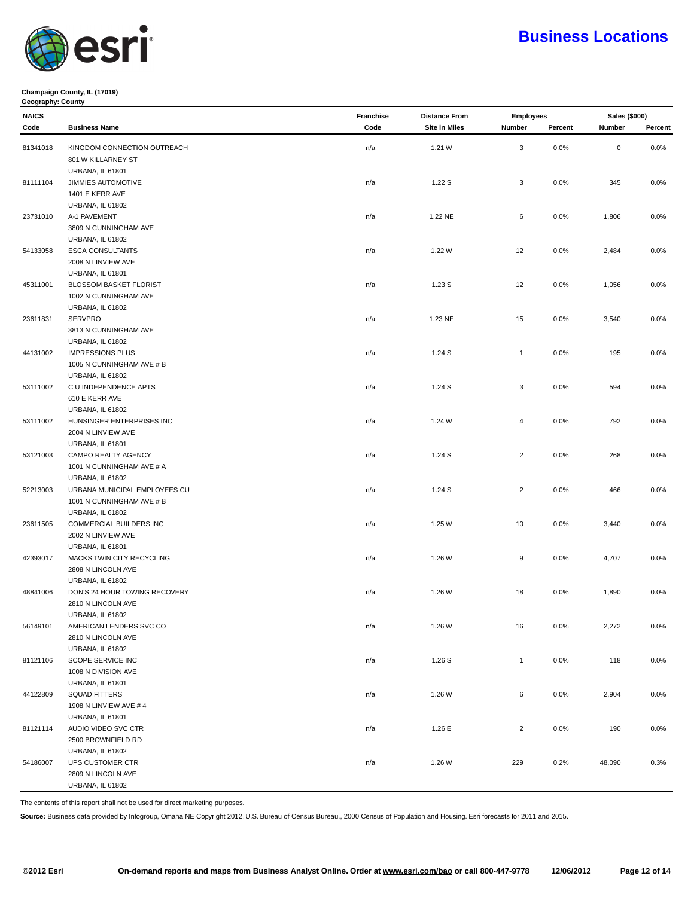

#### **Champaign County, IL (17019) Geography: County**

| Code     | <b>Business Name</b>          | Code | <b>Site in Miles</b> | Number         | Percent | Number      | Percent |
|----------|-------------------------------|------|----------------------|----------------|---------|-------------|---------|
|          |                               |      |                      |                |         |             |         |
| 81341018 | KINGDOM CONNECTION OUTREACH   | n/a  | 1.21 W               | $\mathbf{3}$   | 0.0%    | $\mathsf 0$ | 0.0%    |
|          | 801 W KILLARNEY ST            |      |                      |                |         |             |         |
|          | <b>URBANA, IL 61801</b>       |      |                      |                |         |             |         |
| 81111104 | JIMMIES AUTOMOTIVE            | n/a  | 1.22S                | $\mathbf{3}$   | 0.0%    | 345         | 0.0%    |
|          | 1401 E KERR AVE               |      |                      |                |         |             |         |
|          | URBANA, IL 61802              |      |                      |                |         |             |         |
| 23731010 | A-1 PAVEMENT                  | n/a  | 1.22 NE              | 6              | $0.0\%$ | 1,806       | $0.0\%$ |
|          | 3809 N CUNNINGHAM AVE         |      |                      |                |         |             |         |
|          | <b>URBANA, IL 61802</b>       |      |                      |                |         |             |         |
| 54133058 | <b>ESCA CONSULTANTS</b>       | n/a  | 1.22 W               | 12             | 0.0%    | 2,484       | $0.0\%$ |
|          | 2008 N LINVIEW AVE            |      |                      |                |         |             |         |
|          | <b>URBANA, IL 61801</b>       |      |                      |                |         |             |         |
| 45311001 | <b>BLOSSOM BASKET FLORIST</b> | n/a  | 1.23S                | 12             | $0.0\%$ | 1,056       | $0.0\%$ |
|          | 1002 N CUNNINGHAM AVE         |      |                      |                |         |             |         |
|          | <b>URBANA, IL 61802</b>       |      |                      |                |         |             |         |
| 23611831 | <b>SERVPRO</b>                | n/a  | 1.23 NE              | 15             | 0.0%    | 3,540       | $0.0\%$ |
|          | 3813 N CUNNINGHAM AVE         |      |                      |                |         |             |         |
|          | URBANA, IL 61802              |      |                      |                |         |             |         |
| 44131002 | <b>IMPRESSIONS PLUS</b>       | n/a  | 1.24S                | $\mathbf{1}$   | 0.0%    | 195         | 0.0%    |
|          | 1005 N CUNNINGHAM AVE # B     |      |                      |                |         |             |         |
|          | <b>URBANA, IL 61802</b>       |      |                      |                |         |             |         |
| 53111002 | C U INDEPENDENCE APTS         | n/a  | 1.24S                | $\mathbf{3}$   | 0.0%    | 594         | 0.0%    |
|          | 610 E KERR AVE                |      |                      |                |         |             |         |
|          | <b>URBANA, IL 61802</b>       |      |                      |                |         |             |         |
| 53111002 | HUNSINGER ENTERPRISES INC     | n/a  | 1.24 W               | 4              | 0.0%    | 792         | 0.0%    |
|          | 2004 N LINVIEW AVE            |      |                      |                |         |             |         |
|          | <b>URBANA, IL 61801</b>       |      |                      |                |         |             |         |
| 53121003 | CAMPO REALTY AGENCY           | n/a  | 1.24S                | $\overline{2}$ | 0.0%    | 268         | 0.0%    |
|          | 1001 N CUNNINGHAM AVE # A     |      |                      |                |         |             |         |
|          | <b>URBANA, IL 61802</b>       |      |                      |                |         |             |         |
| 52213003 | URBANA MUNICIPAL EMPLOYEES CU | n/a  | 1.24S                | $\overline{2}$ | 0.0%    | 466         | 0.0%    |
|          | 1001 N CUNNINGHAM AVE # B     |      |                      |                |         |             |         |
|          | <b>URBANA, IL 61802</b>       |      |                      |                |         |             |         |
| 23611505 | COMMERCIAL BUILDERS INC       | n/a  | 1.25 W               | 10             | 0.0%    | 3,440       | 0.0%    |
|          | 2002 N LINVIEW AVE            |      |                      |                |         |             |         |
|          | <b>URBANA, IL 61801</b>       |      |                      |                |         |             |         |
| 42393017 | MACKS TWIN CITY RECYCLING     | n/a  | 1.26 W               | 9              | $0.0\%$ | 4,707       | 0.0%    |
|          | 2808 N LINCOLN AVE            |      |                      |                |         |             |         |
|          | URBANA, IL 61802              |      |                      |                |         |             |         |
| 48841006 | DON'S 24 HOUR TOWING RECOVERY | n/a  | 1.26 W               | 18             | $0.0\%$ | 1,890       | $0.0\%$ |
|          | 2810 N LINCOLN AVE            |      |                      |                |         |             |         |
|          | <b>URBANA, IL 61802</b>       |      |                      |                |         |             |         |
| 56149101 | AMERICAN LENDERS SVC CO       | n/a  | 1.26 W               | 16             | 0.0%    | 2,272       | 0.0%    |
|          | 2810 N LINCOLN AVE            |      |                      |                |         |             |         |
|          | URBANA, IL 61802              |      |                      |                |         |             |         |
| 81121106 | SCOPE SERVICE INC             | n/a  | 1.26S                | $\mathbf{1}$   | 0.0%    | 118         | 0.0%    |
|          | 1008 N DIVISION AVE           |      |                      |                |         |             |         |
|          | <b>URBANA, IL 61801</b>       |      |                      |                |         |             |         |
| 44122809 | <b>SQUAD FITTERS</b>          | n/a  | 1.26 W               | 6              | 0.0%    | 2,904       | 0.0%    |
|          | 1908 N LINVIEW AVE # 4        |      |                      |                |         |             |         |
|          | <b>URBANA, IL 61801</b>       |      |                      |                |         |             |         |
|          |                               |      |                      |                |         |             |         |
| 81121114 | AUDIO VIDEO SVC CTR           | n/a  | 1.26 E               | $\overline{2}$ | 0.0%    | 190         | 0.0%    |
|          | 2500 BROWNFIELD RD            |      |                      |                |         |             |         |
|          | <b>URBANA, IL 61802</b>       |      |                      |                |         |             |         |
| 54186007 | UPS CUSTOMER CTR              | n/a  | 1.26 W               | 229            | 0.2%    | 48,090      | 0.3%    |
|          | 2809 N LINCOLN AVE            |      |                      |                |         |             |         |
|          | URBANA, IL 61802              |      |                      |                |         |             |         |

**NAICS Franchise Distance From Employees Sales (\$000)**

The contents of this report shall not be used for direct marketing purposes.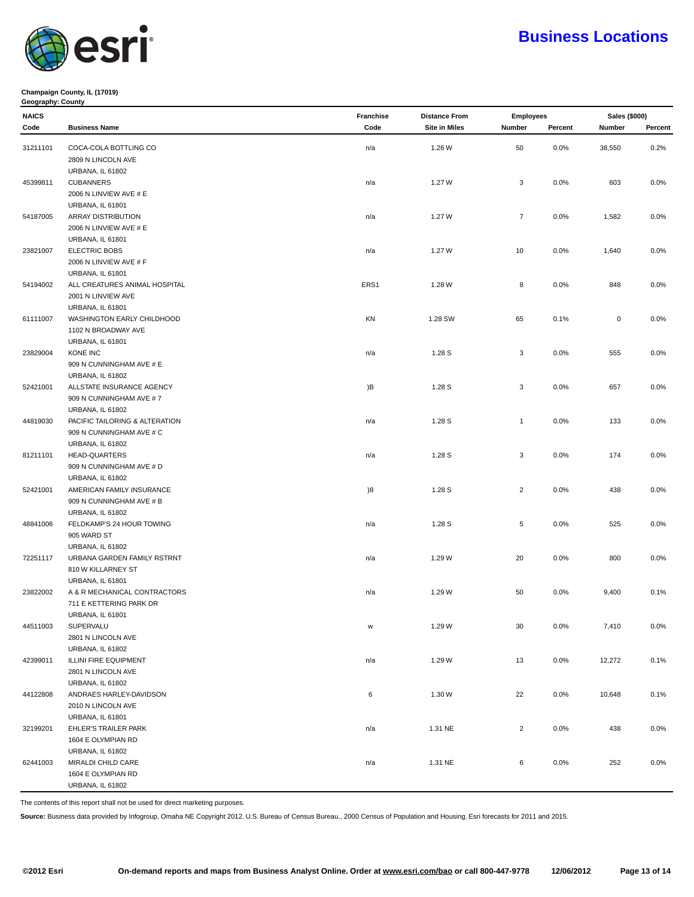

#### **Champaign County, IL (17019) Geography: County**

| NAICS    |                                                     | Franchise | <b>Distance From</b> | <b>Employees</b> |         | Sales (\$000) |         |
|----------|-----------------------------------------------------|-----------|----------------------|------------------|---------|---------------|---------|
| Code     | <b>Business Name</b>                                | Code      | <b>Site in Miles</b> | Number           | Percent | Number        | Percent |
| 31211101 | COCA-COLA BOTTLING CO                               | n/a       | 1.26 W               | 50               | 0.0%    | 38,550        | 0.2%    |
|          | 2809 N LINCOLN AVE                                  |           |                      |                  |         |               |         |
|          | URBANA, IL 61802                                    |           |                      |                  |         |               |         |
| 45399811 | <b>CUBANNERS</b>                                    | n/a       | 1.27 W               | 3                | 0.0%    | 603           | 0.0%    |
|          | 2006 N LINVIEW AVE # E                              |           |                      |                  |         |               |         |
|          | <b>URBANA, IL 61801</b>                             |           |                      |                  |         |               |         |
|          |                                                     |           |                      | $\overline{7}$   |         |               |         |
| 54187005 | <b>ARRAY DISTRIBUTION</b><br>2006 N LINVIEW AVE # E | n/a       | 1.27 W               |                  | 0.0%    | 1,582         | 0.0%    |
|          |                                                     |           |                      |                  |         |               |         |
| 23821007 | URBANA, IL 61801<br><b>ELECTRIC BOBS</b>            | n/a       | 1.27 W               | 10               | 0.0%    | 1,640         | 0.0%    |
|          | 2006 N LINVIEW AVE # F                              |           |                      |                  |         |               |         |
|          | URBANA, IL 61801                                    |           |                      |                  |         |               |         |
| 54194002 | ALL CREATURES ANIMAL HOSPITAL                       | ERS1      | 1.28 W               | 8                | 0.0%    | 848           | 0.0%    |
|          | 2001 N LINVIEW AVE                                  |           |                      |                  |         |               |         |
|          | URBANA, IL 61801                                    |           |                      |                  |         |               |         |
| 61111007 | WASHINGTON EARLY CHILDHOOD                          | KN        | 1.28 SW              | 65               | 0.1%    | 0             | 0.0%    |
|          | 1102 N BROADWAY AVE                                 |           |                      |                  |         |               |         |
|          | URBANA, IL 61801                                    |           |                      |                  |         |               |         |
| 23829004 | KONE INC                                            | n/a       | 1.28S                | 3                | 0.0%    | 555           | 0.0%    |
|          | 909 N CUNNINGHAM AVE # E                            |           |                      |                  |         |               |         |
|          | <b>URBANA, IL 61802</b>                             |           |                      |                  |         |               |         |
| 52421001 | ALLSTATE INSURANCE AGENCY                           | )B        | 1.28 S               | 3                | 0.0%    | 657           | 0.0%    |
|          | 909 N CUNNINGHAM AVE #7                             |           |                      |                  |         |               |         |
|          | <b>URBANA, IL 61802</b>                             |           |                      |                  |         |               |         |
| 44819030 | PACIFIC TAILORING & ALTERATION                      | n/a       | 1.28 S               | $\mathbf{1}$     | 0.0%    | 133           | 0.0%    |
|          | 909 N CUNNINGHAM AVE # C                            |           |                      |                  |         |               |         |
|          | <b>URBANA, IL 61802</b>                             |           |                      |                  |         |               |         |
| 81211101 | <b>HEAD-QUARTERS</b>                                | n/a       | 1.28 S               | 3                | 0.0%    | 174           | 0.0%    |
|          | 909 N CUNNINGHAM AVE # D                            |           |                      |                  |         |               |         |
|          | <b>URBANA, IL 61802</b>                             |           |                      |                  |         |               |         |
| 52421001 | AMERICAN FAMILY INSURANCE                           | )8        | 1.28 S               | $\overline{2}$   | 0.0%    | 438           | 0.0%    |
|          | 909 N CUNNINGHAM AVE # B                            |           |                      |                  |         |               |         |
|          | <b>URBANA, IL 61802</b>                             |           |                      |                  |         |               |         |
| 48841006 | FELDKAMP'S 24 HOUR TOWING                           | n/a       | 1.28S                | 5                | 0.0%    | 525           | 0.0%    |
|          | 905 WARD ST                                         |           |                      |                  |         |               |         |
|          | <b>URBANA, IL 61802</b>                             |           |                      |                  |         |               |         |
| 72251117 | URBANA GARDEN FAMILY RSTRNT                         | n/a       | 1.29 W               | 20               | 0.0%    | 800           | 0.0%    |
|          | 810 W KILLARNEY ST                                  |           |                      |                  |         |               |         |
|          | <b>URBANA, IL 61801</b>                             |           |                      |                  |         |               |         |
| 23822002 | A & R MECHANICAL CONTRACTORS                        | n/a       | 1.29 W               | 50               | 0.0%    | 9,400         | 0.1%    |
|          | 711 E KETTERING PARK DR                             |           |                      |                  |         |               |         |
|          | URBANA, IL 61801                                    |           |                      |                  |         |               |         |
| 44511003 | SUPERVALU                                           | W         | 1.29 W               | $30\,$           | 0.0%    | 7,410         | 0.0%    |
|          | 2801 N LINCOLN AVE                                  |           |                      |                  |         |               |         |
|          | URBANA, IL 61802                                    |           |                      |                  |         |               |         |
| 42399011 | ILLINI FIRE EQUIPMENT                               | n/a       | 1.29 W               | 13               | 0.0%    | 12,272        | 0.1%    |
|          | 2801 N LINCOLN AVE                                  |           |                      |                  |         |               |         |
|          | URBANA, IL 61802                                    |           |                      |                  |         |               |         |
| 44122808 | ANDRAES HARLEY-DAVIDSON                             | 6         | 1.30W                | 22               | 0.0%    | 10,648        | 0.1%    |
|          | 2010 N LINCOLN AVE                                  |           |                      |                  |         |               |         |
|          | URBANA, IL 61801                                    |           |                      |                  |         |               |         |
|          | <b>EHLER'S TRAILER PARK</b>                         |           |                      |                  |         |               |         |
| 32199201 | 1604 E OLYMPIAN RD                                  | n/a       | 1.31 NE              | $\overline{2}$   | 0.0%    | 438           | 0.0%    |
|          | URBANA, IL 61802                                    |           |                      |                  |         |               |         |
|          |                                                     |           |                      |                  |         |               |         |
| 62441003 | MIRALDI CHILD CARE                                  | n/a       | 1.31 NE              | 6                | 0.0%    | 252           | 0.0%    |
|          | 1604 E OLYMPIAN RD                                  |           |                      |                  |         |               |         |
|          | URBANA, IL 61802                                    |           |                      |                  |         |               |         |

The contents of this report shall not be used for direct marketing purposes.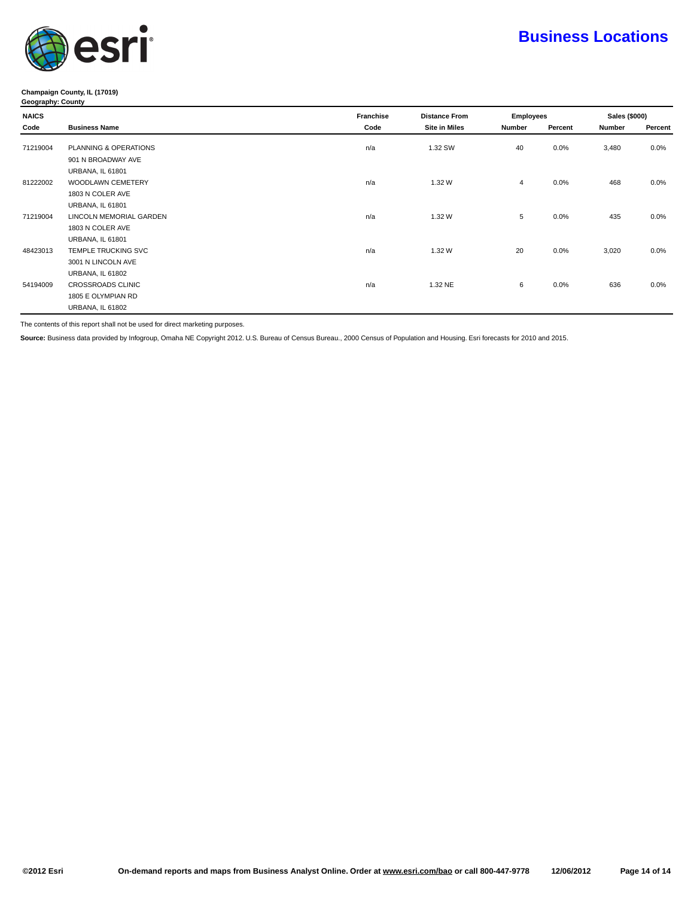

#### **Champaign County, IL (17019) Geography: County**

| <b>NAICS</b> |                            | Franchise | <b>Distance From</b> | <b>Employees</b> |         | Sales (\$000) |         |
|--------------|----------------------------|-----------|----------------------|------------------|---------|---------------|---------|
| Code         | <b>Business Name</b>       | Code      | <b>Site in Miles</b> | Number           | Percent | <b>Number</b> | Percent |
| 71219004     | PLANNING & OPERATIONS      | n/a       | 1.32 SW              | 40               | 0.0%    | 3,480         | $0.0\%$ |
|              | 901 N BROADWAY AVE         |           |                      |                  |         |               |         |
|              | <b>URBANA, IL 61801</b>    |           |                      |                  |         |               |         |
| 81222002     | WOODLAWN CEMETERY          | n/a       | 1.32 W               | $\overline{4}$   | 0.0%    | 468           | $0.0\%$ |
|              | 1803 N COLER AVE           |           |                      |                  |         |               |         |
|              | <b>URBANA, IL 61801</b>    |           |                      |                  |         |               |         |
| 71219004     | LINCOLN MEMORIAL GARDEN    | n/a       | 1.32 W               | 5                | 0.0%    | 435           | $0.0\%$ |
|              | 1803 N COLER AVE           |           |                      |                  |         |               |         |
|              | <b>URBANA, IL 61801</b>    |           |                      |                  |         |               |         |
| 48423013     | <b>TEMPLE TRUCKING SVC</b> | n/a       | 1.32W                | 20               | 0.0%    | 3,020         | $0.0\%$ |
|              | 3001 N LINCOLN AVE         |           |                      |                  |         |               |         |
|              | URBANA, IL 61802           |           |                      |                  |         |               |         |
| 54194009     | CROSSROADS CLINIC          | n/a       | 1.32 NE              | 6                | 0.0%    | 636           | $0.0\%$ |
|              | 1805 E OLYMPIAN RD         |           |                      |                  |         |               |         |
|              | URBANA, IL 61802           |           |                      |                  |         |               |         |

The contents of this report shall not be used for direct marketing purposes.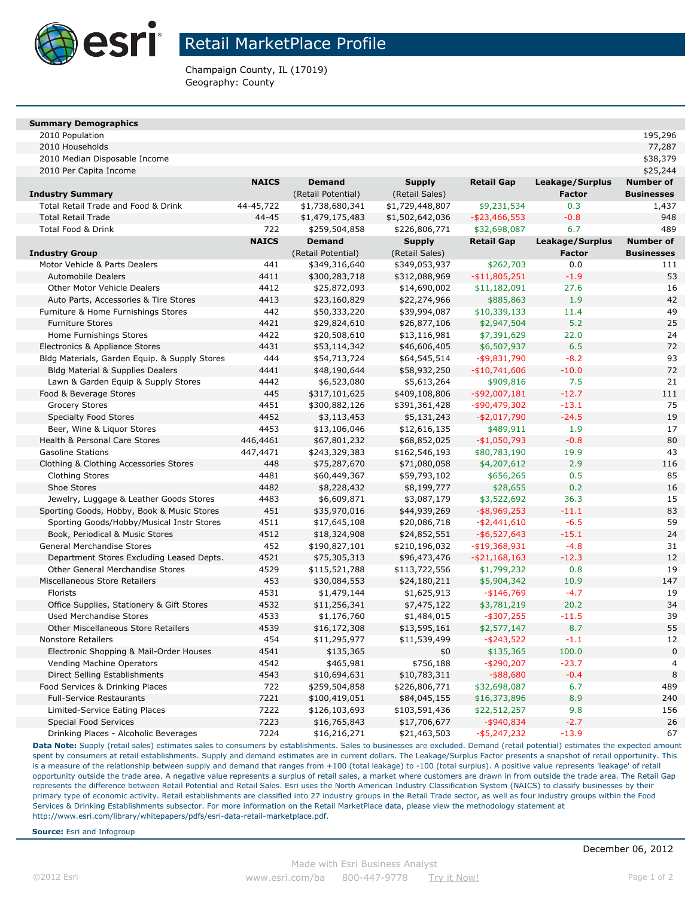

Champaign County, IL (17019) Geography: County

### **Summary Demographics**

2010 Population 195,296

2010 Households 77,287

2010 Median Disposable Income \$38,379

| 2010 Per Capita Income | \$25,244 |
|------------------------|----------|

|                                               | <b>NAICS</b> | <b>Demand</b>      | <b>Supply</b>   | <b>Retail Gap</b> | Leakage/Surplus | Number of         |
|-----------------------------------------------|--------------|--------------------|-----------------|-------------------|-----------------|-------------------|
| <b>Industry Summary</b>                       |              | (Retail Potential) | (Retail Sales)  |                   | <b>Factor</b>   | <b>Businesses</b> |
| Total Retail Trade and Food & Drink           | 44-45,722    | \$1,738,680,341    | \$1,729,448,807 | \$9,231,534       | 0.3             | 1,437             |
| <b>Total Retail Trade</b>                     | 44-45        | \$1,479,175,483    | \$1,502,642,036 | $-$ \$23,466,553  | $-0.8$          | 948               |
| Total Food & Drink                            | 722          | \$259,504,858      | \$226,806,771   | \$32,698,087      | 6.7             | 489               |
|                                               | <b>NAICS</b> | <b>Demand</b>      | <b>Supply</b>   | <b>Retail Gap</b> | Leakage/Surplus | <b>Number of</b>  |
| <b>Industry Group</b>                         |              | (Retail Potential) | (Retail Sales)  |                   | <b>Factor</b>   | <b>Businesses</b> |
| Motor Vehicle & Parts Dealers                 | 441          | \$349,316,640      | \$349,053,937   | \$262,703         | 0.0             | 111               |
| <b>Automobile Dealers</b>                     | 4411         | \$300,283,718      | \$312,088,969   | $-$ \$11,805,251  | $-1.9$          | 53                |
| <b>Other Motor Vehicle Dealers</b>            | 4412         | \$25,872,093       | \$14,690,002    | \$11,182,091      | 27.6            | 16                |
| Auto Parts, Accessories & Tire Stores         | 4413         | \$23,160,829       | \$22,274,966    | \$885,863         | 1.9             | 42                |
| Furniture & Home Furnishings Stores           | 442          | \$50,333,220       | \$39,994,087    | \$10,339,133      | 11.4            | 49                |
| <b>Furniture Stores</b>                       | 4421         | \$29,824,610       | \$26,877,106    | \$2,947,504       | 5.2             | 25                |
| Home Furnishings Stores                       | 4422         | \$20,508,610       | \$13,116,981    | \$7,391,629       | 22.0            | 24                |
| Electronics & Appliance Stores                | 4431         | \$53,114,342       | \$46,606,405    | \$6,507,937       | 6.5             | 72                |
| Bldg Materials, Garden Equip. & Supply Stores | 444          | \$54,713,724       | \$64,545,514    | $-$ \$9,831,790   | $-8.2$          | 93                |
| <b>Bldg Material &amp; Supplies Dealers</b>   | 4441         | \$48,190,644       | \$58,932,250    | $-$10,741,606$    | $-10.0$         | 72                |
| Lawn & Garden Equip & Supply Stores           | 4442         | \$6,523,080        | \$5,613,264     | \$909,816         | 7.5             | 21                |
| Food & Beverage Stores                        | 445          | \$317,101,625      | \$409,108,806   | $-$ \$92,007,181  | $-12.7$         | 111               |
| <b>Grocery Stores</b>                         | 4451         | \$300,882,126      | \$391,361,428   | $-$ \$90,479,302  | $-13.1$         | 75                |
| <b>Specialty Food Stores</b>                  | 4452         | \$3,113,453        | \$5,131,243     | $-$ \$2,017,790   | $-24.5$         | 19                |
| Beer, Wine & Liquor Stores                    | 4453         | \$13,106,046       | \$12,616,135    | \$489,911         | 1.9             | 17                |
| Health & Personal Care Stores                 | 446,4461     | \$67,801,232       | \$68,852,025    | $-$1,050,793$     | $-0.8$          | 80                |
| <b>Gasoline Stations</b>                      | 447,4471     | \$243,329,383      | \$162,546,193   | \$80,783,190      | 19.9            | 43                |
| Clothing & Clothing Accessories Stores        | 448          | \$75,287,670       | \$71,080,058    | \$4,207,612       | 2.9             | 116               |
| Clothing Stores                               | 4481         | \$60,449,367       | \$59,793,102    | \$656,265         | 0.5             | 85                |
| Shoe Stores                                   | 4482         | \$8,228,432        | \$8,199,777     | \$28,655          | 0.2             | 16                |
| Jewelry, Luggage & Leather Goods Stores       | 4483         | \$6,609,871        | \$3,087,179     | \$3,522,692       | 36.3            | 15                |
| Sporting Goods, Hobby, Book & Music Stores    | 451          | \$35,970,016       | \$44,939,269    | $-$ \$8,969,253   | $-11.1$         | 83                |
| Sporting Goods/Hobby/Musical Instr Stores     | 4511         | \$17,645,108       | \$20,086,718    | $-$ \$2,441,610   | $-6.5$          | 59                |
| Book, Periodical & Music Stores               | 4512         | \$18,324,908       | \$24,852,551    | $-$ \$6,527,643   | $-15.1$         | 24                |
| General Merchandise Stores                    | 452          | \$190,827,101      | \$210,196,032   | $-$ \$19,368,931  | $-4.8$          | 31                |
| Department Stores Excluding Leased Depts.     | 4521         | \$75,305,313       | \$96,473,476    | $-$ \$21,168,163  | $-12.3$         | 12                |
| Other General Merchandise Stores              | 4529         | \$115,521,788      | \$113,722,556   | \$1,799,232       | 0.8             | 19                |
| Miscellaneous Store Retailers                 | 453          | \$30,084,553       | \$24,180,211    | \$5,904,342       | 10.9            | 147               |
| Florists                                      | 4531         | \$1,479,144        | \$1,625,913     | $-$146,769$       | $-4.7$          | 19                |
| Office Supplies, Stationery & Gift Stores     | 4532         | \$11,256,341       | \$7,475,122     | \$3,781,219       | 20.2            | 34                |
| <b>Used Merchandise Stores</b>                | 4533         | \$1,176,760        | \$1,484,015     | $-$ \$307,255     | $-11.5$         | 39                |
| <b>Other Miscellaneous Store Retailers</b>    | 4539         | \$16,172,308       | \$13,595,161    | \$2,577,147       | 8.7             | 55                |
| <b>Nonstore Retailers</b>                     | 454          | \$11,295,977       | \$11,539,499    | $-$ \$243,522     | $-1.1$          | 12                |
| Electronic Shopping & Mail-Order Houses       | 4541         | \$135,365          | \$0             | \$135,365         | 100.0           | $\mathbf 0$       |
| Vending Machine Operators                     | 4542         | \$465,981          | \$756,188       | $-$ \$290,207     | $-23.7$         | $\overline{4}$    |
| Direct Selling Establishments                 | 4543         | \$10,694,631       | \$10,783,311    | $-$ \$88,680      | $-0.4$          | 8                 |
| Food Services & Drinking Places               | 722          | \$259,504,858      | \$226,806,771   | \$32,698,087      | 6.7             | 489               |
| <b>Full-Service Restaurants</b>               | 7221         | \$100,419,051      | \$84,045,155    | \$16,373,896      | 8.9             | 240               |
| Limited-Service Eating Places                 | 7222         | \$126,103,693      | \$103,591,436   | \$22,512,257      | 9.8             | 156               |
| <b>Special Food Services</b>                  | 7223         | \$16,765,843       | \$17,706,677    | $-$ \$940,834     | $-2.7$          | 26                |
| Drinking Places - Alcoholic Beverages         | 7224         | \$16,216,271       | \$21,463,503    | -\$5,247,232      | $-13.9$         | 67                |

Data Note: Supply (retail sales) estimates sales to consumers by establishments. Sales to businesses are excluded. Demand (retail potential) estimates the expected amount spent by consumers at retail establishments. Supply and demand estimates are in current dollars. The Leakage/Surplus Factor presents a snapshot of retail opportunity. This is a measure of the relationship between supply and demand that ranges from +100 (total leakage) to -100 (total surplus). A positive value represents 'leakage' of retail opportunity outside the trade area. A negative value represents a surplus of retail sales, a market where customers are drawn in from outside the trade area. The Retail Gap represents the difference between Retail Potential and Retail Sales. Esri uses the North American Industry Classification System (NAICS) to classify businesses by their primary type of economic activity. Retail establishments are classified into 27 industry groups in the Retail Trade sector, as well as four industry groups within the Food Services & Drinking Establishments subsector. For more information on the Retail MarketPlace data, please view the methodology statement at http://www.esri.com/library/whitepapers/pdfs/esri-data-retail-marketplace.pdf.

**Source:** Esri and Infogroup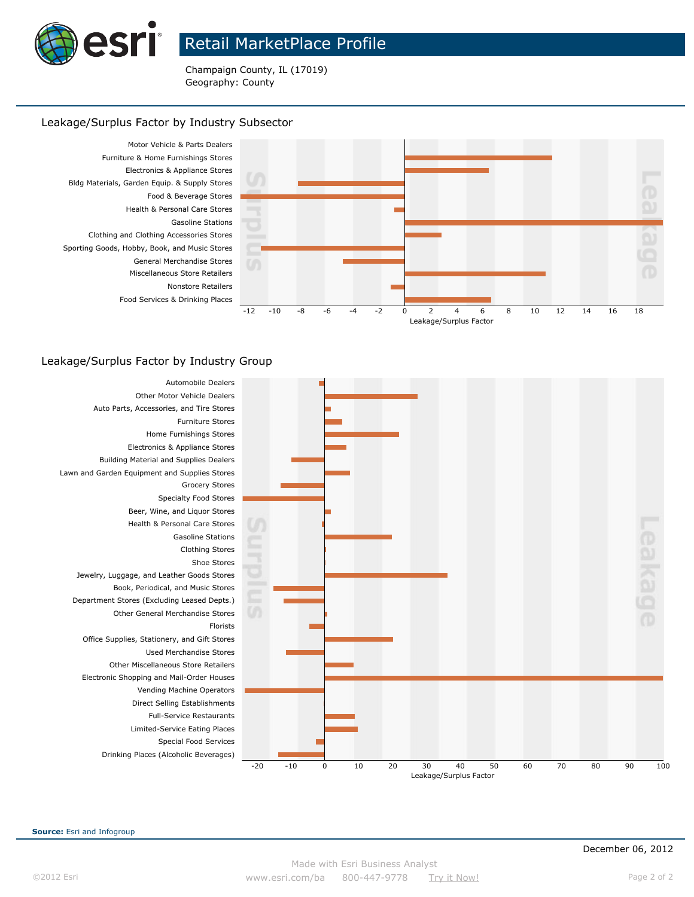

Champaign County, IL (17019) Geography: County

### Leakage/Surplus Factor by Industry Subsector



### Leakage/Surplus Factor by Industry Group



**Source:** Esri and Infogroup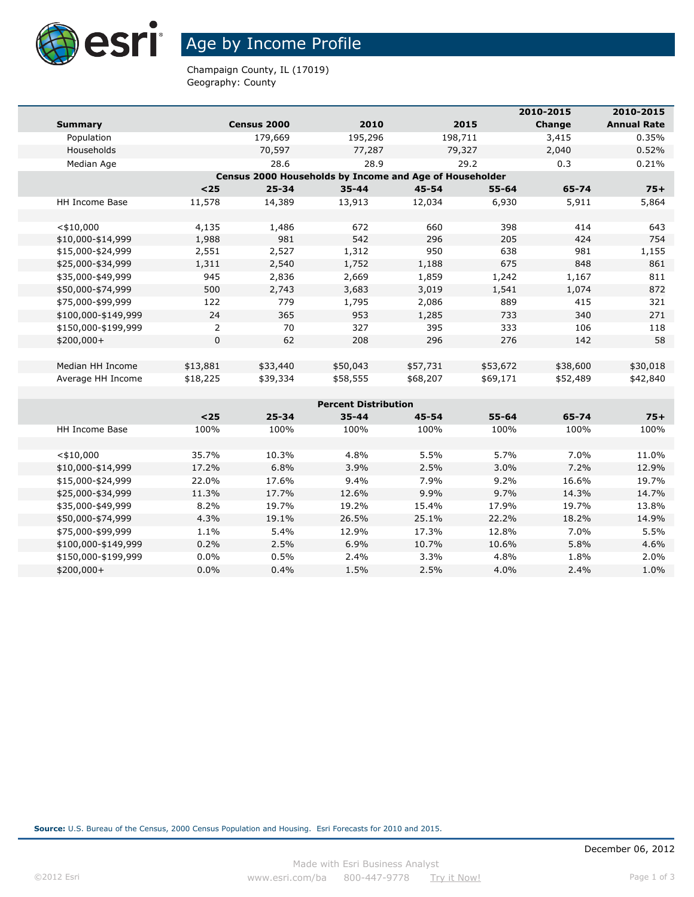

# Age by Income Profile

Champaign County, IL (17019) Geography: County

| 2010-2015           |                |             |                                                         |           | 2010-2015 |          |                    |
|---------------------|----------------|-------------|---------------------------------------------------------|-----------|-----------|----------|--------------------|
| <b>Summary</b>      |                | Census 2000 | 2010                                                    |           | 2015      | Change   | <b>Annual Rate</b> |
| Population          |                | 179,669     | 195,296                                                 | 198,711   |           | 3,415    | 0.35%              |
| Households          |                | 70,597      | 77,287                                                  | 79,327    |           | 2,040    | 0.52%              |
| Median Age          |                | 28.6        | 28.9                                                    |           | 29.2      | 0.3      | 0.21%              |
|                     |                |             | Census 2000 Households by Income and Age of Householder |           |           |          |                    |
|                     | $25$           | $25 - 34$   | $35 - 44$                                               | $45 - 54$ | $55 - 64$ | 65-74    | $75+$              |
| HH Income Base      | 11,578         | 14,389      | 13,913                                                  | 12,034    | 6,930     | 5,911    | 5,864              |
|                     |                |             |                                                         |           |           |          |                    |
| $<$ \$10,000        | 4,135          | 1,486       | 672                                                     | 660       | 398       | 414      | 643                |
| \$10,000-\$14,999   | 1,988          | 981         | 542                                                     | 296       | 205       | 424      | 754                |
| \$15,000-\$24,999   | 2,551          | 2,527       | 1,312                                                   | 950       | 638       | 981      | 1,155              |
| \$25,000-\$34,999   | 1,311          | 2,540       | 1,752                                                   | 1,188     | 675       | 848      | 861                |
| \$35,000-\$49,999   | 945            | 2,836       | 2,669                                                   | 1,859     | 1,242     | 1,167    | 811                |
| \$50,000-\$74,999   | 500            | 2,743       | 3,683                                                   | 3,019     | 1,541     | 1,074    | 872                |
| \$75,000-\$99,999   | 122            | 779         | 1,795                                                   | 2,086     | 889       | 415      | 321                |
| \$100,000-\$149,999 | 24             | 365         | 953                                                     | 1,285     | 733       | 340      | 271                |
| \$150,000-\$199,999 | $\overline{2}$ | 70          | 327                                                     | 395       | 333       | 106      | 118                |
| \$200,000+          | $\mathbf 0$    | 62          | 208                                                     | 296       | 276       | 142      | 58                 |
|                     |                |             |                                                         |           |           |          |                    |
| Median HH Income    | \$13,881       | \$33,440    | \$50,043                                                | \$57,731  | \$53,672  | \$38,600 | \$30,018           |
| Average HH Income   | \$18,225       | \$39,334    | \$58,555                                                | \$68,207  | \$69,171  | \$52,489 | \$42,840           |
|                     |                |             |                                                         |           |           |          |                    |
|                     |                |             | <b>Percent Distribution</b>                             |           |           |          |                    |
|                     | $25$           | $25 - 34$   | $35 - 44$                                               | 45-54     | $55 - 64$ | 65-74    | $75+$              |
| HH Income Base      | 100%           | 100%        | 100%                                                    | 100%      | 100%      | 100%     | 100%               |
|                     |                |             |                                                         |           |           |          |                    |
| $<$ \$10,000        | 35.7%          | 10.3%       | 4.8%                                                    | 5.5%      | 5.7%      | 7.0%     | 11.0%              |
| \$10,000-\$14,999   | 17.2%          | 6.8%        | 3.9%                                                    | 2.5%      | 3.0%      | 7.2%     | 12.9%              |
| \$15,000-\$24,999   | 22.0%          | 17.6%       | 9.4%                                                    | 7.9%      | 9.2%      | 16.6%    | 19.7%              |
| \$25,000-\$34,999   | 11.3%          | 17.7%       | 12.6%                                                   | 9.9%      | 9.7%      | 14.3%    | 14.7%              |

\$35,000-\$49,999 8.2% 19.7% 19.2% 15.4% 17.9% 19.7% 13.8% \$50,000-\$74,999 4.3% 19.1% 26.5% 25.1% 22.2% 18.2% 14.9% \$75,000-\$99,999 1.1% 5.4% 12.9% 17.3% 12.8% 7.0% 5.5% \$100,000-\$149,999 0.2% 2.5% 6.9% 10.7% 10.6% 5.8% 4.6% \$150,000-\$199,999 0.0% 0.5% 2.4% 3.3% 4.8% 1.8% 2.0%  $$200,000+$   $$0.0\%$   $$0.4\%$   $1.5\%$   $2.5\%$   $$4.0\%$   $$2.4\%$   $1.0\%$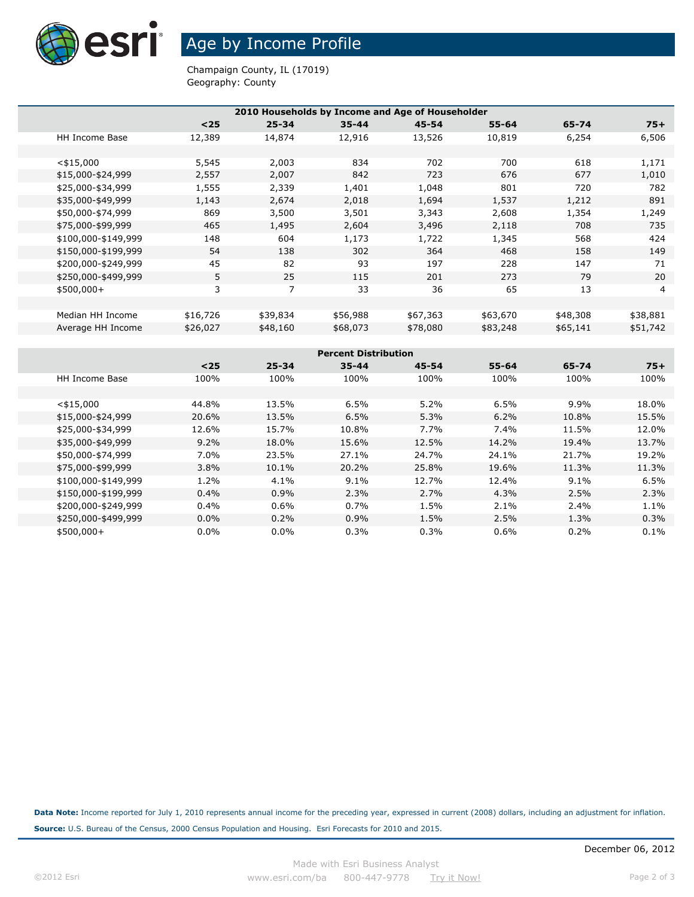

Age by Income Profile

Champaign County, IL (17019) Geography: County

| 2010 Households by Income and Age of Householder      |          |           |                             |           |           |          |          |  |  |  |  |
|-------------------------------------------------------|----------|-----------|-----------------------------|-----------|-----------|----------|----------|--|--|--|--|
|                                                       | $25$     | $25 - 34$ | $35 - 44$                   | $45 - 54$ | $55 - 64$ | 65-74    | $75+$    |  |  |  |  |
| <b>HH Income Base</b>                                 | 12,389   | 14,874    | 12,916                      | 13,526    | 10,819    | 6,254    | 6,506    |  |  |  |  |
|                                                       |          |           |                             |           |           |          |          |  |  |  |  |
|                                                       |          |           |                             |           |           |          |          |  |  |  |  |
| $<$ \$15,000                                          | 5,545    | 2,003     | 834                         | 702       | 700       | 618      | 1,171    |  |  |  |  |
| \$15,000-\$24,999                                     | 2,557    | 2,007     | 842                         | 723       | 676       | 677      | 1,010    |  |  |  |  |
| \$25,000-\$34,999                                     | 1,555    | 2,339     | 1,401                       | 1,048     | 801       | 720      | 782      |  |  |  |  |
| \$35,000-\$49,999                                     | 1,143    | 2,674     | 2,018                       | 1,694     | 1,537     | 1,212    | 891      |  |  |  |  |
| \$50,000-\$74,999                                     | 869      | 3,500     | 3,501                       | 3,343     | 2,608     | 1,354    | 1,249    |  |  |  |  |
| \$75,000-\$99,999                                     | 465      | 1,495     | 2,604                       | 3,496     | 2,118     | 708      | 735      |  |  |  |  |
| \$100,000-\$149,999                                   | 148      | 604       | 1,173                       | 1,722     | 1,345     | 568      | 424      |  |  |  |  |
| \$150,000-\$199,999                                   | 54       | 138       | 302                         | 364       | 468       | 158      | 149      |  |  |  |  |
| \$200,000-\$249,999                                   | 45       | 82        | 93                          | 197       | 228       | 147      | 71       |  |  |  |  |
| \$250,000-\$499,999                                   | 5        | 25        | 115                         | 201       | 273       | 79       | 20       |  |  |  |  |
| $$500,000+$                                           | 3        | 7         | 33                          | 36        | 65        | 13       | 4        |  |  |  |  |
|                                                       |          |           |                             |           |           |          |          |  |  |  |  |
| Median HH Income                                      | \$16,726 | \$39,834  | \$56,988                    | \$67,363  | \$63,670  | \$48,308 | \$38,881 |  |  |  |  |
| Average HH Income                                     | \$26,027 | \$48,160  | \$68,073                    | \$78,080  | \$83,248  | \$65,141 | \$51,742 |  |  |  |  |
|                                                       |          |           |                             |           |           |          |          |  |  |  |  |
|                                                       |          |           | <b>Percent Distribution</b> |           |           |          |          |  |  |  |  |
|                                                       | $25$     | $25 - 34$ | $35 - 44$                   | $45 - 54$ | $55 - 64$ | 65-74    | $75+$    |  |  |  |  |
| <b>HH Income Base</b>                                 | 100%     | 100%      | 100%                        | 100%      | 100%      | 100%     | 100%     |  |  |  |  |
|                                                       |          |           |                             |           |           |          |          |  |  |  |  |
| $<$ \$15,000                                          | 44.8%    | 13.5%     | 6.5%                        | 5.2%      | 6.5%      | 9.9%     | 18.0%    |  |  |  |  |
| \$15,000-\$24,999                                     | 20.6%    | 13.5%     | 6.5%                        | 5.3%      | 6.2%      | 10.8%    | 15.5%    |  |  |  |  |
| \$25,000-\$34,999                                     | 12.6%    | 15.7%     | 10.8%                       | 7.7%      | 7.4%      | 11.5%    | 12.0%    |  |  |  |  |
| \$35,000-\$49,999                                     | 9.2%     | 18.0%     | 15.6%                       | 12.5%     | 14.2%     | 19.4%    | 13.7%    |  |  |  |  |
| $+E$ $\cap$ $\cap$ $\cap$ $+7$ $\wedge$ $\cap$ $\cap$ | 7.001    | וחם בר    | <b>D.P. CC</b>              | 24.70/    | 74.10/    | 21.70/   | 10.201   |  |  |  |  |

| \$25,000-\$34,999   | 12.6%   | 15.7%    | 10.8%   | 7.7%  | $7.4\%$ | 11.5%   | 12.0% |
|---------------------|---------|----------|---------|-------|---------|---------|-------|
| \$35,000-\$49,999   | 9.2%    | 18.0%    | 15.6%   | 12.5% | 14.2%   | 19.4%   | 13.7% |
| \$50,000-\$74,999   | $7.0\%$ | 23.5%    | 27.1%   | 24.7% | 24.1%   | 21.7%   | 19.2% |
| \$75,000-\$99,999   | 3.8%    | $10.1\%$ | 20.2%   | 25.8% | 19.6%   | 11.3%   | 11.3% |
| \$100,000-\$149,999 | 1.2%    | $4.1\%$  | $9.1\%$ | 12.7% | 12.4%   | $9.1\%$ | 6.5%  |
| \$150,000-\$199,999 | $0.4\%$ | $0.9\%$  | 2.3%    | 2.7%  | $4.3\%$ | 2.5%    | 2.3%  |
| \$200,000-\$249,999 | 0.4%    | $0.6\%$  | 0.7%    | 1.5%  | $2.1\%$ | 2.4%    | 1.1%  |
| \$250,000-\$499,999 | $0.0\%$ | $0.2\%$  | $0.9\%$ | 1.5%  | 2.5%    | 1.3%    | 0.3%  |
| $$500.000+$         | $0.0\%$ | $0.0\%$  | 0.3%    | 0.3%  | 0.6%    | $0.2\%$ | 0.1%  |

**Data Note:** Income reported for July 1, 2010 represents annual income for the preceding year, expressed in current (2008) dollars, including an adjustment for inflation. **Source:** U.S. Bureau of the Census, 2000 Census Population and Housing. Esri Forecasts for 2010 and 2015.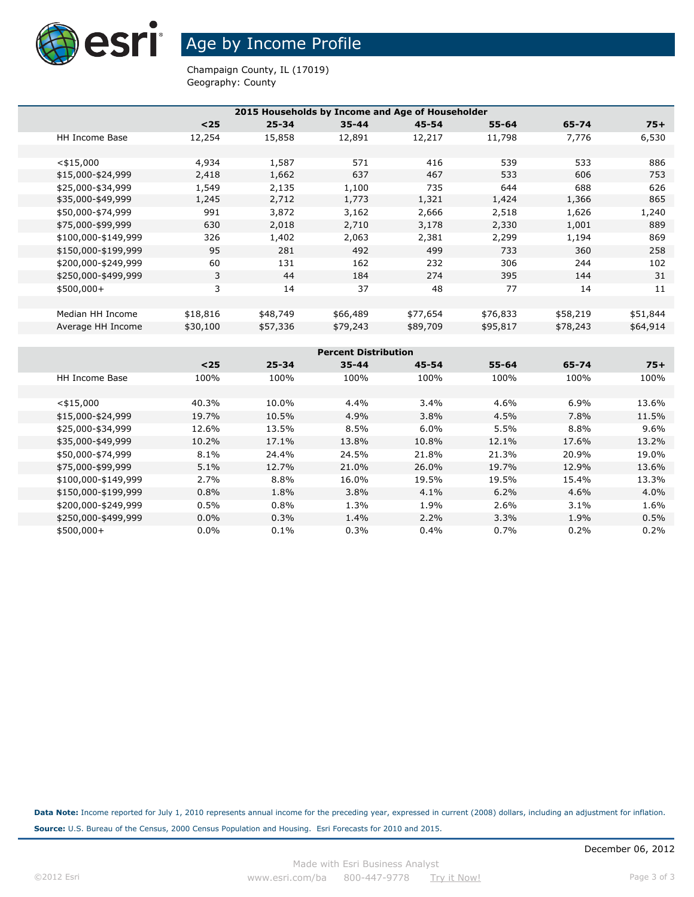

Age by Income Profile

Champaign County, IL (17019) Geography: County

| 2015 Households by Income and Age of Householder |          |           |           |           |           |          |          |  |  |  |  |
|--------------------------------------------------|----------|-----------|-----------|-----------|-----------|----------|----------|--|--|--|--|
|                                                  | $<$ 25   | $25 - 34$ | $35 - 44$ | $45 - 54$ | $55 - 64$ | 65-74    | $75+$    |  |  |  |  |
| <b>HH Income Base</b>                            | 12,254   | 15,858    | 12,891    | 12,217    | 11,798    | 7,776    | 6,530    |  |  |  |  |
|                                                  |          |           |           |           |           |          |          |  |  |  |  |
| $<$ \$15,000                                     | 4,934    | 1,587     | 571       | 416       | 539       | 533      | 886      |  |  |  |  |
| \$15,000-\$24,999                                | 2,418    | 1,662     | 637       | 467       | 533       | 606      | 753      |  |  |  |  |
| \$25,000-\$34,999                                | 1,549    | 2,135     | 1,100     | 735       | 644       | 688      | 626      |  |  |  |  |
| \$35,000-\$49,999                                | 1,245    | 2,712     | 1,773     | 1,321     | 1,424     | 1,366    | 865      |  |  |  |  |
| \$50,000-\$74,999                                | 991      | 3,872     | 3,162     | 2,666     | 2,518     | 1,626    | 1,240    |  |  |  |  |
| \$75,000-\$99,999                                | 630      | 2,018     | 2,710     | 3,178     | 2,330     | 1,001    | 889      |  |  |  |  |
| \$100,000-\$149,999                              | 326      | 1,402     | 2,063     | 2,381     | 2,299     | 1,194    | 869      |  |  |  |  |
| \$150,000-\$199,999                              | 95       | 281       | 492       | 499       | 733       | 360      | 258      |  |  |  |  |
| \$200,000-\$249,999                              | 60       | 131       | 162       | 232       | 306       | 244      | 102      |  |  |  |  |
| \$250,000-\$499,999                              | 3        | 44        | 184       | 274       | 395       | 144      | 31       |  |  |  |  |
| $$500,000+$                                      | 3        | 14        | 37        | 48        | 77        | 14       | 11       |  |  |  |  |
|                                                  |          |           |           |           |           |          |          |  |  |  |  |
| Median HH Income                                 | \$18,816 | \$48,749  | \$66,489  | \$77,654  | \$76,833  | \$58,219 | \$51,844 |  |  |  |  |
| Average HH Income                                | \$30,100 | \$57,336  | \$79,243  | \$89,709  | \$95,817  | \$78,243 | \$64,914 |  |  |  |  |
|                                                  |          |           |           |           |           |          |          |  |  |  |  |

| <b>Percent Distribution</b> |         |           |           |           |           |       |         |  |  |
|-----------------------------|---------|-----------|-----------|-----------|-----------|-------|---------|--|--|
|                             | $25$    | $25 - 34$ | $35 - 44$ | $45 - 54$ | $55 - 64$ | 65-74 | $75+$   |  |  |
| <b>HH Income Base</b>       | 100%    | 100%      | 100%      | 100%      | 100%      | 100%  | 100%    |  |  |
|                             |         |           |           |           |           |       |         |  |  |
| $<$ \$15,000                | 40.3%   | 10.0%     | 4.4%      | 3.4%      | 4.6%      | 6.9%  | 13.6%   |  |  |
| \$15,000-\$24,999           | 19.7%   | 10.5%     | 4.9%      | 3.8%      | 4.5%      | 7.8%  | 11.5%   |  |  |
| \$25,000-\$34,999           | 12.6%   | 13.5%     | 8.5%      | 6.0%      | 5.5%      | 8.8%  | $9.6\%$ |  |  |
| \$35,000-\$49,999           | 10.2%   | 17.1%     | 13.8%     | 10.8%     | 12.1%     | 17.6% | 13.2%   |  |  |
| \$50,000-\$74,999           | 8.1%    | 24.4%     | 24.5%     | 21.8%     | 21.3%     | 20.9% | 19.0%   |  |  |
| \$75,000-\$99,999           | 5.1%    | 12.7%     | 21.0%     | 26.0%     | 19.7%     | 12.9% | 13.6%   |  |  |
| \$100,000-\$149,999         | 2.7%    | 8.8%      | 16.0%     | 19.5%     | 19.5%     | 15.4% | 13.3%   |  |  |
| \$150,000-\$199,999         | 0.8%    | 1.8%      | 3.8%      | 4.1%      | 6.2%      | 4.6%  | $4.0\%$ |  |  |
| \$200,000-\$249,999         | 0.5%    | 0.8%      | 1.3%      | 1.9%      | 2.6%      | 3.1%  | 1.6%    |  |  |
| \$250,000-\$499,999         | $0.0\%$ | 0.3%      | 1.4%      | 2.2%      | 3.3%      | 1.9%  | 0.5%    |  |  |
| $$500,000+$                 | $0.0\%$ | 0.1%      | 0.3%      | $0.4\%$   | 0.7%      | 0.2%  | 0.2%    |  |  |

**Data Note:** Income reported for July 1, 2010 represents annual income for the preceding year, expressed in current (2008) dollars, including an adjustment for inflation. **Source:** U.S. Bureau of the Census, 2000 Census Population and Housing. Esri Forecasts for 2010 and 2015.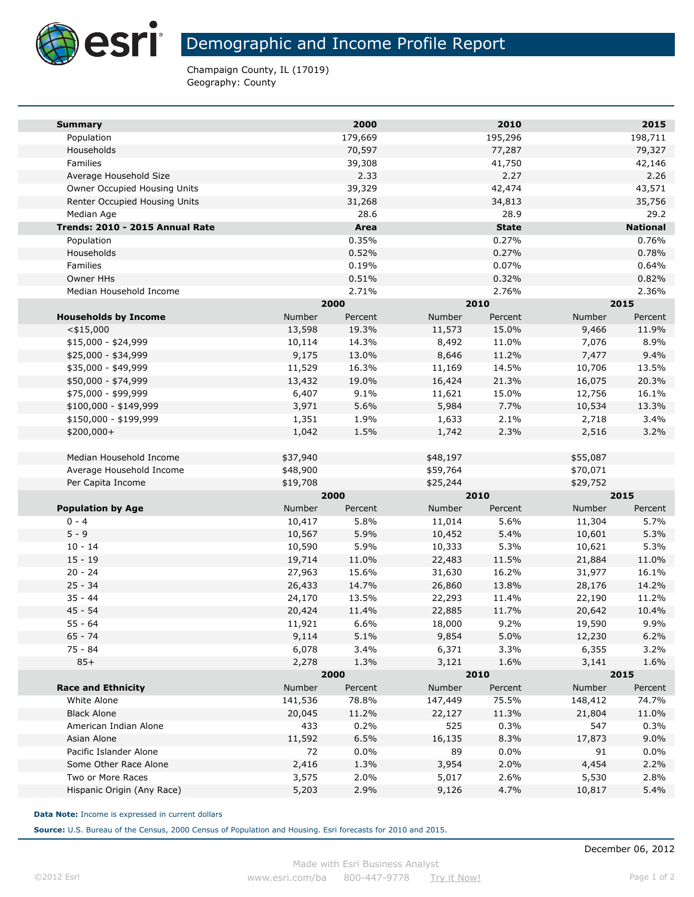

Champaign County, IL (17019) Geography: County

| <b>Summary</b>                                |                      | 2000    |                      | 2010         |                      | 2015            |  |
|-----------------------------------------------|----------------------|---------|----------------------|--------------|----------------------|-----------------|--|
| Population                                    |                      | 179,669 |                      | 195,296      |                      | 198,711         |  |
| Households                                    |                      | 70,597  |                      | 77,287       |                      | 79,327          |  |
| <b>Families</b>                               |                      | 39,308  |                      | 41,750       |                      | 42,146          |  |
| Average Household Size                        |                      | 2.33    |                      | 2.27         |                      | 2.26            |  |
| Owner Occupied Housing Units                  |                      | 39,329  |                      | 42,474       |                      | 43,571          |  |
| Renter Occupied Housing Units                 |                      | 31,268  |                      | 34,813       |                      | 35,756          |  |
| Median Age                                    |                      | 28.6    |                      | 28.9         |                      | 29.2            |  |
| Trends: 2010 - 2015 Annual Rate               |                      | Area    |                      | <b>State</b> |                      | <b>National</b> |  |
| Population                                    |                      | 0.35%   |                      | 0.27%        |                      | 0.76%           |  |
| Households                                    |                      | 0.52%   |                      | 0.27%        |                      | 0.78%           |  |
| Families                                      |                      | 0.19%   |                      | 0.07%        |                      | 0.64%           |  |
| Owner HHs                                     |                      | 0.51%   |                      | 0.32%        |                      | 0.82%           |  |
| Median Household Income                       |                      | 2.71%   |                      | 2.76%        |                      | 2.36%           |  |
|                                               | 2000                 |         |                      | 2010         | 2015                 |                 |  |
| <b>Households by Income</b>                   | Number               | Percent | Number               | Percent      | Number               | Percent         |  |
| $<$ \$15,000                                  | 13,598               | 19.3%   | 11,573               | 15.0%        | 9,466                | 11.9%           |  |
| $$15,000 - $24,999$                           | 10,114               | 14.3%   | 8,492                | 11.0%        | 7,076                | 8.9%            |  |
| \$25,000 - \$34,999                           | 9,175                | 13.0%   | 8,646                | 11.2%        | 7,477                | 9.4%            |  |
| \$35,000 - \$49,999                           | 11,529               | 16.3%   | 11,169               | 14.5%        | 10,706               | 13.5%           |  |
| \$50,000 - \$74,999                           | 13,432               | 19.0%   | 16,424               | 21.3%        | 16,075               | 20.3%           |  |
| \$75,000 - \$99,999                           | 6,407                | 9.1%    | 11,621               | 15.0%        | 12,756               | 16.1%           |  |
| \$100,000 - \$149,999                         | 3,971                | 5.6%    | 5,984                | 7.7%         | 10,534               | 13.3%           |  |
| \$150,000 - \$199,999                         | 1,351                | 1.9%    | 1,633                | 2.1%         | 2,718                | 3.4%            |  |
| \$200,000+                                    | 1,042                | 1.5%    | 1,742                | 2.3%         | 2,516                | 3.2%            |  |
|                                               |                      |         |                      |              |                      |                 |  |
| Median Household Income                       | \$37,940<br>\$48,900 |         | \$48,197<br>\$59,764 |              | \$55,087             |                 |  |
| Average Household Income<br>Per Capita Income | \$19,708             |         | \$25,244             |              | \$70,071<br>\$29,752 |                 |  |
|                                               |                      | 2000    |                      | 2010         |                      | 2015            |  |
| <b>Population by Age</b>                      | Number               | Percent | Number               | Percent      | Number               | Percent         |  |
| $0 - 4$                                       | 10,417               | 5.8%    | 11,014               | 5.6%         | 11,304               | 5.7%            |  |
| $5 - 9$                                       | 10,567               | 5.9%    | 10,452               | 5.4%         | 10,601               | 5.3%            |  |
| $10 - 14$                                     | 10,590               | 5.9%    | 10,333               | 5.3%         | 10,621               | 5.3%            |  |
| $15 - 19$                                     | 19,714               | 11.0%   | 22,483               | 11.5%        | 21,884               | 11.0%           |  |
| $20 - 24$                                     | 27,963               | 15.6%   | 31,630               | 16.2%        | 31,977               | 16.1%           |  |
| $25 - 34$                                     | 26,433               | 14.7%   | 26,860               | 13.8%        | 28,176               | 14.2%           |  |
| $35 - 44$                                     | 24,170               | 13.5%   | 22,293               | 11.4%        | 22,190               | 11.2%           |  |
| $45 - 54$                                     | 20,424               | 11.4%   | 22,885               | 11.7%        | 20,642               | 10.4%           |  |
| $55 - 64$                                     | 11,921               | 6.6%    | 18,000               | 9.2%         | 19,590               | 9.9%            |  |
| $65 - 74$                                     | 9,114                | 5.1%    | 9,854                | 5.0%         | 12,230               | 6.2%            |  |
| 75 - 84                                       | 6,078                | 3.4%    | 6,371                | 3.3%         | 6,355                | 3.2%            |  |
| $85+$                                         | 2,278                | 1.3%    | 3,121                | 1.6%         | 3,141                | 1.6%            |  |
|                                               |                      | 2000    |                      | 2010         |                      | 2015            |  |
| <b>Race and Ethnicity</b>                     | Number               | Percent | Number               | Percent      | Number               | Percent         |  |
| White Alone                                   | 141,536              | 78.8%   | 147,449              | 75.5%        | 148,412              | 74.7%           |  |
| <b>Black Alone</b>                            | 20,045               | 11.2%   | 22,127               | 11.3%        | 21,804               | 11.0%           |  |
| American Indian Alone                         | 433                  | 0.2%    | 525                  | 0.3%         | 547                  | 0.3%            |  |
| Asian Alone                                   | 11,592               | 6.5%    | 16,135               | 8.3%         | 17,873               | $9.0\%$         |  |
| Pacific Islander Alone                        | 72                   | $0.0\%$ | 89                   | 0.0%         | 91                   | $0.0\%$         |  |
| Some Other Race Alone                         | 2,416                | 1.3%    | 3,954                | 2.0%         | 4,454                | 2.2%            |  |
| Two or More Races                             | 3,575                | 2.0%    | 5,017                | 2.6%         | 5,530                | 2.8%            |  |
| Hispanic Origin (Any Race)                    | 5,203                | 2.9%    | 9,126                | 4.7%         | 10,817               | 5.4%            |  |
|                                               |                      |         |                      |              |                      |                 |  |

**Data Note:** Income is expressed in current dollars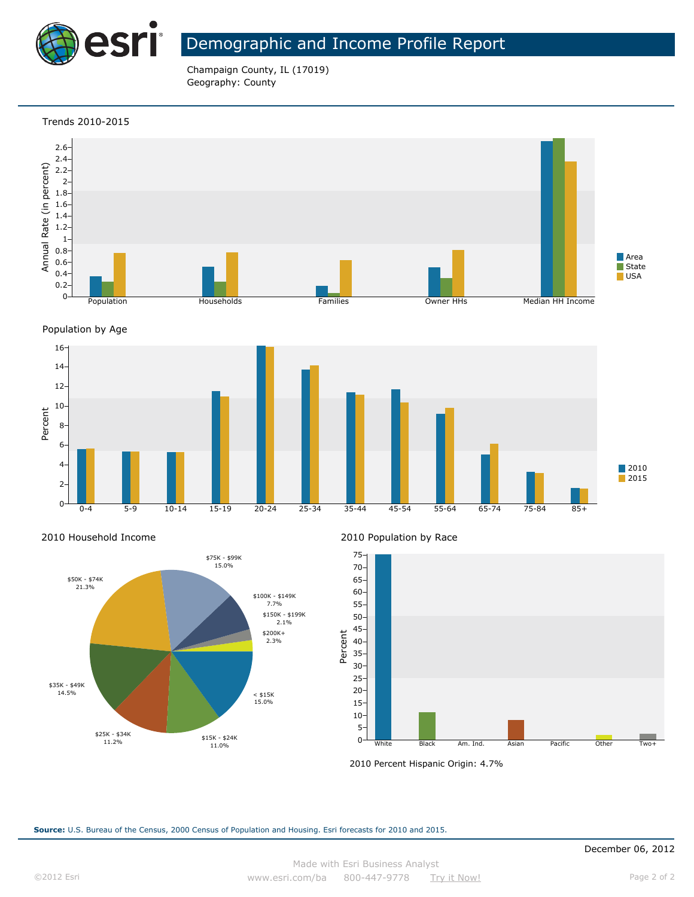

# Demographic and Income Profile Report

Champaign County, IL (17019) Geography: County

### Trends 2010-2015







### 2010 Household Income



2010 Population by Race



2010 Percent Hispanic Origin: 4.7%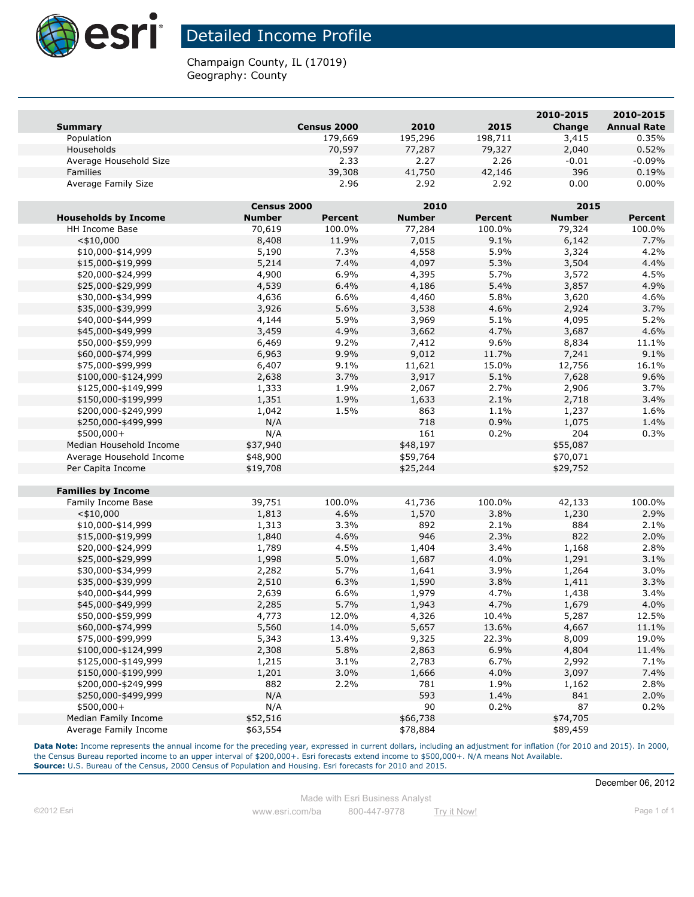

# Detailed Income Profile

Champaign County, IL (17019) Geography: County

|                             |               |                |               |                | 2010-2015     | 2010-2015          |
|-----------------------------|---------------|----------------|---------------|----------------|---------------|--------------------|
| <b>Summary</b>              |               | Census 2000    | 2010          | 2015           | Change        | <b>Annual Rate</b> |
| Population                  |               | 179,669        | 195,296       | 198,711        | 3,415         | 0.35%              |
| Households                  |               | 70,597         | 77,287        | 79,327         | 2,040         | 0.52%              |
| Average Household Size      |               | 2.33           | 2.27          | 2.26           | $-0.01$       | $-0.09%$           |
| <b>Families</b>             |               | 39,308         | 41,750        | 42,146         | 396           | 0.19%              |
| Average Family Size         |               | 2.96           | 2.92          | 2.92           | 0.00          | $0.00\%$           |
|                             | Census 2000   |                | 2010          |                | 2015          |                    |
| <b>Households by Income</b> | <b>Number</b> | <b>Percent</b> | <b>Number</b> | <b>Percent</b> | <b>Number</b> | <b>Percent</b>     |
| HH Income Base              | 70,619        | 100.0%         | 77,284        | 100.0%         | 79,324        | 100.0%             |
| $<$ \$10,000                | 8,408         | 11.9%          | 7,015         | 9.1%           | 6,142         | 7.7%               |
| \$10,000-\$14,999           | 5,190         | 7.3%           | 4,558         | 5.9%           | 3,324         | 4.2%               |
| \$15,000-\$19,999           | 5,214         | 7.4%           | 4,097         | 5.3%           | 3,504         | 4.4%               |
| \$20,000-\$24,999           | 4,900         | 6.9%           | 4,395         | 5.7%           | 3,572         | 4.5%               |
| \$25,000-\$29,999           | 4,539         | 6.4%           | 4,186         | 5.4%           | 3,857         | 4.9%               |
| \$30,000-\$34,999           | 4,636         | 6.6%           | 4,460         | 5.8%           | 3,620         | 4.6%               |
| \$35,000-\$39,999           | 3,926         | 5.6%           | 3,538         | 4.6%           | 2,924         | 3.7%               |
| \$40,000-\$44,999           | 4,144         | 5.9%           | 3,969         | 5.1%           | 4,095         | 5.2%               |
| \$45,000-\$49,999           | 3,459         | 4.9%           | 3,662         | 4.7%           | 3,687         | 4.6%               |
| \$50,000-\$59,999           | 6,469         | 9.2%           | 7,412         | 9.6%           | 8,834         | 11.1%              |
| \$60,000-\$74,999           | 6,963         | 9.9%           | 9,012         | 11.7%          | 7,241         | 9.1%               |
| \$75,000-\$99,999           | 6,407         | 9.1%           | 11,621        | 15.0%          | 12,756        | 16.1%              |
| \$100,000-\$124,999         | 2,638         | 3.7%           | 3,917         | 5.1%           | 7,628         | 9.6%               |
| \$125,000-\$149,999         | 1,333         | 1.9%           | 2,067         | 2.7%           | 2,906         | 3.7%               |
| \$150,000-\$199,999         | 1,351         | 1.9%           | 1,633         | 2.1%           | 2,718         | 3.4%               |
| \$200,000-\$249,999         | 1,042         | 1.5%           | 863           | 1.1%           | 1,237         | 1.6%               |
| \$250,000-\$499,999         | N/A           |                | 718           | 0.9%           | 1,075         | 1.4%               |
| $$500,000+$                 | N/A           |                | 161           | 0.2%           | 204           | 0.3%               |
| Median Household Income     | \$37,940      |                | \$48,197      |                | \$55,087      |                    |
| Average Household Income    | \$48,900      |                | \$59,764      |                | \$70,071      |                    |
| Per Capita Income           | \$19,708      |                | \$25,244      |                | \$29,752      |                    |
|                             |               |                |               |                |               |                    |
| <b>Families by Income</b>   |               |                |               |                |               |                    |
| Family Income Base          | 39,751        | 100.0%         | 41,736        | 100.0%         | 42,133        | 100.0%             |
| $<$ \$10,000                | 1,813         | 4.6%           | 1,570         | 3.8%           | 1,230         | 2.9%               |
| \$10,000-\$14,999           | 1,313         | 3.3%           | 892           | 2.1%           | 884           | 2.1%               |
| \$15,000-\$19,999           | 1,840         | 4.6%           | 946           | 2.3%           | 822           | 2.0%               |
| \$20,000-\$24,999           | 1,789         | 4.5%           | 1,404         | 3.4%           | 1,168         | 2.8%               |
| \$25,000-\$29,999           | 1,998         | 5.0%           | 1,687         | 4.0%           | 1,291         | 3.1%               |
| \$30,000-\$34,999           | 2,282         | 5.7%           | 1,641         | 3.9%           | 1,264         | 3.0%               |
| \$35,000-\$39,999           | 2,510         | 6.3%           | 1,590         | 3.8%           | 1,411         | 3.3%               |
| \$40,000-\$44,999           | 2,639         | 6.6%           | 1,979         | 4.7%           | 1,438         | 3.4%               |
| \$45,000-\$49,999           | 2,285         | 5.7%           | 1,943         | 4.7%           | 1,679         | 4.0%               |
| \$50,000-\$59,999           | 4,773         | 12.0%          | 4,326         | 10.4%          | 5,287         | 12.5%              |
| \$60,000-\$74,999           | 5,560         | 14.0%          | 5,657         | 13.6%          | 4,667         | 11.1%              |
| \$75,000-\$99,999           | 5,343         | 13.4%          | 9,325         | 22.3%          | 8,009         | 19.0%              |
| \$100,000-\$124,999         | 2,308         | 5.8%           | 2,863         | 6.9%           | 4,804         | 11.4%              |
| \$125,000-\$149,999         | 1,215         | 3.1%           | 2,783         | 6.7%           | 2,992         | 7.1%               |
| \$150,000-\$199,999         | 1,201         | 3.0%           | 1,666         | 4.0%           | 3,097         | 7.4%               |
| \$200,000-\$249,999         | 882           | 2.2%           | 781           | 1.9%           | 1,162         | 2.8%               |
| \$250,000-\$499,999         | N/A           |                | 593           | 1.4%           | 841           | 2.0%               |
| $$500,000+$                 | N/A           |                | 90            | 0.2%           | 87            | 0.2%               |
| Median Family Income        | \$52,516      |                | \$66,738      |                | \$74,705      |                    |
| Average Family Income       | \$63,554      |                | \$78,884      |                | \$89,459      |                    |

Data Note: Income represents the annual income for the preceding year, expressed in current dollars, including an adjustment for inflation (for 2010 and 2015). In 2000, the Census Bureau reported income to an upper interval of \$200,000+. Esri forecasts extend income to \$500,000+. N/A means Not Available. **Source:** U.S. Bureau of the Census, 2000 Census of Population and Housing. Esri forecasts for 2010 and 2015.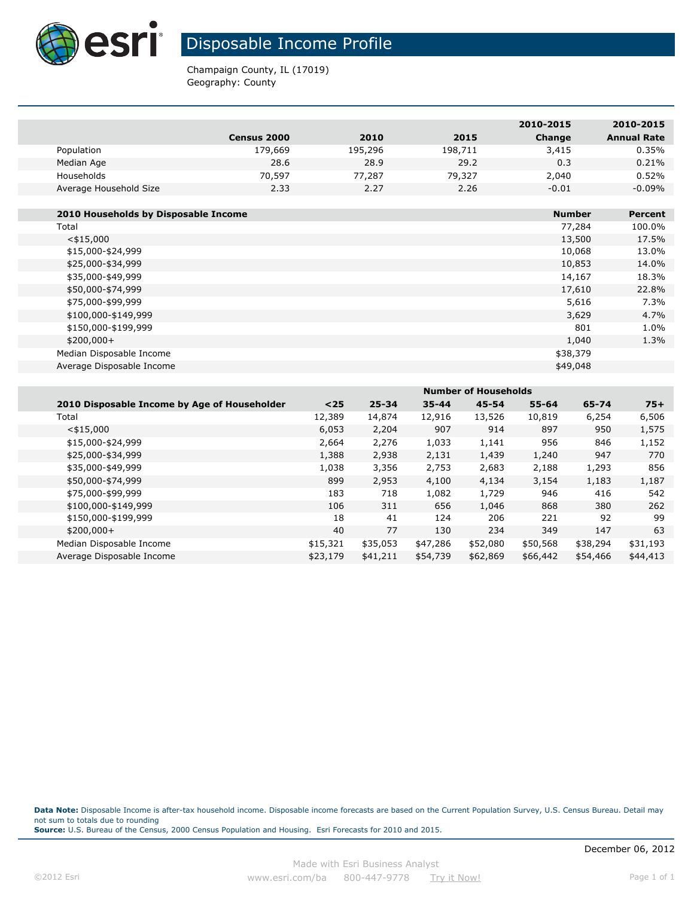

**The State** 

# Disposable Income Profile

Champaign County, IL (17019) Geography: County

|                                      |             |         |         | 2010-2015     | 2010-2015          |
|--------------------------------------|-------------|---------|---------|---------------|--------------------|
|                                      | Census 2000 | 2010    | 2015    | Change        | <b>Annual Rate</b> |
| Population                           | 179,669     | 195,296 | 198,711 | 3,415         | 0.35%              |
| Median Age                           | 28.6        | 28.9    | 29.2    | 0.3           | 0.21%              |
| Households                           | 70,597      | 77,287  | 79,327  | 2,040         | 0.52%              |
| Average Household Size               | 2.33        | 2.27    | 2.26    | $-0.01$       | $-0.09%$           |
|                                      |             |         |         |               |                    |
| 2010 Households by Disposable Income |             |         |         | <b>Number</b> | Percent            |
| Total                                |             |         |         | 77,284        | 100.0%             |
| $<$ \$15,000                         |             |         |         | 13,500        | 17.5%              |
| \$15,000-\$24,999                    |             |         |         | 10,068        | 13.0%              |
| \$25,000-\$34,999                    |             |         |         | 10,853        | 14.0%              |
| \$35,000-\$49,999                    |             |         |         | 14,167        | 18.3%              |
| \$50,000-\$74,999                    |             |         |         | 17,610        | 22.8%              |
| \$75,000-\$99,999                    |             |         |         | 5,616         | 7.3%               |
| \$100,000-\$149,999                  |             |         |         | 3,629         | 4.7%               |
| \$150,000-\$199,999                  |             |         |         | 801           | 1.0%               |
| $$200,000+$                          |             |         |         | 1,040         | 1.3%               |
| Median Disposable Income             |             |         |         | \$38,379      |                    |
| Average Disposable Income            |             |         |         | \$49,048      |                    |
|                                      |             |         |         |               |                    |

|                                              | <b>Number of Households</b> |           |           |           |           |          |          |  |
|----------------------------------------------|-----------------------------|-----------|-----------|-----------|-----------|----------|----------|--|
| 2010 Disposable Income by Age of Householder | $25$                        | $25 - 34$ | $35 - 44$ | $45 - 54$ | $55 - 64$ | 65-74    | $75+$    |  |
| Total                                        | 12,389                      | 14,874    | 12,916    | 13,526    | 10,819    | 6,254    | 6,506    |  |
| $<$ \$15,000                                 | 6,053                       | 2,204     | 907       | 914       | 897       | 950      | 1,575    |  |
| \$15,000-\$24,999                            | 2,664                       | 2,276     | 1,033     | 1,141     | 956       | 846      | 1,152    |  |
| \$25,000-\$34,999                            | 1,388                       | 2,938     | 2,131     | 1,439     | 1,240     | 947      | 770      |  |
| \$35,000-\$49,999                            | 1,038                       | 3,356     | 2,753     | 2,683     | 2,188     | 1,293    | 856      |  |
| \$50,000-\$74,999                            | 899                         | 2,953     | 4,100     | 4,134     | 3,154     | 1,183    | 1,187    |  |
| \$75,000-\$99,999                            | 183                         | 718       | 1,082     | 1,729     | 946       | 416      | 542      |  |
| \$100,000-\$149,999                          | 106                         | 311       | 656       | 1,046     | 868       | 380      | 262      |  |
| \$150,000-\$199,999                          | 18                          | 41        | 124       | 206       | 221       | 92       | 99       |  |
| $$200,000+$                                  | 40                          | 77        | 130       | 234       | 349       | 147      | 63       |  |
| Median Disposable Income                     | \$15,321                    | \$35,053  | \$47,286  | \$52,080  | \$50,568  | \$38,294 | \$31,193 |  |
| Average Disposable Income                    | \$23,179                    | \$41,211  | \$54,739  | \$62,869  | \$66,442  | \$54,466 | \$44,413 |  |
|                                              |                             |           |           |           |           |          |          |  |

Data Note: Disposable Income is after-tax household income. Disposable income forecasts are based on the Current Population Survey, U.S. Census Bureau. Detail may not sum to totals due to rounding **Source:** U.S. Bureau of the Census, 2000 Census Population and Housing. Esri Forecasts for 2010 and 2015.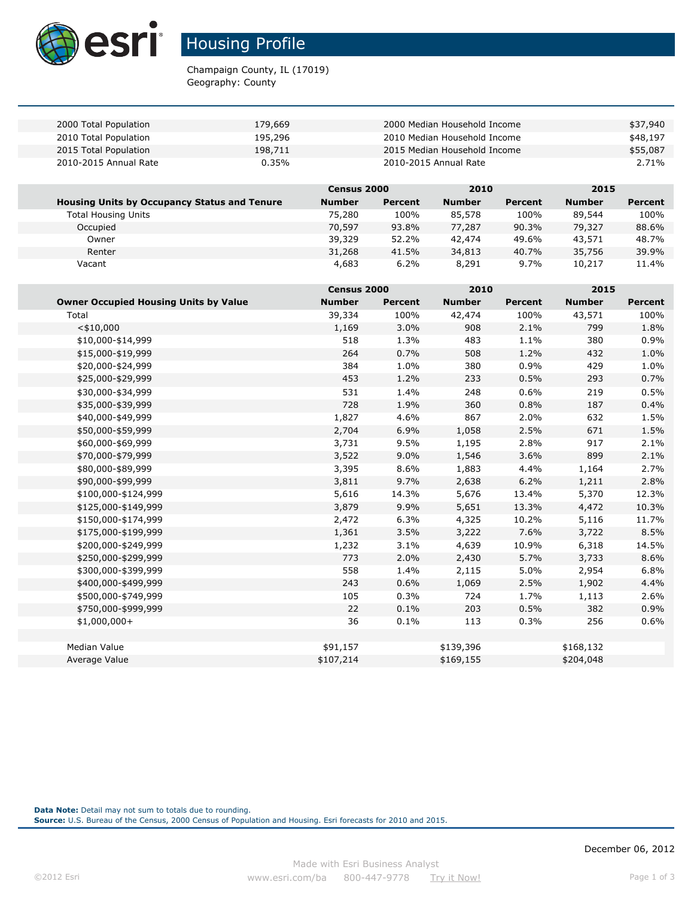

# Housing Profile

Champaign County, IL (17019) Geography: County

| 2000 Total Population | 179,669 | 2000 Median Household Income | \$37,940 |
|-----------------------|---------|------------------------------|----------|
| 2010 Total Population | 195,296 | 2010 Median Household Income | \$48,197 |
| 2015 Total Population | 198,711 | 2015 Median Household Income | \$55,087 |
| 2010-2015 Annual Rate | 0.35%   | 2010-2015 Annual Rate        | 2.71%    |

|                                                     | <b>Census 2000</b> |         | 2010          |                | 2015          |         |
|-----------------------------------------------------|--------------------|---------|---------------|----------------|---------------|---------|
| <b>Housing Units by Occupancy Status and Tenure</b> | <b>Number</b>      | Percent | <b>Number</b> | <b>Percent</b> | <b>Number</b> | Percent |
| Total Housing Units                                 | 75,280             | 100%    | 85,578        | 100%           | 89,544        | 100%    |
| Occupied                                            | 70,597             | 93.8%   | 77,287        | 90.3%          | 79,327        | 88.6%   |
| Owner                                               | 39,329             | 52.2%   | 42,474        | 49.6%          | 43,571        | 48.7%   |
| Renter                                              | 31,268             | 41.5%   | 34,813        | 40.7%          | 35,756        | 39.9%   |
| Vacant                                              | 4,683              | 6.2%    | 8,291         | 9.7%           | 10,217        | 11.4%   |

|                                              | Census 2000   |                | 2010          |                | 2015          |                |
|----------------------------------------------|---------------|----------------|---------------|----------------|---------------|----------------|
| <b>Owner Occupied Housing Units by Value</b> | <b>Number</b> | <b>Percent</b> | <b>Number</b> | <b>Percent</b> | <b>Number</b> | <b>Percent</b> |
| Total                                        | 39,334        | 100%           | 42,474        | 100%           | 43,571        | 100%           |
| $<$ \$10,000                                 | 1,169         | 3.0%           | 908           | 2.1%           | 799           | 1.8%           |
| \$10,000-\$14,999                            | 518           | 1.3%           | 483           | 1.1%           | 380           | 0.9%           |
| \$15,000-\$19,999                            | 264           | 0.7%           | 508           | 1.2%           | 432           | 1.0%           |
| \$20,000-\$24,999                            | 384           | 1.0%           | 380           | 0.9%           | 429           | 1.0%           |
| \$25,000-\$29,999                            | 453           | 1.2%           | 233           | 0.5%           | 293           | 0.7%           |
| \$30,000-\$34,999                            | 531           | 1.4%           | 248           | 0.6%           | 219           | 0.5%           |
| \$35,000-\$39,999                            | 728           | 1.9%           | 360           | 0.8%           | 187           | 0.4%           |
| \$40,000-\$49,999                            | 1,827         | 4.6%           | 867           | 2.0%           | 632           | 1.5%           |
| \$50,000-\$59,999                            | 2,704         | 6.9%           | 1,058         | 2.5%           | 671           | 1.5%           |
| \$60,000-\$69,999                            | 3,731         | 9.5%           | 1,195         | 2.8%           | 917           | 2.1%           |
| \$70,000-\$79,999                            | 3,522         | 9.0%           | 1,546         | 3.6%           | 899           | 2.1%           |
| \$80,000-\$89,999                            | 3,395         | 8.6%           | 1,883         | 4.4%           | 1,164         | 2.7%           |
| \$90,000-\$99,999                            | 3,811         | 9.7%           | 2,638         | 6.2%           | 1,211         | 2.8%           |
| \$100,000-\$124,999                          | 5,616         | 14.3%          | 5,676         | 13.4%          | 5,370         | 12.3%          |
| \$125,000-\$149,999                          | 3,879         | 9.9%           | 5,651         | 13.3%          | 4,472         | 10.3%          |
| \$150,000-\$174,999                          | 2,472         | 6.3%           | 4,325         | 10.2%          | 5,116         | 11.7%          |
| \$175,000-\$199,999                          | 1,361         | 3.5%           | 3,222         | 7.6%           | 3,722         | 8.5%           |
| \$200,000-\$249,999                          | 1,232         | 3.1%           | 4,639         | 10.9%          | 6,318         | 14.5%          |
| \$250,000-\$299,999                          | 773           | 2.0%           | 2,430         | 5.7%           | 3,733         | 8.6%           |
| \$300,000-\$399,999                          | 558           | 1.4%           | 2,115         | 5.0%           | 2,954         | 6.8%           |
| \$400,000-\$499,999                          | 243           | 0.6%           | 1,069         | 2.5%           | 1,902         | 4.4%           |
| \$500,000-\$749,999                          | 105           | 0.3%           | 724           | 1.7%           | 1,113         | 2.6%           |
| \$750,000-\$999,999                          | 22            | 0.1%           | 203           | 0.5%           | 382           | 0.9%           |
| $$1,000,000+$                                | 36            | 0.1%           | 113           | 0.3%           | 256           | 0.6%           |
|                                              |               |                |               |                |               |                |
| <b>Median Value</b>                          | \$91,157      |                | \$139,396     |                | \$168,132     |                |
| Average Value                                | \$107,214     |                | \$169,155     |                | \$204,048     |                |

**Data Note:** Detail may not sum to totals due to rounding. **Source:** U.S. Bureau of the Census, 2000 Census of Population and Housing. Esri forecasts for 2010 and 2015.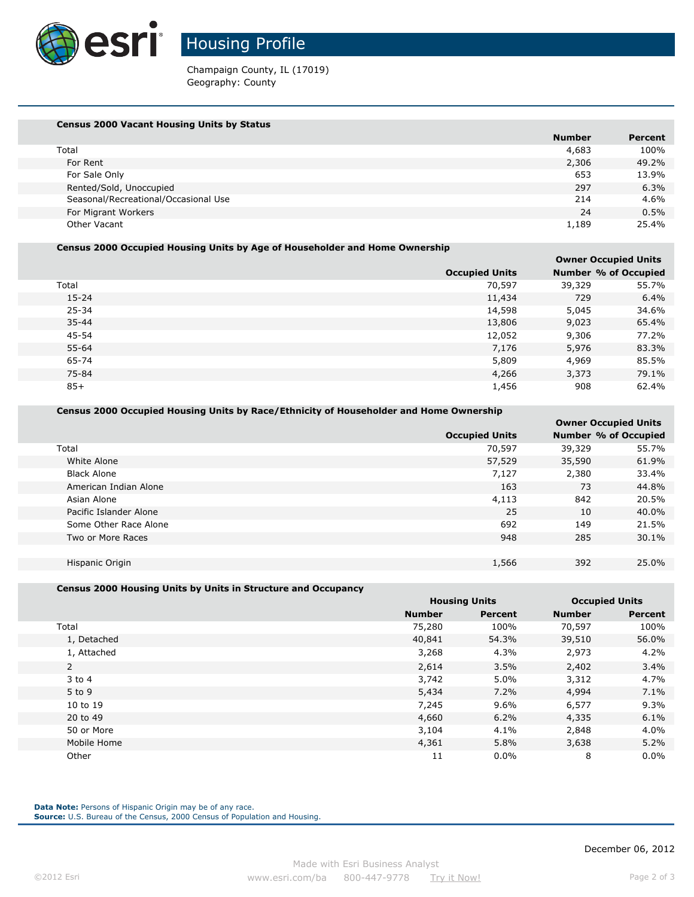

Housing Profile

Champaign County, IL (17019) Geography: County

| <b>Census 2000 Vacant Housing Units by Status</b> |               |                |
|---------------------------------------------------|---------------|----------------|
|                                                   | <b>Number</b> | <b>Percent</b> |
| Total                                             | 4,683         | 100%           |
| For Rent                                          | 2,306         | 49.2%          |
| For Sale Only                                     | 653           | 13.9%          |
| Rented/Sold, Unoccupied                           | 297           | 6.3%           |
| Seasonal/Recreational/Occasional Use              | 214           | $4.6\%$        |
| For Migrant Workers                               | 24            | $0.5\%$        |
| Other Vacant                                      | 1,189         | 25.4%          |

### **Census 2000 Occupied Housing Units by Age of Householder and Home Ownership**

|           |                       |        | <b>Owner Occupied Units</b> |
|-----------|-----------------------|--------|-----------------------------|
|           | <b>Occupied Units</b> |        | <b>Number % of Occupied</b> |
| Total     | 70,597                | 39,329 | 55.7%                       |
| $15 - 24$ | 11,434                | 729    | 6.4%                        |
| 25-34     | 14,598                | 5,045  | 34.6%                       |
| $35 - 44$ | 13,806                | 9,023  | 65.4%                       |
| 45-54     | 12,052                | 9,306  | 77.2%                       |
| 55-64     | 7,176                 | 5,976  | 83.3%                       |
| 65-74     | 5,809                 | 4,969  | 85.5%                       |
| 75-84     | 4,266                 | 3,373  | 79.1%                       |
| $85+$     | 1,456                 | 908    | 62.4%                       |
|           |                       |        |                             |

### **Census 2000 Occupied Housing Units by Race/Ethnicity of Householder and Home Ownership**

|                        |                       | <b>OWNER OCCUPIED UNITS</b> |       |
|------------------------|-----------------------|-----------------------------|-------|
|                        | <b>Occupied Units</b> | Number % of Occupied        |       |
| Total                  | 70,597                | 39,329                      | 55.7% |
| White Alone            | 57,529                | 35,590                      | 61.9% |
| <b>Black Alone</b>     | 7,127                 | 2,380                       | 33.4% |
| American Indian Alone  | 163                   | 73                          | 44.8% |
| Asian Alone            | 4,113                 | 842                         | 20.5% |
| Pacific Islander Alone | 25                    | 10                          | 40.0% |
| Some Other Race Alone  | 692                   | 149                         | 21.5% |
| Two or More Races      | 948                   | 285                         | 30.1% |
|                        |                       |                             |       |
| Hispanic Origin        | 1,566                 | 392                         | 25.0% |

### **Census 2000 Housing Units by Units in Structure and Occupancy**

|                |               | <b>Housing Units</b> |               | <b>Occupied Units</b> |
|----------------|---------------|----------------------|---------------|-----------------------|
|                | <b>Number</b> | <b>Percent</b>       | <b>Number</b> | <b>Percent</b>        |
| Total          | 75,280        | 100%                 | 70,597        | 100%                  |
| 1, Detached    | 40,841        | 54.3%                | 39,510        | 56.0%                 |
| 1, Attached    | 3,268         | 4.3%                 | 2,973         | 4.2%                  |
| $\overline{2}$ | 2,614         | 3.5%                 | 2,402         | $3.4\%$               |
| $3$ to $4$     | 3,742         | 5.0%                 | 3,312         | 4.7%                  |
| 5 to 9         | 5,434         | 7.2%                 | 4,994         | 7.1%                  |
| 10 to 19       | 7,245         | $9.6\%$              | 6,577         | 9.3%                  |
| 20 to 49       | 4,660         | 6.2%                 | 4,335         | 6.1%                  |
| 50 or More     | 3,104         | 4.1%                 | 2,848         | $4.0\%$               |
| Mobile Home    | 4,361         | 5.8%                 | 3,638         | 5.2%                  |
| Other          | 11            | $0.0\%$              | 8             | $0.0\%$               |

Data Note: Persons of Hispanic Origin may be of any race.

**Source:** U.S. Bureau of the Census, 2000 Census of Population and Housing.

 **Owner Occupied Units**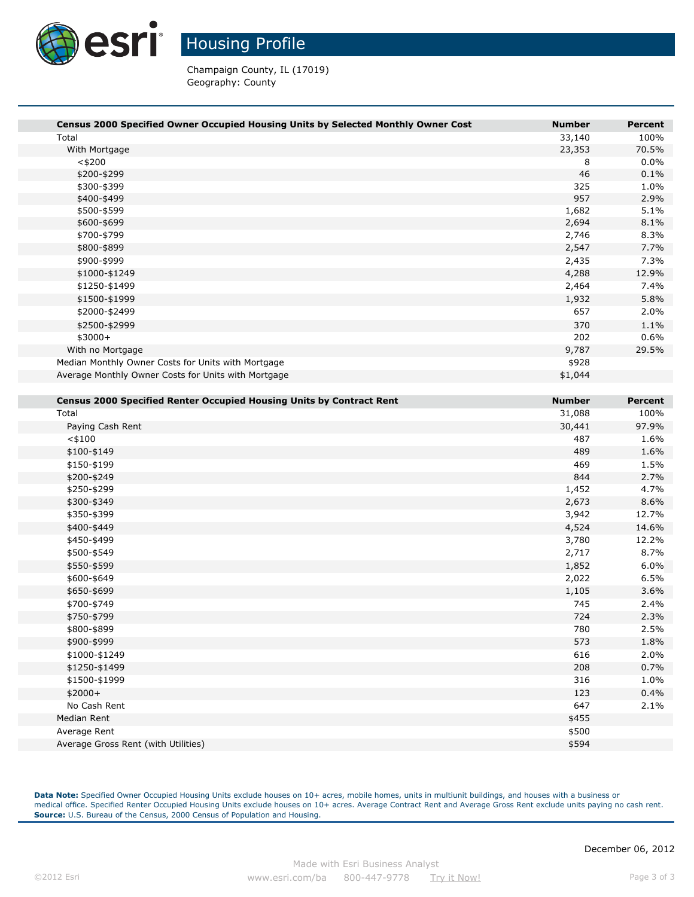

# Housing Profile

Champaign County, IL (17019) Geography: County

| Census 2000 Specified Owner Occupied Housing Units by Selected Monthly Owner Cost<br><b>Number</b><br><b>Percent</b><br>100%<br>Total<br>33,140<br>23,353<br>70.5%<br>With Mortgage<br>0.0%<br>$<$ \$200<br>8<br>46<br>0.1%<br>\$200-\$299<br>\$300-\$399<br>325<br>1.0%<br>957<br>\$400-\$499<br>2.9%<br>\$500-\$599<br>1,682<br>5.1%<br>2,694<br>8.1%<br>\$600-\$699<br>\$700-\$799<br>2,746<br>8.3%<br>2,547<br>7.7%<br>\$800-\$899<br>7.3%<br>\$900-\$999<br>2,435<br>4,288<br>12.9%<br>\$1000-\$1249<br>2,464<br>7.4%<br>\$1250-\$1499<br>5.8%<br>\$1500-\$1999<br>1,932<br>\$2000-\$2499<br>657<br>2.0%<br>370<br>1.1%<br>\$2500-\$2999<br>202<br>$$3000+$<br>0.6%<br>9,787<br>29.5%<br>With no Mortgage<br>\$928<br>Median Monthly Owner Costs for Units with Mortgage<br>Average Monthly Owner Costs for Units with Mortgage<br>\$1,044<br><b>Census 2000 Specified Renter Occupied Housing Units by Contract Rent</b><br><b>Number</b><br>Percent<br>Total<br>31,088<br>100%<br>97.9%<br>Paying Cash Rent<br>30,441<br>$<$ \$100<br>487<br>1.6%<br>\$100-\$149<br>489<br>1.6%<br>\$150-\$199<br>469<br>1.5%<br>844<br>2.7%<br>\$200-\$249<br>1,452<br>\$250-\$299<br>4.7%<br>2,673<br>8.6%<br>\$300-\$349<br>12.7%<br>\$350-\$399<br>3,942<br>4,524<br>14.6%<br>\$400-\$449<br>\$450-\$499<br>3,780<br>12.2%<br>8.7%<br>\$500-\$549<br>2,717 |
|-------------------------------------------------------------------------------------------------------------------------------------------------------------------------------------------------------------------------------------------------------------------------------------------------------------------------------------------------------------------------------------------------------------------------------------------------------------------------------------------------------------------------------------------------------------------------------------------------------------------------------------------------------------------------------------------------------------------------------------------------------------------------------------------------------------------------------------------------------------------------------------------------------------------------------------------------------------------------------------------------------------------------------------------------------------------------------------------------------------------------------------------------------------------------------------------------------------------------------------------------------------------------------------------------------------------------------------------------------|
|                                                                                                                                                                                                                                                                                                                                                                                                                                                                                                                                                                                                                                                                                                                                                                                                                                                                                                                                                                                                                                                                                                                                                                                                                                                                                                                                                       |
|                                                                                                                                                                                                                                                                                                                                                                                                                                                                                                                                                                                                                                                                                                                                                                                                                                                                                                                                                                                                                                                                                                                                                                                                                                                                                                                                                       |
|                                                                                                                                                                                                                                                                                                                                                                                                                                                                                                                                                                                                                                                                                                                                                                                                                                                                                                                                                                                                                                                                                                                                                                                                                                                                                                                                                       |
|                                                                                                                                                                                                                                                                                                                                                                                                                                                                                                                                                                                                                                                                                                                                                                                                                                                                                                                                                                                                                                                                                                                                                                                                                                                                                                                                                       |
|                                                                                                                                                                                                                                                                                                                                                                                                                                                                                                                                                                                                                                                                                                                                                                                                                                                                                                                                                                                                                                                                                                                                                                                                                                                                                                                                                       |
|                                                                                                                                                                                                                                                                                                                                                                                                                                                                                                                                                                                                                                                                                                                                                                                                                                                                                                                                                                                                                                                                                                                                                                                                                                                                                                                                                       |
|                                                                                                                                                                                                                                                                                                                                                                                                                                                                                                                                                                                                                                                                                                                                                                                                                                                                                                                                                                                                                                                                                                                                                                                                                                                                                                                                                       |
|                                                                                                                                                                                                                                                                                                                                                                                                                                                                                                                                                                                                                                                                                                                                                                                                                                                                                                                                                                                                                                                                                                                                                                                                                                                                                                                                                       |
|                                                                                                                                                                                                                                                                                                                                                                                                                                                                                                                                                                                                                                                                                                                                                                                                                                                                                                                                                                                                                                                                                                                                                                                                                                                                                                                                                       |
|                                                                                                                                                                                                                                                                                                                                                                                                                                                                                                                                                                                                                                                                                                                                                                                                                                                                                                                                                                                                                                                                                                                                                                                                                                                                                                                                                       |
|                                                                                                                                                                                                                                                                                                                                                                                                                                                                                                                                                                                                                                                                                                                                                                                                                                                                                                                                                                                                                                                                                                                                                                                                                                                                                                                                                       |
|                                                                                                                                                                                                                                                                                                                                                                                                                                                                                                                                                                                                                                                                                                                                                                                                                                                                                                                                                                                                                                                                                                                                                                                                                                                                                                                                                       |
|                                                                                                                                                                                                                                                                                                                                                                                                                                                                                                                                                                                                                                                                                                                                                                                                                                                                                                                                                                                                                                                                                                                                                                                                                                                                                                                                                       |
|                                                                                                                                                                                                                                                                                                                                                                                                                                                                                                                                                                                                                                                                                                                                                                                                                                                                                                                                                                                                                                                                                                                                                                                                                                                                                                                                                       |
|                                                                                                                                                                                                                                                                                                                                                                                                                                                                                                                                                                                                                                                                                                                                                                                                                                                                                                                                                                                                                                                                                                                                                                                                                                                                                                                                                       |
|                                                                                                                                                                                                                                                                                                                                                                                                                                                                                                                                                                                                                                                                                                                                                                                                                                                                                                                                                                                                                                                                                                                                                                                                                                                                                                                                                       |
|                                                                                                                                                                                                                                                                                                                                                                                                                                                                                                                                                                                                                                                                                                                                                                                                                                                                                                                                                                                                                                                                                                                                                                                                                                                                                                                                                       |
|                                                                                                                                                                                                                                                                                                                                                                                                                                                                                                                                                                                                                                                                                                                                                                                                                                                                                                                                                                                                                                                                                                                                                                                                                                                                                                                                                       |
|                                                                                                                                                                                                                                                                                                                                                                                                                                                                                                                                                                                                                                                                                                                                                                                                                                                                                                                                                                                                                                                                                                                                                                                                                                                                                                                                                       |
|                                                                                                                                                                                                                                                                                                                                                                                                                                                                                                                                                                                                                                                                                                                                                                                                                                                                                                                                                                                                                                                                                                                                                                                                                                                                                                                                                       |
|                                                                                                                                                                                                                                                                                                                                                                                                                                                                                                                                                                                                                                                                                                                                                                                                                                                                                                                                                                                                                                                                                                                                                                                                                                                                                                                                                       |
|                                                                                                                                                                                                                                                                                                                                                                                                                                                                                                                                                                                                                                                                                                                                                                                                                                                                                                                                                                                                                                                                                                                                                                                                                                                                                                                                                       |
|                                                                                                                                                                                                                                                                                                                                                                                                                                                                                                                                                                                                                                                                                                                                                                                                                                                                                                                                                                                                                                                                                                                                                                                                                                                                                                                                                       |
|                                                                                                                                                                                                                                                                                                                                                                                                                                                                                                                                                                                                                                                                                                                                                                                                                                                                                                                                                                                                                                                                                                                                                                                                                                                                                                                                                       |
|                                                                                                                                                                                                                                                                                                                                                                                                                                                                                                                                                                                                                                                                                                                                                                                                                                                                                                                                                                                                                                                                                                                                                                                                                                                                                                                                                       |
|                                                                                                                                                                                                                                                                                                                                                                                                                                                                                                                                                                                                                                                                                                                                                                                                                                                                                                                                                                                                                                                                                                                                                                                                                                                                                                                                                       |
|                                                                                                                                                                                                                                                                                                                                                                                                                                                                                                                                                                                                                                                                                                                                                                                                                                                                                                                                                                                                                                                                                                                                                                                                                                                                                                                                                       |
|                                                                                                                                                                                                                                                                                                                                                                                                                                                                                                                                                                                                                                                                                                                                                                                                                                                                                                                                                                                                                                                                                                                                                                                                                                                                                                                                                       |
|                                                                                                                                                                                                                                                                                                                                                                                                                                                                                                                                                                                                                                                                                                                                                                                                                                                                                                                                                                                                                                                                                                                                                                                                                                                                                                                                                       |
|                                                                                                                                                                                                                                                                                                                                                                                                                                                                                                                                                                                                                                                                                                                                                                                                                                                                                                                                                                                                                                                                                                                                                                                                                                                                                                                                                       |
|                                                                                                                                                                                                                                                                                                                                                                                                                                                                                                                                                                                                                                                                                                                                                                                                                                                                                                                                                                                                                                                                                                                                                                                                                                                                                                                                                       |
|                                                                                                                                                                                                                                                                                                                                                                                                                                                                                                                                                                                                                                                                                                                                                                                                                                                                                                                                                                                                                                                                                                                                                                                                                                                                                                                                                       |
|                                                                                                                                                                                                                                                                                                                                                                                                                                                                                                                                                                                                                                                                                                                                                                                                                                                                                                                                                                                                                                                                                                                                                                                                                                                                                                                                                       |
|                                                                                                                                                                                                                                                                                                                                                                                                                                                                                                                                                                                                                                                                                                                                                                                                                                                                                                                                                                                                                                                                                                                                                                                                                                                                                                                                                       |
|                                                                                                                                                                                                                                                                                                                                                                                                                                                                                                                                                                                                                                                                                                                                                                                                                                                                                                                                                                                                                                                                                                                                                                                                                                                                                                                                                       |
| 6.0%<br>\$550-\$599<br>1,852                                                                                                                                                                                                                                                                                                                                                                                                                                                                                                                                                                                                                                                                                                                                                                                                                                                                                                                                                                                                                                                                                                                                                                                                                                                                                                                          |
| \$600-\$649<br>2,022<br>6.5%                                                                                                                                                                                                                                                                                                                                                                                                                                                                                                                                                                                                                                                                                                                                                                                                                                                                                                                                                                                                                                                                                                                                                                                                                                                                                                                          |
| \$650-\$699<br>1,105<br>3.6%                                                                                                                                                                                                                                                                                                                                                                                                                                                                                                                                                                                                                                                                                                                                                                                                                                                                                                                                                                                                                                                                                                                                                                                                                                                                                                                          |
| \$700-\$749<br>745<br>2.4%                                                                                                                                                                                                                                                                                                                                                                                                                                                                                                                                                                                                                                                                                                                                                                                                                                                                                                                                                                                                                                                                                                                                                                                                                                                                                                                            |
|                                                                                                                                                                                                                                                                                                                                                                                                                                                                                                                                                                                                                                                                                                                                                                                                                                                                                                                                                                                                                                                                                                                                                                                                                                                                                                                                                       |
| 724                                                                                                                                                                                                                                                                                                                                                                                                                                                                                                                                                                                                                                                                                                                                                                                                                                                                                                                                                                                                                                                                                                                                                                                                                                                                                                                                                   |
| \$750-\$799<br>2.3%<br>780<br>2.5%                                                                                                                                                                                                                                                                                                                                                                                                                                                                                                                                                                                                                                                                                                                                                                                                                                                                                                                                                                                                                                                                                                                                                                                                                                                                                                                    |
| \$800-\$899                                                                                                                                                                                                                                                                                                                                                                                                                                                                                                                                                                                                                                                                                                                                                                                                                                                                                                                                                                                                                                                                                                                                                                                                                                                                                                                                           |
| 573<br>\$900-\$999<br>1.8%                                                                                                                                                                                                                                                                                                                                                                                                                                                                                                                                                                                                                                                                                                                                                                                                                                                                                                                                                                                                                                                                                                                                                                                                                                                                                                                            |
| \$1000-\$1249<br>616<br>2.0%<br>208<br>0.7%<br>\$1250-\$1499                                                                                                                                                                                                                                                                                                                                                                                                                                                                                                                                                                                                                                                                                                                                                                                                                                                                                                                                                                                                                                                                                                                                                                                                                                                                                          |

Data Note: Specified Owner Occupied Housing Units exclude houses on 10+ acres, mobile homes, units in multiunit buildings, and houses with a business or medical office. Specified Renter Occupied Housing Units exclude houses on 10+ acres. Average Contract Rent and Average Gross Rent exclude units paying no cash rent. **Source:** U.S. Bureau of the Census, 2000 Census of Population and Housing.

Median Rent \$455 Average Rent \$500  $\sim$ Average Gross Rent (with Utilities) \$594

\$2000+ 123 0.4% No Cash Rent  $2.1\%$